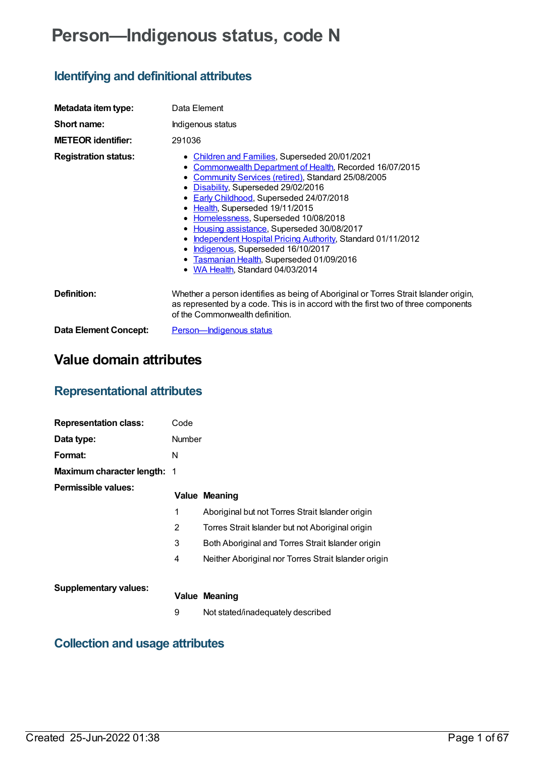# **Person—Indigenous status, code N**

# **Identifying and definitional attributes**

| Metadata item type:         | Data Element                                                                                                                                                                                                                                                                                                                                                                                                                                                                                                                                                                                               |  |  |
|-----------------------------|------------------------------------------------------------------------------------------------------------------------------------------------------------------------------------------------------------------------------------------------------------------------------------------------------------------------------------------------------------------------------------------------------------------------------------------------------------------------------------------------------------------------------------------------------------------------------------------------------------|--|--|
| Short name:                 | Indigenous status                                                                                                                                                                                                                                                                                                                                                                                                                                                                                                                                                                                          |  |  |
| <b>METEOR identifier:</b>   | 291036                                                                                                                                                                                                                                                                                                                                                                                                                                                                                                                                                                                                     |  |  |
| <b>Registration status:</b> | • Children and Families, Superseded 20/01/2021<br>Commonwealth Department of Health, Recorded 16/07/2015<br>٠<br>• Community Services (retired), Standard 25/08/2005<br>Disability, Superseded 29/02/2016<br>٠<br>• Early Childhood, Superseded 24/07/2018<br>• Health, Superseded 19/11/2015<br>• Homelessness, Superseded 10/08/2018<br>Housing assistance, Superseded 30/08/2017<br>$\bullet$<br>Independent Hospital Pricing Authority, Standard 01/11/2012<br>٠<br>Indigenous, Superseded 16/10/2017<br>$\bullet$<br>Tasmanian Health, Superseded 01/09/2016<br>٠<br>• WA Health, Standard 04/03/2014 |  |  |
| Definition:                 | Whether a person identifies as being of Aboriginal or Torres Strait Islander origin,<br>as represented by a code. This is in accord with the first two of three components<br>of the Commonwealth definition.                                                                                                                                                                                                                                                                                                                                                                                              |  |  |
| Data Element Concept:       | Person-Indigenous status                                                                                                                                                                                                                                                                                                                                                                                                                                                                                                                                                                                   |  |  |

# **Value domain attributes**

# **Representational attributes**

| <b>Representation class:</b> | Code   |                                                      |
|------------------------------|--------|------------------------------------------------------|
| Data type:                   | Number |                                                      |
| Format:                      | N      |                                                      |
| Maximum character length: 1  |        |                                                      |
| Permissible values:          |        | <b>Value Meaning</b>                                 |
|                              | 1      | Aboriginal but not Torres Strait Islander origin     |
|                              | 2      | Torres Strait Islander but not Aboriginal origin     |
|                              | 3      | Both Aboriginal and Torres Strait Islander origin    |
|                              | 4      | Neither Aboriginal nor Torres Strait Islander origin |
|                              |        |                                                      |
| <b>Supplementary values:</b> |        | <b>Value Meaning</b>                                 |
|                              | 9      | Not stated/inadequately described                    |

# **Collection and usage attributes**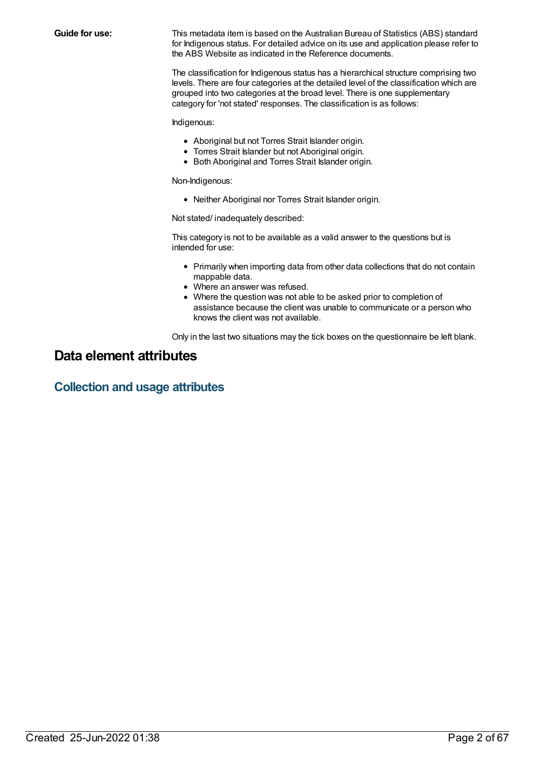**Guide for use:** This metadata item is based on the Australian Bureau of Statistics (ABS) standard for Indigenous status. For detailed advice on its use and application please refer to the ABS Website as indicated in the Reference documents.

> The classification for Indigenous status has a hierarchical structure comprising two levels. There are four categories at the detailed level of the classification which are grouped into two categories at the broad level. There is one supplementary category for 'not stated' responses. The classification is as follows:

Indigenous:

- Aboriginal but not Torres Strait Islander origin.
- Torres Strait Islander but not Aboriginal origin.
- Both Aboriginal and Torres Strait Islander origin.

Non-Indigenous:

Neither Aboriginal nor Torres Strait Islander origin.

Not stated/ inadequately described:

This category is not to be available as a valid answer to the questions but is intended for use:

- Primarily when importing data from other data collections that do not contain mappable data.
- Where an answer was refused.
- Where the question was not able to be asked prior to completion of assistance because the client was unable to communicate or a person who knows the client was not available.

Only in the last two situations may the tick boxes on the questionnaire be left blank.

# **Data element attributes**

**Collection and usage attributes**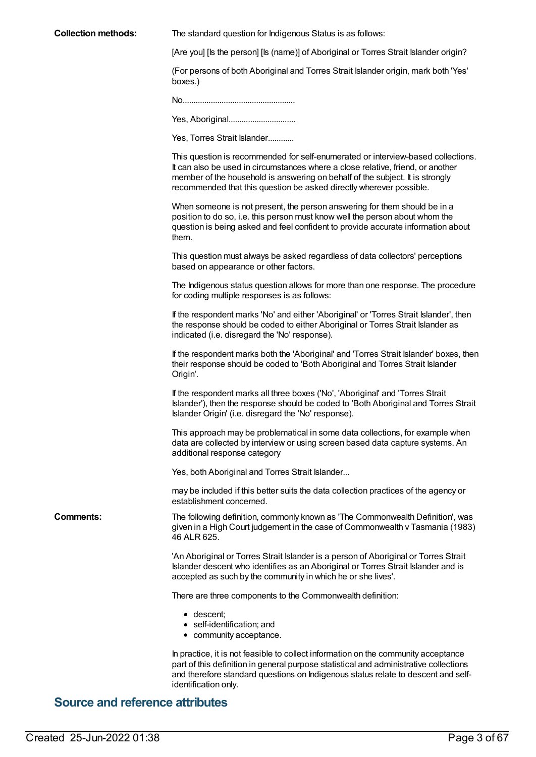| <b>Collection methods:</b> | The standard question for Indigenous Status is as follows:                                                                                                                                                                                                                                                                  |  |  |
|----------------------------|-----------------------------------------------------------------------------------------------------------------------------------------------------------------------------------------------------------------------------------------------------------------------------------------------------------------------------|--|--|
|                            | [Are you] [Is the person] [Is (name)] of Aboriginal or Torres Strait Islander origin?                                                                                                                                                                                                                                       |  |  |
|                            | (For persons of both Aboriginal and Torres Strait Islander origin, mark both 'Yes'<br>boxes.)                                                                                                                                                                                                                               |  |  |
|                            |                                                                                                                                                                                                                                                                                                                             |  |  |
|                            |                                                                                                                                                                                                                                                                                                                             |  |  |
|                            | Yes, Torres Strait Islander                                                                                                                                                                                                                                                                                                 |  |  |
|                            | This question is recommended for self-enumerated or interview-based collections.<br>It can also be used in circumstances where a close relative, friend, or another<br>member of the household is answering on behalf of the subject. It is strongly<br>recommended that this question be asked directly wherever possible. |  |  |
|                            | When someone is not present, the person answering for them should be in a<br>position to do so, i.e. this person must know well the person about whom the<br>question is being asked and feel confident to provide accurate information about<br>them.                                                                      |  |  |
|                            | This question must always be asked regardless of data collectors' perceptions<br>based on appearance or other factors.                                                                                                                                                                                                      |  |  |
|                            | The Indigenous status question allows for more than one response. The procedure<br>for coding multiple responses is as follows:                                                                                                                                                                                             |  |  |
|                            | If the respondent marks 'No' and either 'Aboriginal' or 'Torres Strait Islander', then<br>the response should be coded to either Aboriginal or Torres Strait Islander as<br>indicated (i.e. disregard the 'No' response).                                                                                                   |  |  |
|                            | If the respondent marks both the 'Aboriginal' and 'Torres Strait Islander' boxes, then<br>their response should be coded to 'Both Aboriginal and Torres Strait Islander<br>Origin'.                                                                                                                                         |  |  |
|                            | If the respondent marks all three boxes ('No', 'Aboriginal' and 'Torres Strait<br>Islander'), then the response should be coded to 'Both Aboriginal and Torres Strait<br>Islander Origin' (i.e. disregard the 'No' response).                                                                                               |  |  |
|                            | This approach may be problematical in some data collections, for example when<br>data are collected by interview or using screen based data capture systems. An<br>additional response category                                                                                                                             |  |  |
|                            | Yes, both Aboriginal and Torres Strait Islander                                                                                                                                                                                                                                                                             |  |  |
|                            | may be included if this better suits the data collection practices of the agency or<br>establishment concerned.                                                                                                                                                                                                             |  |  |
| <b>Comments:</b>           | The following definition, commonly known as 'The Commonwealth Definition', was<br>given in a High Court judgement in the case of Commonwealth v Tasmania (1983)<br>46 ALR 625.                                                                                                                                              |  |  |
|                            | 'An Aboriginal or Torres Strait Islander is a person of Aboriginal or Torres Strait<br>Islander descent who identifies as an Aboriginal or Torres Strait Islander and is<br>accepted as such by the community in which he or she lives'.                                                                                    |  |  |
|                            | There are three components to the Commonwealth definition:                                                                                                                                                                                                                                                                  |  |  |
|                            | • descent;<br>• self-identification; and<br>• community acceptance.                                                                                                                                                                                                                                                         |  |  |
|                            | In practice, it is not feasible to collect information on the community acceptance<br>part of this definition in general purpose statistical and administrative collections                                                                                                                                                 |  |  |

and therefore standard questions on Indigenous status relate to descent and self-

# **Source and reference attributes**

identification only.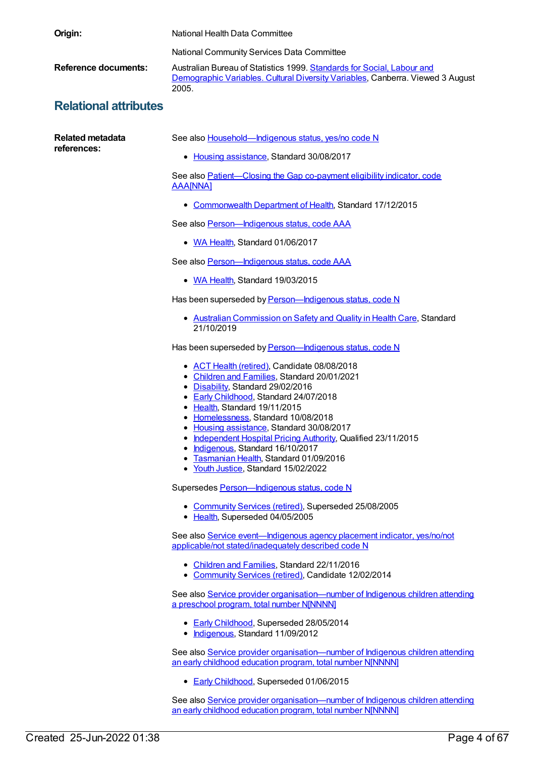| Origin:                      | National Health Data Committee                                                                                                                                                                                                                                                                                                                                                                                                                                                           |  |  |
|------------------------------|------------------------------------------------------------------------------------------------------------------------------------------------------------------------------------------------------------------------------------------------------------------------------------------------------------------------------------------------------------------------------------------------------------------------------------------------------------------------------------------|--|--|
|                              | National Community Services Data Committee                                                                                                                                                                                                                                                                                                                                                                                                                                               |  |  |
| <b>Reference documents:</b>  | Australian Bureau of Statistics 1999. Standards for Social, Labour and<br>Demographic Variables. Cultural Diversity Variables, Canberra. Viewed 3 August<br>2005.                                                                                                                                                                                                                                                                                                                        |  |  |
| <b>Relational attributes</b> |                                                                                                                                                                                                                                                                                                                                                                                                                                                                                          |  |  |
| <b>Related metadata</b>      | See also Household-Indigenous status, yes/no code N                                                                                                                                                                                                                                                                                                                                                                                                                                      |  |  |
| references:                  | • Housing assistance, Standard 30/08/2017                                                                                                                                                                                                                                                                                                                                                                                                                                                |  |  |
|                              | See also Patient-Closing the Gap co-payment eligibility indicator, code<br><b>AAA[NNA]</b>                                                                                                                                                                                                                                                                                                                                                                                               |  |  |
|                              | • Commonwealth Department of Health, Standard 17/12/2015                                                                                                                                                                                                                                                                                                                                                                                                                                 |  |  |
|                              | See also Person-Indigenous status, code AAA                                                                                                                                                                                                                                                                                                                                                                                                                                              |  |  |
|                              | • WA Health, Standard 01/06/2017                                                                                                                                                                                                                                                                                                                                                                                                                                                         |  |  |
|                              | See also Person-Indigenous status, code AAA                                                                                                                                                                                                                                                                                                                                                                                                                                              |  |  |
|                              | • WA Health, Standard 19/03/2015                                                                                                                                                                                                                                                                                                                                                                                                                                                         |  |  |
|                              | Has been superseded by Person-Indigenous status, code N                                                                                                                                                                                                                                                                                                                                                                                                                                  |  |  |
|                              | • Australian Commission on Safety and Quality in Health Care, Standard<br>21/10/2019                                                                                                                                                                                                                                                                                                                                                                                                     |  |  |
|                              | Has been superseded by <b>Person-Indigenous status</b> , code N                                                                                                                                                                                                                                                                                                                                                                                                                          |  |  |
|                              | • ACT Health (retired), Candidate 08/08/2018<br>• Children and Families, Standard 20/01/2021<br>• Disability, Standard 29/02/2016<br>• Early Childhood, Standard 24/07/2018<br>• Health, Standard 19/11/2015<br>• Homelessness, Standard 10/08/2018<br>Housing assistance, Standard 30/08/2017<br>• Independent Hospital Pricing Authority, Qualified 23/11/2015<br>• Indigenous, Standard 16/10/2017<br>• Tasmanian Health, Standard 01/09/2016<br>• Youth Justice, Standard 15/02/2022 |  |  |
|                              | Supersedes Person-Indigenous status, code N                                                                                                                                                                                                                                                                                                                                                                                                                                              |  |  |
|                              | • Community Services (retired), Superseded 25/08/2005<br>• Health, Superseded 04/05/2005                                                                                                                                                                                                                                                                                                                                                                                                 |  |  |
|                              | See also Service event-Indigenous agency placement indicator, yes/no/not<br>applicable/not stated/inadequately described code N                                                                                                                                                                                                                                                                                                                                                          |  |  |
|                              | • Children and Families, Standard 22/11/2016<br>• Community Services (retired), Candidate 12/02/2014                                                                                                                                                                                                                                                                                                                                                                                     |  |  |
|                              | See also Service provider organisation—number of Indigenous children attending<br>a preschool program, total number NJNNNN]                                                                                                                                                                                                                                                                                                                                                              |  |  |
|                              | • Early Childhood, Superseded 28/05/2014<br>• Indigenous, Standard 11/09/2012                                                                                                                                                                                                                                                                                                                                                                                                            |  |  |
|                              | See also Service provider organisation—number of Indigenous children attending<br>an early childhood education program, total number NJNNNN]                                                                                                                                                                                                                                                                                                                                             |  |  |
|                              | • Early Childhood, Superseded 01/06/2015                                                                                                                                                                                                                                                                                                                                                                                                                                                 |  |  |

See also Service provider [organisation—number](https://meteor.aihw.gov.au/content/602250) of Indigenous children attending an early childhood education program, total number N[NNNN]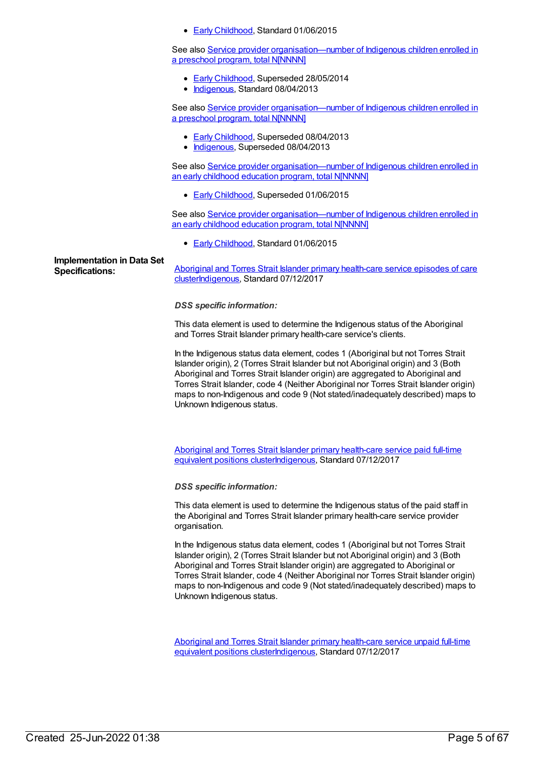**Early [Childhood](https://meteor.aihw.gov.au/RegistrationAuthority/13), Standard 01/06/2015** 

See also Service provider [organisation—number](https://meteor.aihw.gov.au/content/506734) of Indigenous children enrolled in a preschool program, total N[NNNN]

- **Early [Childhood](https://meteor.aihw.gov.au/RegistrationAuthority/13), Superseded 28/05/2014**
- [Indigenous](https://meteor.aihw.gov.au/RegistrationAuthority/6), Standard 08/04/2013

See also Service provider [organisation—number](https://meteor.aihw.gov.au/content/441259) of Indigenous children enrolled in a preschool program, total N[NNNN]

- Early [Childhood](https://meteor.aihw.gov.au/RegistrationAuthority/13), Superseded 08/04/2013
- [Indigenous](https://meteor.aihw.gov.au/RegistrationAuthority/6), Superseded 08/04/2013

See also Service provider [organisation—number](https://meteor.aihw.gov.au/content/557594) of Indigenous children enrolled in an early childhood education program, total N[NNNN]

**Early [Childhood](https://meteor.aihw.gov.au/RegistrationAuthority/13), Superseded 01/06/2015** 

See also Service provider [organisation—number](https://meteor.aihw.gov.au/content/602263) of Indigenous children enrolled in an early childhood education program, total N[NNNN]

**Early [Childhood](https://meteor.aihw.gov.au/RegistrationAuthority/13), Standard 01/06/2015** 

**Implementation in Data Set**

**Specifications:** Aboriginal and Torres Strait Islander primary health-care service episodes of care [cluster](https://meteor.aihw.gov.au/content/676943)[Indigenous](https://meteor.aihw.gov.au/RegistrationAuthority/6)[,](https://meteor.aihw.gov.au/content/676943) Standard 07/12/2017

*DSS specific information:*

This data element is used to determine the Indigenous status of the Aboriginal and Torres Strait Islander primary health-care service's clients.

In the Indigenous status data element, codes 1 (Aboriginal but not Torres Strait Islander origin), 2 (Torres Strait Islander but not Aboriginal origin) and 3 (Both Aboriginal and Torres Strait Islander origin) are aggregated to Aboriginal and Torres Strait Islander, code 4 (Neither Aboriginal nor Torres Strait Islander origin) maps to non-Indigenous and code 9 (Not stated/inadequately described) maps to Unknown Indigenous status.

Aboriginal and Torres Strait Islander primary health-care service paid full-time equivalent positions [clusterIndigenous,](https://meteor.aihw.gov.au/content/676948) Standard 07/12/2017

*DSS specific information:*

This data element is used to determine the Indigenous status of the paid staff in the Aboriginal and Torres Strait Islander primary health-care service provider organisation.

In the Indigenous status data element, codes 1 (Aboriginal but not Torres Strait Islander origin), 2 (Torres Strait Islander but not Aboriginal origin) and 3 (Both Aboriginal and Torres Strait Islander origin) are aggregated to Aboriginal or Torres Strait Islander, code 4 (Neither Aboriginal nor Torres Strait Islander origin) maps to non-Indigenous and code 9 (Not stated/inadequately described) maps to Unknown Indigenous status.

Aboriginal and Torres Strait Islander primary health-care service unpaid full-time equivalent positions [cluster](https://meteor.aihw.gov.au/content/676950)[Indigenou](https://meteor.aihw.gov.au/RegistrationAuthority/6)[s,](https://meteor.aihw.gov.au/content/676950) Standard 07/12/2017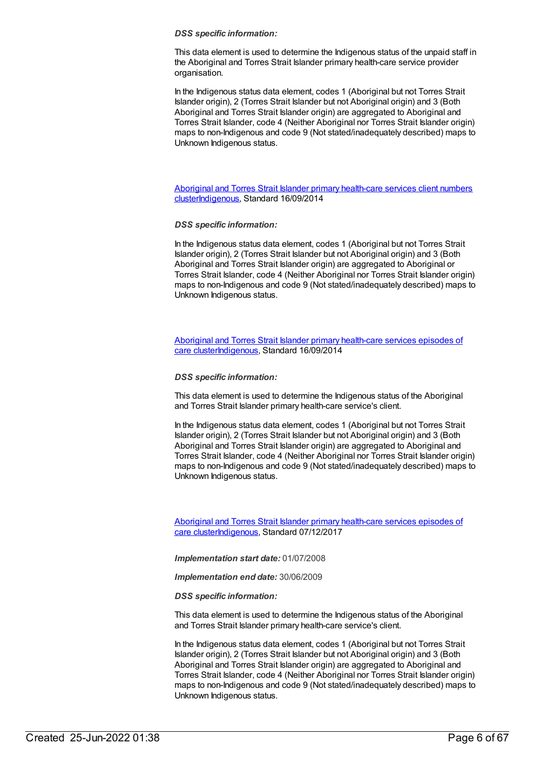This data element is used to determine the Indigenous status of the unpaid staff in the Aboriginal and Torres Strait Islander primary health-care service provider organisation.

In the Indigenous status data element, codes 1 (Aboriginal but not Torres Strait Islander origin), 2 (Torres Strait Islander but not Aboriginal origin) and 3 (Both Aboriginal and Torres Strait Islander origin) are aggregated to Aboriginal and Torres Strait Islander, code 4 (Neither Aboriginal nor Torres Strait Islander origin) maps to non-Indigenous and code 9 (Not stated/inadequately described) maps to Unknown Indigenous status.

Aboriginal and Torres Strait Islander primary health-care services client numbers [clusterIndigenous,](https://meteor.aihw.gov.au/content/565806) Standard 16/09/2014

#### *DSS specific information:*

In the Indigenous status data element, codes 1 (Aboriginal but not Torres Strait Islander origin), 2 (Torres Strait Islander but not Aboriginal origin) and 3 (Both Aboriginal and Torres Strait Islander origin) are aggregated to Aboriginal or Torres Strait Islander, code 4 (Neither Aboriginal nor Torres Strait Islander origin) maps to non-Indigenous and code 9 (Not stated/inadequately described) maps to Unknown Indigenous status.

Aboriginal and Torres Strait Islander primary health-care services episodes of care [clusterIndigenous,](https://meteor.aihw.gov.au/content/564717) Standard 16/09/2014

#### *DSS specific information:*

This data element is used to determine the Indigenous status of the Aboriginal and Torres Strait Islander primary health-care service's client.

In the Indigenous status data element, codes 1 (Aboriginal but not Torres Strait Islander origin), 2 (Torres Strait Islander but not Aboriginal origin) and 3 (Both Aboriginal and Torres Strait Islander origin) are aggregated to Aboriginal and Torres Strait Islander, code 4 (Neither Aboriginal nor Torres Strait Islander origin) maps to non-Indigenous and code 9 (Not stated/inadequately described) maps to Unknown Indigenous status.

Aboriginal and Torres Strait Islander primary health-care services episodes of care [clusterIndigenous,](https://meteor.aihw.gov.au/content/683072) Standard 07/12/2017

*Implementation start date:* 01/07/2008

*Implementation end date:* 30/06/2009

*DSS specific information:*

This data element is used to determine the Indigenous status of the Aboriginal and Torres Strait Islander primary health-care service's client.

In the Indigenous status data element, codes 1 (Aboriginal but not Torres Strait Islander origin), 2 (Torres Strait Islander but not Aboriginal origin) and 3 (Both Aboriginal and Torres Strait Islander origin) are aggregated to Aboriginal and Torres Strait Islander, code 4 (Neither Aboriginal nor Torres Strait Islander origin) maps to non-Indigenous and code 9 (Not stated/inadequately described) maps to Unknown Indigenous status.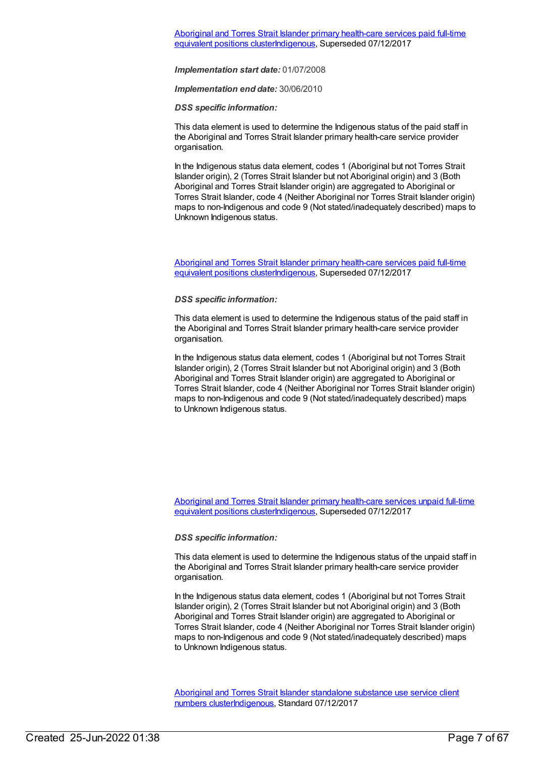*Implementation end date:* 30/06/2010

*DSS specific information:*

This data element is used to determine the Indigenous status of the paid staff in the Aboriginal and Torres Strait Islander primary health-care service provider organisation.

In the Indigenous status data element, codes 1 (Aboriginal but not Torres Strait Islander origin), 2 (Torres Strait Islander but not Aboriginal origin) and 3 (Both Aboriginal and Torres Strait Islander origin) are aggregated to Aboriginal or Torres Strait Islander, code 4 (Neither Aboriginal nor Torres Strait Islander origin) maps to non-Indigenous and code 9 (Not stated/inadequately described) maps to Unknown Indigenous status.

Aboriginal and Torres Strait Islander primary health-care services paid full-time equivalent positions [clusterIndigenous,](https://meteor.aihw.gov.au/content/566990) Superseded 07/12/2017

#### *DSS specific information:*

This data element is used to determine the Indigenous status of the paid staff in the Aboriginal and Torres Strait Islander primary health-care service provider organisation.

In the Indigenous status data element, codes 1 (Aboriginal but not Torres Strait Islander origin), 2 (Torres Strait Islander but not Aboriginal origin) and 3 (Both Aboriginal and Torres Strait Islander origin) are aggregated to Aboriginal or Torres Strait Islander, code 4 (Neither Aboriginal nor Torres Strait Islander origin) maps to non-Indigenous and code 9 (Not stated/inadequately described) maps to Unknown Indigenous status.

Aboriginal and Torres Strait Islander primary health-care services unpaid full-time equivalent positions [clusterIndigenous,](https://meteor.aihw.gov.au/content/567269) Superseded 07/12/2017

# *DSS specific information:*

This data element is used to determine the Indigenous status of the unpaid staff in the Aboriginal and Torres Strait Islander primary health-care service provider organisation.

In the Indigenous status data element, codes 1 (Aboriginal but not Torres Strait Islander origin), 2 (Torres Strait Islander but not Aboriginal origin) and 3 (Both Aboriginal and Torres Strait Islander origin) are aggregated to Aboriginal or Torres Strait Islander, code 4 (Neither Aboriginal nor Torres Strait Islander origin) maps to non-Indigenous and code 9 (Not stated/inadequately described) maps to Unknown Indigenous status.

Aboriginal and Torres Strait Islander standalone substance use service client numbers [clusterI](https://meteor.aihw.gov.au/content/677077)[ndigenou](https://meteor.aihw.gov.au/RegistrationAuthority/6)[s,](https://meteor.aihw.gov.au/content/677077) Standard 07/12/2017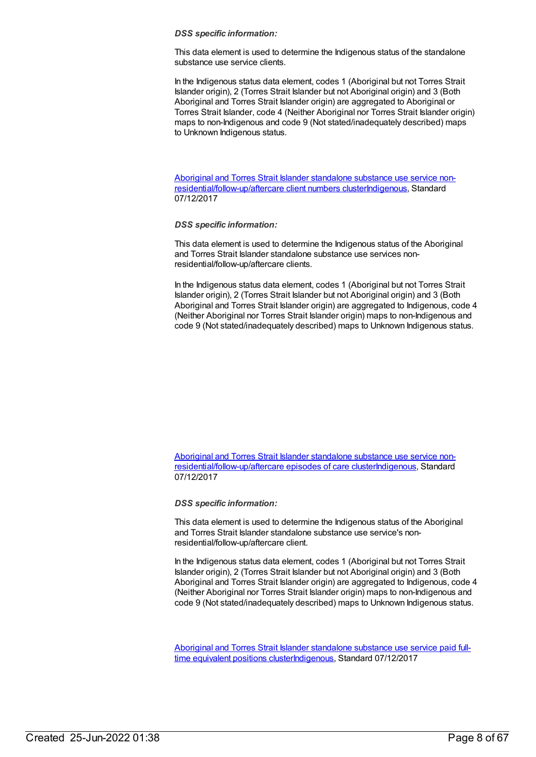This data element is used to determine the Indigenous status of the standalone substance use service clients.

In the Indigenous status data element, codes 1 (Aboriginal but not Torres Strait Islander origin), 2 (Torres Strait Islander but not Aboriginal origin) and 3 (Both Aboriginal and Torres Strait Islander origin) are aggregated to Aboriginal or Torres Strait Islander, code 4 (Neither Aboriginal nor Torres Strait Islander origin) maps to non-Indigenous and code 9 (Not stated/inadequately described) maps to Unknown Indigenous status.

Aboriginal and Torres Strait Islander standalone substance use service non[residential/follow-up/aftercare](https://meteor.aihw.gov.au/content/677121) client numbers cluste[rIndigenous](https://meteor.aihw.gov.au/RegistrationAuthority/6), Standard 07/12/2017

#### *DSS specific information:*

This data element is used to determine the Indigenous status of the Aboriginal and Torres Strait Islander standalone substance use services nonresidential/follow-up/aftercare clients.

In the Indigenous status data element, codes 1 (Aboriginal but not Torres Strait Islander origin), 2 (Torres Strait Islander but not Aboriginal origin) and 3 (Both Aboriginal and Torres Strait Islander origin) are aggregated to Indigenous, code 4 (Neither Aboriginal nor Torres Strait Islander origin) maps to non-Indigenous and code 9 (Not stated/inadequately described) maps to Unknown Indigenous status.

Aboriginal and Torres Strait Islander standalone substance use service non[residential/follow-up/aftercare](https://meteor.aihw.gov.au/content/677131) episodes of care cluste[rIndigenous](https://meteor.aihw.gov.au/RegistrationAuthority/6), Standard 07/12/2017

*DSS specific information:*

This data element is used to determine the Indigenous status of the Aboriginal and Torres Strait Islander standalone substance use service's nonresidential/follow-up/aftercare client.

In the Indigenous status data element, codes 1 (Aboriginal but not Torres Strait Islander origin), 2 (Torres Strait Islander but not Aboriginal origin) and 3 (Both Aboriginal and Torres Strait Islander origin) are aggregated to Indigenous, code 4 (Neither Aboriginal nor Torres Strait Islander origin) maps to non-Indigenous and code 9 (Not stated/inadequately described) maps to Unknown Indigenous status.

Aboriginal and Torres Strait Islander standalone substance use service paid fulltime equivalent positions [clusterIndigenous,](https://meteor.aihw.gov.au/content/677140) Standard 07/12/2017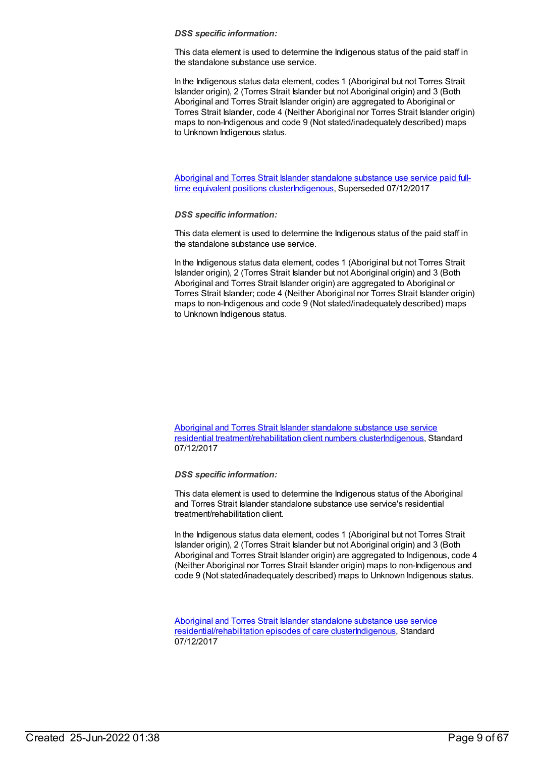This data element is used to determine the Indigenous status of the paid staff in the standalone substance use service.

In the Indigenous status data element, codes 1 (Aboriginal but not Torres Strait Islander origin), 2 (Torres Strait Islander but not Aboriginal origin) and 3 (Both Aboriginal and Torres Strait Islander origin) are aggregated to Aboriginal or Torres Strait Islander, code 4 (Neither Aboriginal nor Torres Strait Islander origin) maps to non-Indigenous and code 9 (Not stated/inadequately described) maps to Unknown Indigenous status.

Aboriginal and Torres Strait Islander standalone substance use service paid fulltime equivalent positions [clusterIndigenous,](https://meteor.aihw.gov.au/content/568327) Superseded 07/12/2017

#### *DSS specific information:*

This data element is used to determine the Indigenous status of the paid staff in the standalone substance use service.

In the Indigenous status data element, codes 1 (Aboriginal but not Torres Strait Islander origin), 2 (Torres Strait Islander but not Aboriginal origin) and 3 (Both Aboriginal and Torres Strait Islander origin) are aggregated to Aboriginal or Torres Strait Islander; code 4 (Neither Aboriginal nor Torres Strait Islander origin) maps to non-Indigenous and code 9 (Not stated/inadequately described) maps to Unknown Indigenous status.

Aboriginal and Torres Strait Islander standalone substance use service residential [treatment/rehabilitation](https://meteor.aihw.gov.au/content/677083) client numbers cluste[rIndigenous](https://meteor.aihw.gov.au/RegistrationAuthority/6), Standard 07/12/2017

*DSS specific information:*

This data element is used to determine the Indigenous status of the Aboriginal and Torres Strait Islander standalone substance use service's residential treatment/rehabilitation client.

In the Indigenous status data element, codes 1 (Aboriginal but not Torres Strait Islander origin), 2 (Torres Strait Islander but not Aboriginal origin) and 3 (Both Aboriginal and Torres Strait Islander origin) are aggregated to Indigenous, code 4 (Neither Aboriginal nor Torres Strait Islander origin) maps to non-Indigenous and code 9 (Not stated/inadequately described) maps to Unknown Indigenous status.

Aboriginal and Torres Strait Islander standalone substance use service [residential/rehabilitation](https://meteor.aihw.gov.au/content/677100) episodes of care cluste[rIndigenous](https://meteor.aihw.gov.au/RegistrationAuthority/6), Standard 07/12/2017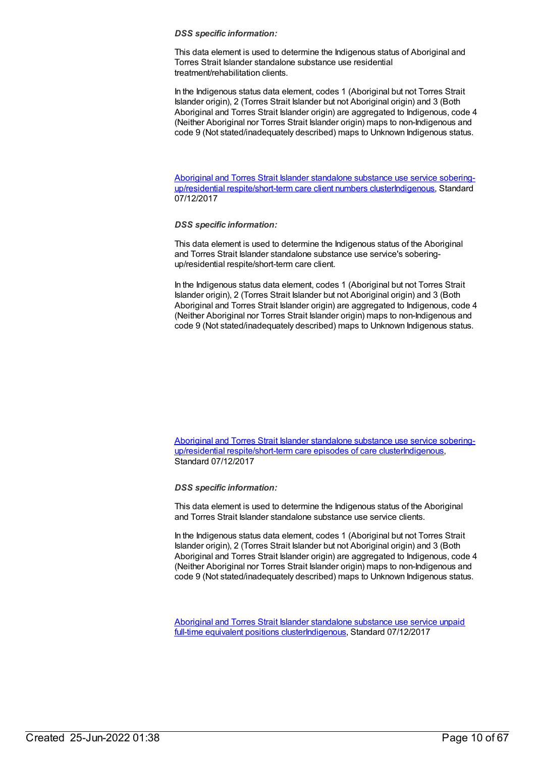This data element is used to determine the Indigenous status of Aboriginal and Torres Strait Islander standalone substance use residential treatment/rehabilitation clients.

In the Indigenous status data element, codes 1 (Aboriginal but not Torres Strait Islander origin), 2 (Torres Strait Islander but not Aboriginal origin) and 3 (Both Aboriginal and Torres Strait Islander origin) are aggregated to Indigenous, code 4 (Neither Aboriginal nor Torres Strait Islander origin) maps to non-Indigenous and code 9 (Not stated/inadequately described) maps to Unknown Indigenous status.

Aboriginal and Torres Strait Islander standalone substance use service soberingup/residential respite/short-term care client numbers [clusterIndigenous,](https://meteor.aihw.gov.au/content/677106) Standard 07/12/2017

#### *DSS specific information:*

This data element is used to determine the Indigenous status of the Aboriginal and Torres Strait Islander standalone substance use service's soberingup/residential respite/short-term care client.

In the Indigenous status data element, codes 1 (Aboriginal but not Torres Strait Islander origin), 2 (Torres Strait Islander but not Aboriginal origin) and 3 (Both Aboriginal and Torres Strait Islander origin) are aggregated to Indigenous, code 4 (Neither Aboriginal nor Torres Strait Islander origin) maps to non-Indigenous and code 9 (Not stated/inadequately described) maps to Unknown Indigenous status.

Aboriginal and Torres Strait Islander standalone substance use service soberingup/residential respite/short-term care episodes of care [clusterIndigenous,](https://meteor.aihw.gov.au/content/677115) Standard 07/12/2017

*DSS specific information:*

This data element is used to determine the Indigenous status of the Aboriginal and Torres Strait Islander standalone substance use service clients.

In the Indigenous status data element, codes 1 (Aboriginal but not Torres Strait Islander origin), 2 (Torres Strait Islander but not Aboriginal origin) and 3 (Both Aboriginal and Torres Strait Islander origin) are aggregated to Indigenous, code 4 (Neither Aboriginal nor Torres Strait Islander origin) maps to non-Indigenous and code 9 (Not stated/inadequately described) maps to Unknown Indigenous status.

Aboriginal and Torres Strait Islander standalone substance use service unpaid full-time equivalent positions [clusterIndigenous,](https://meteor.aihw.gov.au/content/677147) Standard 07/12/2017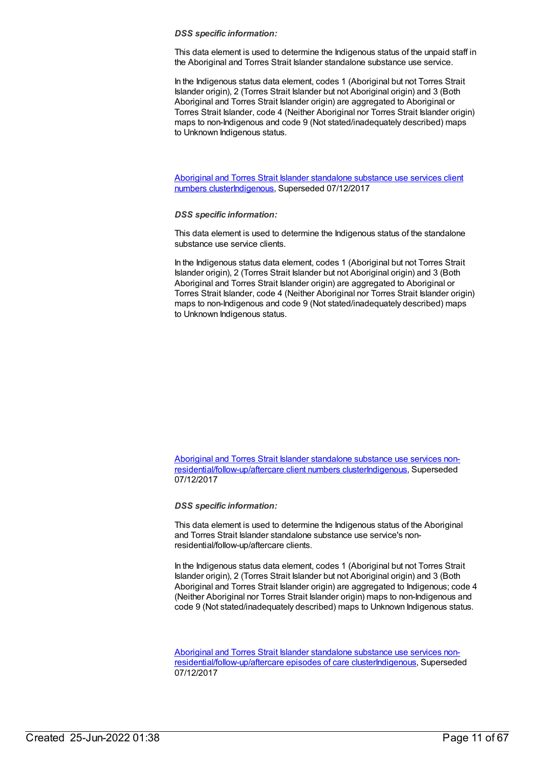This data element is used to determine the Indigenous status of the unpaid staff in the Aboriginal and Torres Strait Islander standalone substance use service.

In the Indigenous status data element, codes 1 (Aboriginal but not Torres Strait Islander origin), 2 (Torres Strait Islander but not Aboriginal origin) and 3 (Both Aboriginal and Torres Strait Islander origin) are aggregated to Aboriginal or Torres Strait Islander, code 4 (Neither Aboriginal nor Torres Strait Islander origin) maps to non-Indigenous and code 9 (Not stated/inadequately described) maps to Unknown Indigenous status.

Aboriginal and Torres Strait Islander standalone substance use services client numbers [clusterIndigenous,](https://meteor.aihw.gov.au/content/568225) Superseded 07/12/2017

### *DSS specific information:*

This data element is used to determine the Indigenous status of the standalone substance use service clients.

In the Indigenous status data element, codes 1 (Aboriginal but not Torres Strait Islander origin), 2 (Torres Strait Islander but not Aboriginal origin) and 3 (Both Aboriginal and Torres Strait Islander origin) are aggregated to Aboriginal or Torres Strait Islander, code 4 (Neither Aboriginal nor Torres Strait Islander origin) maps to non-Indigenous and code 9 (Not stated/inadequately described) maps to Unknown Indigenous status.

Aboriginal and Torres Strait Islander standalone substance use services non[residential/follow-up/aftercare](https://meteor.aihw.gov.au/content/576863) client numbers cluste[rIndigenous](https://meteor.aihw.gov.au/RegistrationAuthority/6), Superseded 07/12/2017

*DSS specific information:*

This data element is used to determine the Indigenous status of the Aboriginal and Torres Strait Islander standalone substance use service's nonresidential/follow-up/aftercare clients.

In the Indigenous status data element, codes 1 (Aboriginal but not Torres Strait Islander origin), 2 (Torres Strait Islander but not Aboriginal origin) and 3 (Both Aboriginal and Torres Strait Islander origin) are aggregated to Indigenous; code 4 (Neither Aboriginal nor Torres Strait Islander origin) maps to non-Indigenous and code 9 (Not stated/inadequately described) maps to Unknown Indigenous status.

Aboriginal and Torres Strait Islander standalone substance use services non[residential/follow-up/aftercare](https://meteor.aihw.gov.au/content/576889) episodes of care cluste[rIndigenous](https://meteor.aihw.gov.au/RegistrationAuthority/6), Superseded 07/12/2017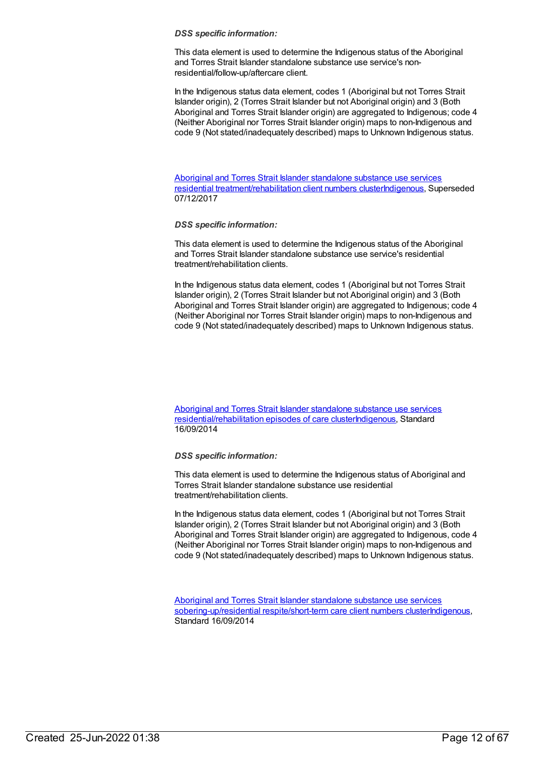This data element is used to determine the Indigenous status of the Aboriginal and Torres Strait Islander standalone substance use service's nonresidential/follow-up/aftercare client.

In the Indigenous status data element, codes 1 (Aboriginal but not Torres Strait Islander origin), 2 (Torres Strait Islander but not Aboriginal origin) and 3 (Both Aboriginal and Torres Strait Islander origin) are aggregated to Indigenous; code 4 (Neither Aboriginal nor Torres Strait Islander origin) maps to non-Indigenous and code 9 (Not stated/inadequately described) maps to Unknown Indigenous status.

Aboriginal and Torres Strait Islander standalone substance use services residential [treatment/rehabilitation](https://meteor.aihw.gov.au/content/575764) client numbers cluste[rIndigenous](https://meteor.aihw.gov.au/RegistrationAuthority/6), Superseded 07/12/2017

# *DSS specific information:*

This data element is used to determine the Indigenous status of the Aboriginal and Torres Strait Islander standalone substance use service's residential treatment/rehabilitation clients.

In the Indigenous status data element, codes 1 (Aboriginal but not Torres Strait Islander origin), 2 (Torres Strait Islander but not Aboriginal origin) and 3 (Both Aboriginal and Torres Strait Islander origin) are aggregated to Indigenous; code 4 (Neither Aboriginal nor Torres Strait Islander origin) maps to non-Indigenous and code 9 (Not stated/inadequately described) maps to Unknown Indigenous status.

# Aboriginal and Torres Strait Islander standalone substance use services [residential/rehabilitation](https://meteor.aihw.gov.au/content/576074) episodes of care cluste[rIndigenous](https://meteor.aihw.gov.au/RegistrationAuthority/6), Standard 16/09/2014

# *DSS specific information:*

This data element is used to determine the Indigenous status of Aboriginal and Torres Strait Islander standalone substance use residential treatment/rehabilitation clients.

In the Indigenous status data element, codes 1 (Aboriginal but not Torres Strait Islander origin), 2 (Torres Strait Islander but not Aboriginal origin) and 3 (Both Aboriginal and Torres Strait Islander origin) are aggregated to Indigenous, code 4 (Neither Aboriginal nor Torres Strait Islander origin) maps to non-Indigenous and code 9 (Not stated/inadequately described) maps to Unknown Indigenous status.

Aboriginal and Torres Strait Islander standalone substance use services [sobering-up/residential](https://meteor.aihw.gov.au/content/576557) respite/short-term care client numbers cluste[rIndigenous](https://meteor.aihw.gov.au/RegistrationAuthority/6), Standard 16/09/2014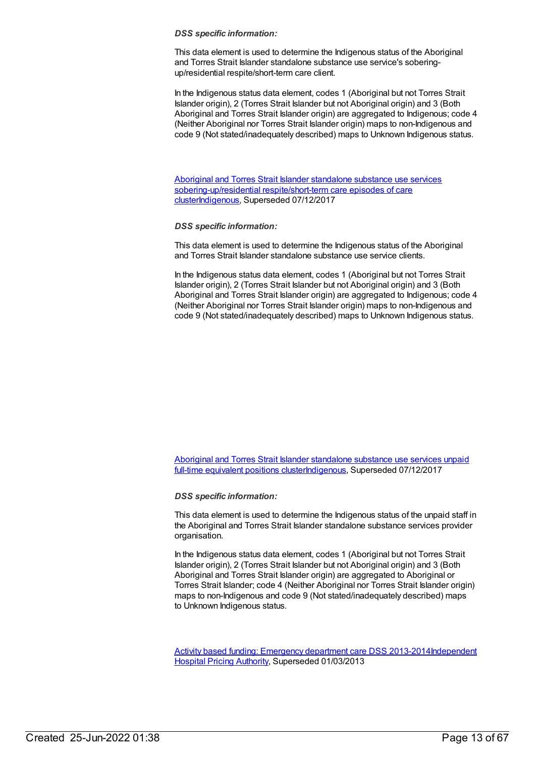This data element is used to determine the Indigenous status of the Aboriginal and Torres Strait Islander standalone substance use service's soberingup/residential respite/short-term care client.

In the Indigenous status data element, codes 1 (Aboriginal but not Torres Strait Islander origin), 2 (Torres Strait Islander but not Aboriginal origin) and 3 (Both Aboriginal and Torres Strait Islander origin) are aggregated to Indigenous; code 4 (Neither Aboriginal nor Torres Strait Islander origin) maps to non-Indigenous and code 9 (Not stated/inadequately described) maps to Unknown Indigenous status.

Aboriginal and Torres Strait Islander standalone substance use services [sobering-up/residential](https://meteor.aihw.gov.au/content/576637) respite/short-term care episodes of care cluste[rIndigenous](https://meteor.aihw.gov.au/RegistrationAuthority/6), Superseded 07/12/2017

*DSS specific information:*

This data element is used to determine the Indigenous status of the Aboriginal and Torres Strait Islander standalone substance use service clients.

In the Indigenous status data element, codes 1 (Aboriginal but not Torres Strait Islander origin), 2 (Torres Strait Islander but not Aboriginal origin) and 3 (Both Aboriginal and Torres Strait Islander origin) are aggregated to Indigenous; code 4 (Neither Aboriginal nor Torres Strait Islander origin) maps to non-Indigenous and code 9 (Not stated/inadequately described) maps to Unknown Indigenous status.

Aboriginal and Torres Strait Islander standalone substance use services unpaid full-time equivalent positions [clusterIndigenous,](https://meteor.aihw.gov.au/content/568406) Superseded 07/12/2017

*DSS specific information:*

This data element is used to determine the Indigenous status of the unpaid staff in the Aboriginal and Torres Strait Islander standalone substance services provider organisation.

In the Indigenous status data element, codes 1 (Aboriginal but not Torres Strait Islander origin), 2 (Torres Strait Islander but not Aboriginal origin) and 3 (Both Aboriginal and Torres Strait Islander origin) are aggregated to Aboriginal or Torres Strait Islander; code 4 (Neither Aboriginal nor Torres Strait Islander origin) maps to non-Indigenous and code 9 (Not stated/inadequately described) maps to Unknown Indigenous status.

Activity based funding: [Emergency](https://meteor.aihw.gov.au/content/497500) department care DSS [2013-2014Independent](https://meteor.aihw.gov.au/RegistrationAuthority/3) Hospital Pricing Authority, Superseded 01/03/2013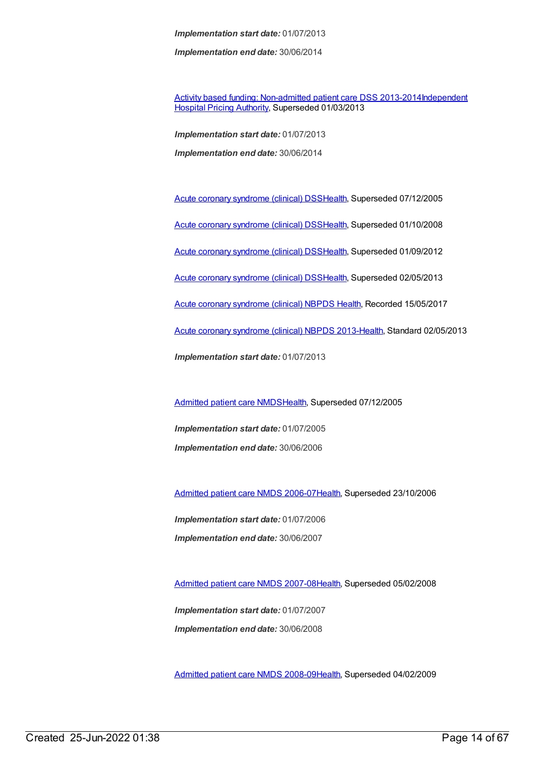*Implementation end date:* 30/06/2014

Activity based funding: [Non-admitted](https://meteor.aihw.gov.au/content/497531) patient care DSS [2013-2014Independent](https://meteor.aihw.gov.au/RegistrationAuthority/3) Hospital Pricing Authority, Superseded 01/03/2013

*Implementation start date:* 01/07/2013 *Implementation end date:* 30/06/2014

Acute coronary [syndrome](https://meteor.aihw.gov.au/content/285277) (clinical) DS[SHealth](https://meteor.aihw.gov.au/RegistrationAuthority/12), Superseded 07/12/2005 Acute coronary [syndrome](https://meteor.aihw.gov.au/content/319741) (clinical) DS[SHealth](https://meteor.aihw.gov.au/RegistrationAuthority/12), Superseded 01/10/2008 Acute coronary [syndrome](https://meteor.aihw.gov.au/content/372930) (clinical) DS[SHealth](https://meteor.aihw.gov.au/RegistrationAuthority/12), Superseded 01/09/2012 Acute coronary [syndrome](https://meteor.aihw.gov.au/content/482119) (clinical) DS[SHealth](https://meteor.aihw.gov.au/RegistrationAuthority/12), Superseded 02/05/2013 Acute coronary [syndrome](https://meteor.aihw.gov.au/content/621789) (clinical) NBPDS [Health](https://meteor.aihw.gov.au/RegistrationAuthority/12), Recorded 15/05/2017 Acute coronary [syndrome](https://meteor.aihw.gov.au/content/523140) (clinical) NBPDS 2013[-Health](https://meteor.aihw.gov.au/RegistrationAuthority/12), Standard 02/05/2013 *Implementation start date:* 01/07/2013

[Admitted](https://meteor.aihw.gov.au/content/273050) patient care NMDS[Health](https://meteor.aihw.gov.au/RegistrationAuthority/12), Superseded 07/12/2005

*Implementation start date:* 01/07/2005 *Implementation end date:* 30/06/2006

[Admitted](https://meteor.aihw.gov.au/content/334023) patient care NMDS 2006-07[Health](https://meteor.aihw.gov.au/RegistrationAuthority/12), Superseded 23/10/2006

*Implementation start date:* 01/07/2006 *Implementation end date:* 30/06/2007

[Admitted](https://meteor.aihw.gov.au/content/339089) patient care NMDS 2007-08[Health](https://meteor.aihw.gov.au/RegistrationAuthority/12), Superseded 05/02/2008

*Implementation start date:* 01/07/2007 *Implementation end date:* 30/06/2008

[Admitted](https://meteor.aihw.gov.au/content/361679) patient care NMDS 2008-09[Health](https://meteor.aihw.gov.au/RegistrationAuthority/12), Superseded 04/02/2009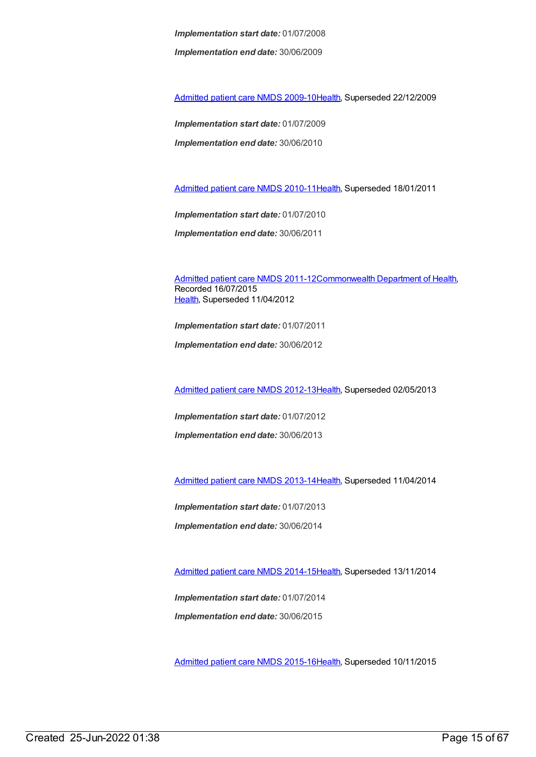*Implementation end date:* 30/06/2009

[Admitted](https://meteor.aihw.gov.au/content/374205) patient care NMDS 2009-10[Health](https://meteor.aihw.gov.au/RegistrationAuthority/12), Superseded 22/12/2009

*Implementation start date:* 01/07/2009 *Implementation end date:* 30/06/2010

[Admitted](https://meteor.aihw.gov.au/content/386797) patient care NMDS 2010-11[Health](https://meteor.aihw.gov.au/RegistrationAuthority/12), Superseded 18/01/2011

*Implementation start date:* 01/07/2010 *Implementation end date:* 30/06/2011

[Admitted](https://meteor.aihw.gov.au/content/426861) patient care NMDS 2011-12[Commonwealth](https://meteor.aihw.gov.au/RegistrationAuthority/10) Department of Health, Recorded 16/07/2015 [Health](https://meteor.aihw.gov.au/RegistrationAuthority/12), Superseded 11/04/2012

*Implementation start date:* 01/07/2011 *Implementation end date:* 30/06/2012

[Admitted](https://meteor.aihw.gov.au/content/466132) patient care NMDS 2012-13[Health](https://meteor.aihw.gov.au/RegistrationAuthority/12), Superseded 02/05/2013

*Implementation start date:* 01/07/2012

*Implementation end date:* 30/06/2013

[Admitted](https://meteor.aihw.gov.au/content/491555) patient care NMDS 2013-14[Health](https://meteor.aihw.gov.au/RegistrationAuthority/12), Superseded 11/04/2014

*Implementation start date:* 01/07/2013

*Implementation end date:* 30/06/2014

[Admitted](https://meteor.aihw.gov.au/content/535047) patient care NMDS 2014-15[Health](https://meteor.aihw.gov.au/RegistrationAuthority/12), Superseded 13/11/2014

*Implementation start date:* 01/07/2014 *Implementation end date:* 30/06/2015

[Admitted](https://meteor.aihw.gov.au/content/588909) patient care NMDS 2015-16[Health](https://meteor.aihw.gov.au/RegistrationAuthority/12), Superseded 10/11/2015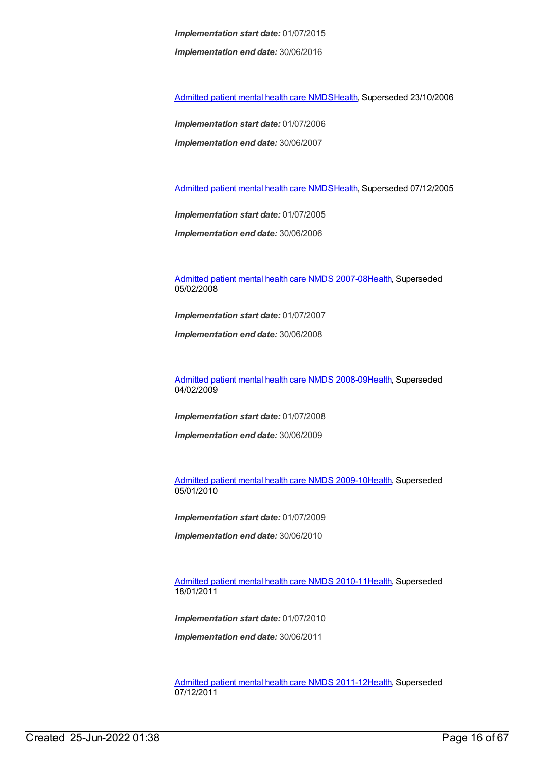*Implementation start date:* 01/07/2015 *Implementation end date:* 30/06/2016

[Admitted](https://meteor.aihw.gov.au/content/334031) patient mental health care NMD[SHealth](https://meteor.aihw.gov.au/RegistrationAuthority/12), Superseded 23/10/2006

*Implementation start date:* 01/07/2006 *Implementation end date:* 30/06/2007

[Admitted](https://meteor.aihw.gov.au/content/273048) patient mental health care NMD[SHealth](https://meteor.aihw.gov.au/RegistrationAuthority/12), Superseded 07/12/2005

*Implementation start date:* 01/07/2005 *Implementation end date:* 30/06/2006

[Admitted](https://meteor.aihw.gov.au/content/345110) patient mental health care NMDS 2007-08[Health](https://meteor.aihw.gov.au/RegistrationAuthority/12), Superseded 05/02/2008

*Implementation start date:* 01/07/2007

*Implementation end date:* 30/06/2008

[Admitted](https://meteor.aihw.gov.au/content/362305) patient mental health care NMDS 2008-09[Health](https://meteor.aihw.gov.au/RegistrationAuthority/12), Superseded 04/02/2009

*Implementation start date:* 01/07/2008

*Implementation end date:* 30/06/2009

[Admitted](https://meteor.aihw.gov.au/content/374207) patient mental health care NMDS 2009-10[Health](https://meteor.aihw.gov.au/RegistrationAuthority/12), Superseded 05/01/2010

*Implementation start date:* 01/07/2009

*Implementation end date:* 30/06/2010

[Admitted](https://meteor.aihw.gov.au/content/386799) patient mental health care NMDS 2010-11[Health](https://meteor.aihw.gov.au/RegistrationAuthority/12), Superseded 18/01/2011

*Implementation start date:* 01/07/2010

*Implementation end date:* 30/06/2011

[Admitted](https://meteor.aihw.gov.au/content/426872) patient mental health care NMDS 2011-12[Health](https://meteor.aihw.gov.au/RegistrationAuthority/12), Superseded 07/12/2011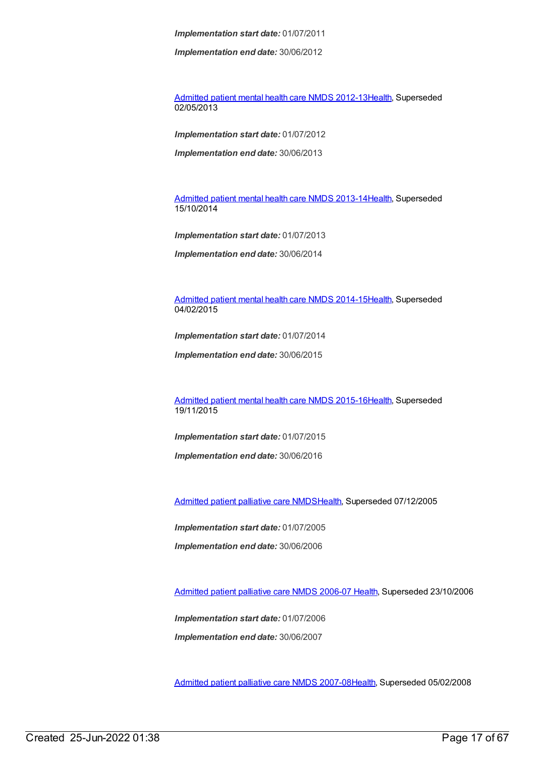*Implementation end date:* 30/06/2012

[Admitted](https://meteor.aihw.gov.au/content/471383) patient mental health care NMDS 2012-13[Health](https://meteor.aihw.gov.au/RegistrationAuthority/12), Superseded 02/05/2013

*Implementation start date:* 01/07/2012

*Implementation end date:* 30/06/2013

[Admitted](https://meteor.aihw.gov.au/content/504646) patient mental health care NMDS 2013-14[Health](https://meteor.aihw.gov.au/RegistrationAuthority/12), Superseded 15/10/2014

*Implementation start date:* 01/07/2013

*Implementation end date:* 30/06/2014

[Admitted](https://meteor.aihw.gov.au/content/553164) patient mental health care NMDS 2014-15[Health](https://meteor.aihw.gov.au/RegistrationAuthority/12), Superseded 04/02/2015

*Implementation start date:* 01/07/2014

*Implementation end date:* 30/06/2015

[Admitted](https://meteor.aihw.gov.au/content/590510) patient mental health care NMDS 2015-16[Health](https://meteor.aihw.gov.au/RegistrationAuthority/12), Superseded 19/11/2015

*Implementation start date:* 01/07/2015

*Implementation end date:* 30/06/2016

[Admitted](https://meteor.aihw.gov.au/content/273046) patient palliative care NMD[SHealth](https://meteor.aihw.gov.au/RegistrationAuthority/12), Superseded 07/12/2005

*Implementation start date:* 01/07/2005

*Implementation end date:* 30/06/2006

[Admitted](https://meteor.aihw.gov.au/content/334050) patient palliative care NMDS 2006-07 [Health](https://meteor.aihw.gov.au/RegistrationAuthority/12), Superseded 23/10/2006

*Implementation start date:* 01/07/2006 *Implementation end date:* 30/06/2007

[Admitted](https://meteor.aihw.gov.au/content/339098) patient palliative care NMDS 2007-08[Health](https://meteor.aihw.gov.au/RegistrationAuthority/12), Superseded 05/02/2008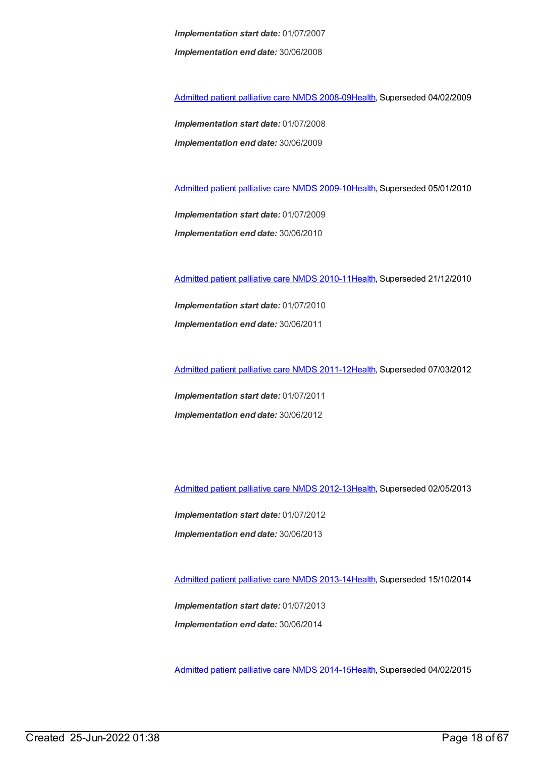*Implementation start date:* 01/07/2007 *Implementation end date:* 30/06/2008

[Admitted](https://meteor.aihw.gov.au/content/361960) patient palliative care NMDS 2008-09[Health](https://meteor.aihw.gov.au/RegistrationAuthority/12), Superseded 04/02/2009

*Implementation start date:* 01/07/2008 *Implementation end date:* 30/06/2009

[Admitted](https://meteor.aihw.gov.au/content/374209) patient palliative care NMDS 2009-10[Health](https://meteor.aihw.gov.au/RegistrationAuthority/12), Superseded 05/01/2010

*Implementation start date:* 01/07/2009 *Implementation end date:* 30/06/2010

[Admitted](https://meteor.aihw.gov.au/content/386801) patient palliative care NMDS 2010-11[Health](https://meteor.aihw.gov.au/RegistrationAuthority/12), Superseded 21/12/2010

*Implementation start date:* 01/07/2010 *Implementation end date:* 30/06/2011

[Admitted](https://meteor.aihw.gov.au/content/426760) patient palliative care NMDS 2011-12[Health](https://meteor.aihw.gov.au/RegistrationAuthority/12), Superseded 07/03/2012

*Implementation start date:* 01/07/2011 *Implementation end date:* 30/06/2012

[Admitted](https://meteor.aihw.gov.au/content/471819) patient palliative care NMDS 2012-13[Health](https://meteor.aihw.gov.au/RegistrationAuthority/12), Superseded 02/05/2013

*Implementation start date:* 01/07/2012 *Implementation end date:* 30/06/2013

[Admitted](https://meteor.aihw.gov.au/content/504641) patient palliative care NMDS 2013-14[Health](https://meteor.aihw.gov.au/RegistrationAuthority/12), Superseded 15/10/2014

*Implementation start date:* 01/07/2013 *Implementation end date:* 30/06/2014

[Admitted](https://meteor.aihw.gov.au/content/553212) patient palliative care NMDS 2014-15[Health](https://meteor.aihw.gov.au/RegistrationAuthority/12), Superseded 04/02/2015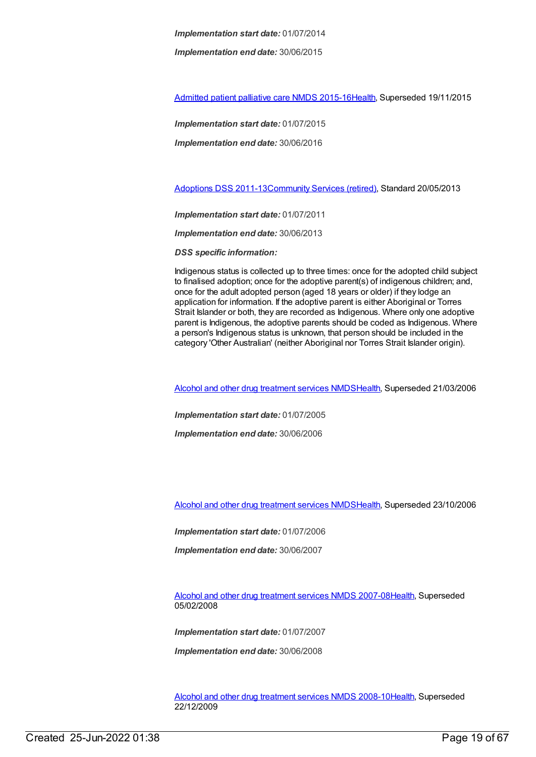*Implementation end date:* 30/06/2015

[Admitted](https://meteor.aihw.gov.au/content/590512) patient palliative care NMDS 2015-16[Health](https://meteor.aihw.gov.au/RegistrationAuthority/12), Superseded 19/11/2015

*Implementation start date:* 01/07/2015

*Implementation end date:* 30/06/2016

[Adoptions](https://meteor.aihw.gov.au/content/467027) DSS 2011-1[3Community](https://meteor.aihw.gov.au/RegistrationAuthority/1) Services (retired), Standard 20/05/2013

*Implementation start date:* 01/07/2011

*Implementation end date:* 30/06/2013

*DSS specific information:*

Indigenous status is collected up to three times: once for the adopted child subject to finalised adoption; once for the adoptive parent(s) of indigenous children; and, once for the adult adopted person (aged 18 years or older) if they lodge an application for information. If the adoptive parent is either Aboriginal or Torres Strait Islander or both, they are recorded as Indigenous. Where only one adoptive parent is Indigenous, the adoptive parents should be coded as Indigenous. Where a person's Indigenous status is unknown, that person should be included in the category 'Other Australian' (neither Aboriginal nor Torres Strait Islander origin).

Alcohol and other drug [treatment](https://meteor.aihw.gov.au/content/273051) services NMD[SHealth](https://meteor.aihw.gov.au/RegistrationAuthority/12), Superseded 21/03/2006

*Implementation start date:* 01/07/2005

*Implementation end date:* 30/06/2006

Alcohol and other drug [treatment](https://meteor.aihw.gov.au/content/334288) services NMD[SHealth](https://meteor.aihw.gov.au/RegistrationAuthority/12), Superseded 23/10/2006

*Implementation start date:* 01/07/2006

*Implementation end date:* 30/06/2007

Alcohol and other drug [treatment](https://meteor.aihw.gov.au/content/345144) services NMDS 2007-0[8Health](https://meteor.aihw.gov.au/RegistrationAuthority/12), Superseded 05/02/2008

*Implementation start date:* 01/07/2007

*Implementation end date:* 30/06/2008

Alcohol and other drug [treatment](https://meteor.aihw.gov.au/content/362318) services NMDS 2008-1[0Health](https://meteor.aihw.gov.au/RegistrationAuthority/12), Superseded 22/12/2009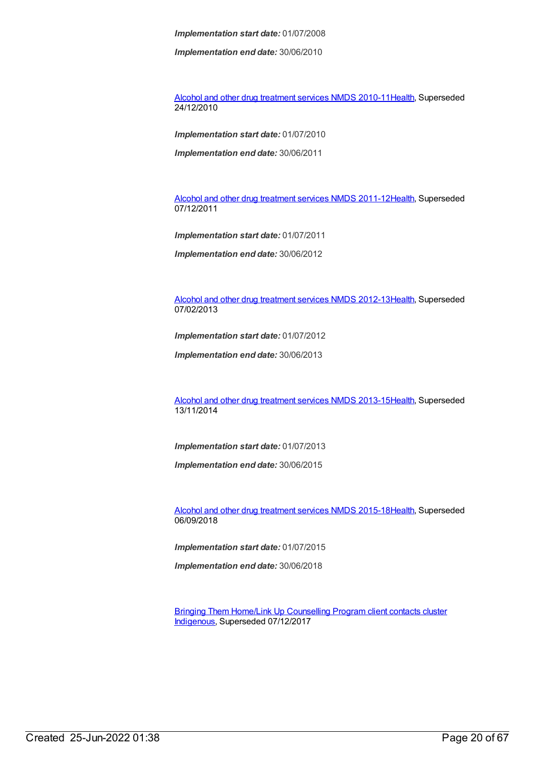*Implementation end date:* 30/06/2010

Alcohol and other drug [treatment](https://meteor.aihw.gov.au/content/374211) services NMDS 2010-1[1Health](https://meteor.aihw.gov.au/RegistrationAuthority/12), Superseded 24/12/2010

*Implementation start date:* 01/07/2010

*Implementation end date:* 30/06/2011

Alcohol and other drug [treatment](https://meteor.aihw.gov.au/content/427037) services NMDS 2011-1[2Health](https://meteor.aihw.gov.au/RegistrationAuthority/12), Superseded 07/12/2011

*Implementation start date:* 01/07/2011

*Implementation end date:* 30/06/2012

Alcohol and other drug [treatment](https://meteor.aihw.gov.au/content/466861) services NMDS 2012-1[3Health](https://meteor.aihw.gov.au/RegistrationAuthority/12), Superseded 07/02/2013

*Implementation start date:* 01/07/2012

*Implementation end date:* 30/06/2013

Alcohol and other drug [treatment](https://meteor.aihw.gov.au/content/498901) services NMDS 2013-1[5Health](https://meteor.aihw.gov.au/RegistrationAuthority/12), Superseded 13/11/2014

*Implementation start date:* 01/07/2013

*Implementation end date:* 30/06/2015

Alcohol and other drug [treatment](https://meteor.aihw.gov.au/content/583090) services NMDS 2015-1[8Health](https://meteor.aihw.gov.au/RegistrationAuthority/12), Superseded 06/09/2018

*Implementation start date:* 01/07/2015

*Implementation end date:* 30/06/2018

Bringing Them Home/Link Up [Counselling](https://meteor.aihw.gov.au/content/578637) Program client contacts cluster [Indigenous](https://meteor.aihw.gov.au/RegistrationAuthority/6), Superseded 07/12/2017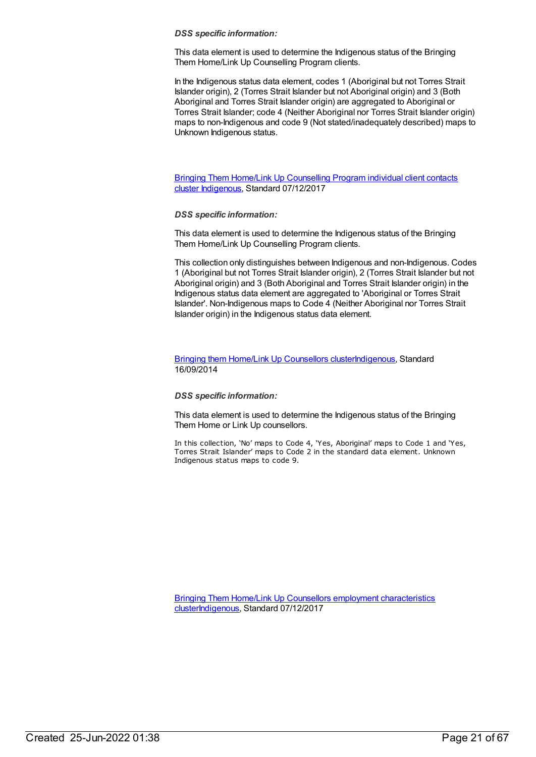This data element is used to determine the Indigenous status of the Bringing Them Home/Link Up Counselling Program clients.

In the Indigenous status data element, codes 1 (Aboriginal but not Torres Strait Islander origin), 2 (Torres Strait Islander but not Aboriginal origin) and 3 (Both Aboriginal and Torres Strait Islander origin) are aggregated to Aboriginal or Torres Strait Islander; code 4 (Neither Aboriginal nor Torres Strait Islander origin) maps to non-Indigenous and code 9 (Not stated/inadequately described) maps to Unknown Indigenous status.

Bringing Them Home/Link Up [Counselling](https://meteor.aihw.gov.au/content/677196) Program individual client contacts cluster [Indigenous](https://meteor.aihw.gov.au/RegistrationAuthority/6), Standard 07/12/2017

#### *DSS specific information:*

This data element is used to determine the Indigenous status of the Bringing Them Home/Link Up Counselling Program clients.

This collection only distinguishes between Indigenous and non-Indigenous. Codes 1 (Aboriginal but not Torres Strait Islander origin), 2 (Torres Strait Islander but not Aboriginal origin) and 3 (Both Aboriginal and Torres Strait Islander origin) in the Indigenous status data element are aggregated to 'Aboriginal or Torres Strait Islander'. Non-Indigenous maps to Code 4 (Neither Aboriginal nor Torres Strait Islander origin) in the Indigenous status data element.

### Bringing them Home/Link Up [Counsellors](https://meteor.aihw.gov.au/content/578340) cluste[rIndigenous,](https://meteor.aihw.gov.au/RegistrationAuthority/6) Standard 16/09/2014

#### *DSS specific information:*

This data element is used to determine the Indigenous status of the Bringing Them Home or Link Up counsellors.

In this collection, 'No' maps to Code 4, 'Yes, Aboriginal' maps to Code 1 and 'Yes, Torres Strait Islander' maps to Code 2 in the standard data element. Unknown Indigenous status maps to code 9.

Bringing Them Home/Link Up Counsellors employment characteristics [cluster](https://meteor.aihw.gov.au/content/613449)[Indigenous](https://meteor.aihw.gov.au/RegistrationAuthority/6)[,](https://meteor.aihw.gov.au/content/613449) Standard 07/12/2017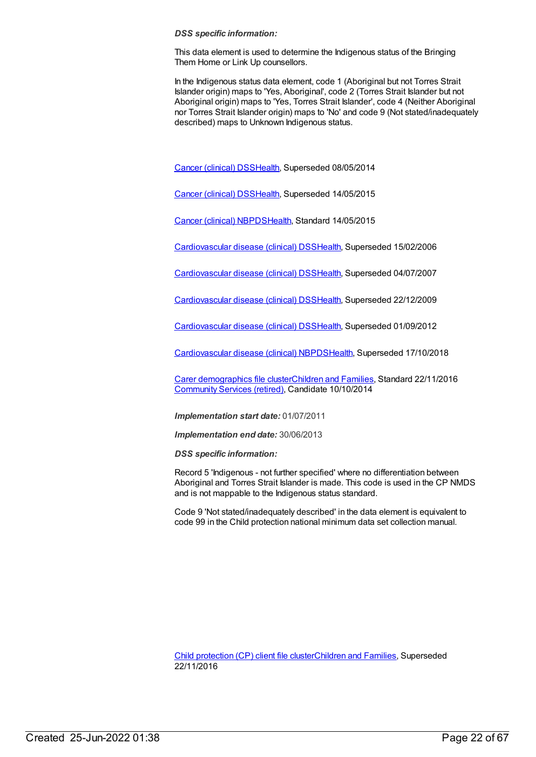This data element is used to determine the Indigenous status of the Bringing Them Home or Link Up counsellors.

In the Indigenous status data element, code 1 (Aboriginal but not Torres Strait Islander origin) maps to 'Yes, Aboriginal', code 2 (Torres Strait Islander but not Aboriginal origin) maps to 'Yes, Torres Strait Islander', code 4 (Neither Aboriginal nor Torres Strait Islander origin) maps to 'No' and code 9 (Not stated/inadequately described) maps to Unknown Indigenous status.

Cancer [\(clinical\)](https://meteor.aihw.gov.au/content/394731) DSS[Health](https://meteor.aihw.gov.au/RegistrationAuthority/12), Superseded 08/05/2014

Cancer [\(clinical\)](https://meteor.aihw.gov.au/content/560813) DSS[Health](https://meteor.aihw.gov.au/RegistrationAuthority/12), Superseded 14/05/2015

Cancer [\(clinical\)](https://meteor.aihw.gov.au/content/597861) NBPD[SHealth](https://meteor.aihw.gov.au/RegistrationAuthority/12), Standard 14/05/2015

[Cardiovascular](https://meteor.aihw.gov.au/content/273052) disease (clinical) DS[SHealth,](https://meteor.aihw.gov.au/RegistrationAuthority/12) Superseded 15/02/2006

[Cardiovascular](https://meteor.aihw.gov.au/content/348289) disease (clinical) DS[SHealth,](https://meteor.aihw.gov.au/RegistrationAuthority/12) Superseded 04/07/2007

[Cardiovascular](https://meteor.aihw.gov.au/content/353668) disease (clinical) DS[SHealth,](https://meteor.aihw.gov.au/RegistrationAuthority/12) Superseded 22/12/2009

[Cardiovascular](https://meteor.aihw.gov.au/content/374213) disease (clinical) DS[SHealth,](https://meteor.aihw.gov.au/RegistrationAuthority/12) Superseded 01/09/2012

[Cardiovascular](https://meteor.aihw.gov.au/content/470731) disease (clinical) NBPD[SHealth](https://meteor.aihw.gov.au/RegistrationAuthority/12), Superseded 17/10/2018

Carer [demographics](https://meteor.aihw.gov.au/content/493178) file cluste[rChildren](https://meteor.aihw.gov.au/RegistrationAuthority/17) and Families, Standard 22/11/2016 [Community](https://meteor.aihw.gov.au/RegistrationAuthority/1) Services (retired), Candidate 10/10/2014

*Implementation start date:* 01/07/2011

*Implementation end date:* 30/06/2013

*DSS specific information:*

Record 5 'Indigenous - not further specified' where no differentiation between Aboriginal and Torres Strait Islander is made. This code is used in the CP NMDS and is not mappable to the Indigenous status standard.

Code 9 'Not stated/inadequately described' in the data element is equivalent to code 99 in the Child protection national minimum data set collection manual.

Child [protection](https://meteor.aihw.gov.au/content/656475) (CP) client file clusterChildren and [Families](https://meteor.aihw.gov.au/RegistrationAuthority/17), Superseded 22/11/2016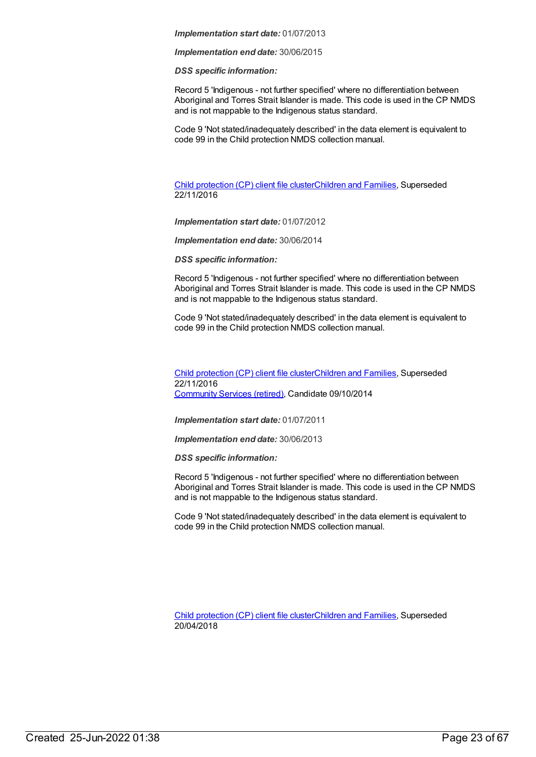*Implementation end date:* 30/06/2015

*DSS specific information:*

Record 5 'Indigenous - not further specified' where no differentiation between Aboriginal and Torres Strait Islander is made. This code is used in the CP NMDS and is not mappable to the Indigenous status standard.

Code 9 'Not stated/inadequately described' in the data element is equivalent to code 99 in the Child protection NMDS collection manual.

Child [protection](https://meteor.aihw.gov.au/content/655203) (CP) client file clusterChildren and [Families](https://meteor.aihw.gov.au/RegistrationAuthority/17), Superseded 22/11/2016

*Implementation start date:* 01/07/2012

*Implementation end date:* 30/06/2014

*DSS specific information:*

Record 5 'Indigenous - not further specified' where no differentiation between Aboriginal and Torres Strait Islander is made. This code is used in the CP NMDS and is not mappable to the Indigenous status standard.

Code 9 'Not stated/inadequately described' in the data element is equivalent to code 99 in the Child protection NMDS collection manual.

Child [protection](https://meteor.aihw.gov.au/content/492589) (CP) client file clusterChildren and [Families](https://meteor.aihw.gov.au/RegistrationAuthority/17), Superseded 22/11/2016 [Community](https://meteor.aihw.gov.au/RegistrationAuthority/1) Services (retired), Candidate 09/10/2014

*Implementation start date:* 01/07/2011

*Implementation end date:* 30/06/2013

*DSS specific information:*

Record 5 'Indigenous - not further specified' where no differentiation between Aboriginal and Torres Strait Islander is made. This code is used in the CP NMDS and is not mappable to the Indigenous status standard.

Code 9 'Not stated/inadequately described' in the data element is equivalent to code 99 in the Child protection NMDS collection manual.

Child [protection](https://meteor.aihw.gov.au/content/656496) (CP) client file clusterChildren and [Families](https://meteor.aihw.gov.au/RegistrationAuthority/17), Superseded 20/04/2018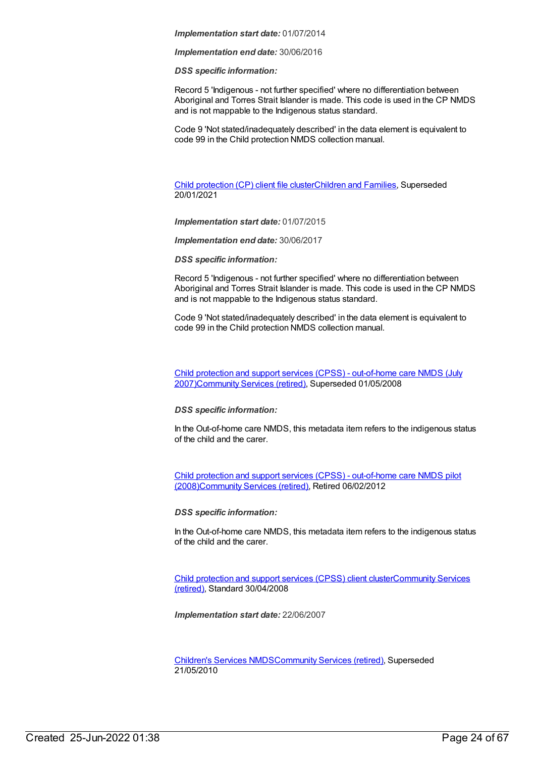*Implementation end date:* 30/06/2016

*DSS specific information:*

Record 5 'Indigenous - not further specified' where no differentiation between Aboriginal and Torres Strait Islander is made. This code is used in the CP NMDS and is not mappable to the Indigenous status standard.

Code 9 'Not stated/inadequately described' in the data element is equivalent to code 99 in the Child protection NMDS collection manual.

Child [protection](https://meteor.aihw.gov.au/content/688429) (CP) client file clusterChildren and [Families](https://meteor.aihw.gov.au/RegistrationAuthority/17), Superseded 20/01/2021

*Implementation start date:* 01/07/2015

*Implementation end date:* 30/06/2017

*DSS specific information:*

Record 5 'Indigenous - not further specified' where no differentiation between Aboriginal and Torres Strait Islander is made. This code is used in the CP NMDS and is not mappable to the Indigenous status standard.

Code 9 'Not stated/inadequately described' in the data element is equivalent to code 99 in the Child protection NMDS collection manual.

Child protection and support services (CPSS) - out-of-home care NMDS (July [2007\)Community](https://meteor.aihw.gov.au/content/355779) Services (retired), Superseded 01/05/2008

*DSS specific information:*

In the Out-of-home care NMDS, this metadata item refers to the indigenous status of the child and the carer.

Child protection and support services (CPSS) - out-of-home care NMDS pilot [\(2008\)Community](https://meteor.aihw.gov.au/content/367283) Services (retired), Retired 06/02/2012

*DSS specific information:*

In the Out-of-home care NMDS, this metadata item refers to the indigenous status of the child and the carer.

Child [protection](https://meteor.aihw.gov.au/content/355790) and support services (CPSS) client [clusterCommunity](https://meteor.aihw.gov.au/RegistrationAuthority/1) Services (retired), Standard 30/04/2008

*Implementation start date:* 22/06/2007

[Children's](https://meteor.aihw.gov.au/content/308217) Services NMD[SCommunity](https://meteor.aihw.gov.au/RegistrationAuthority/1) Services (retired), Superseded 21/05/2010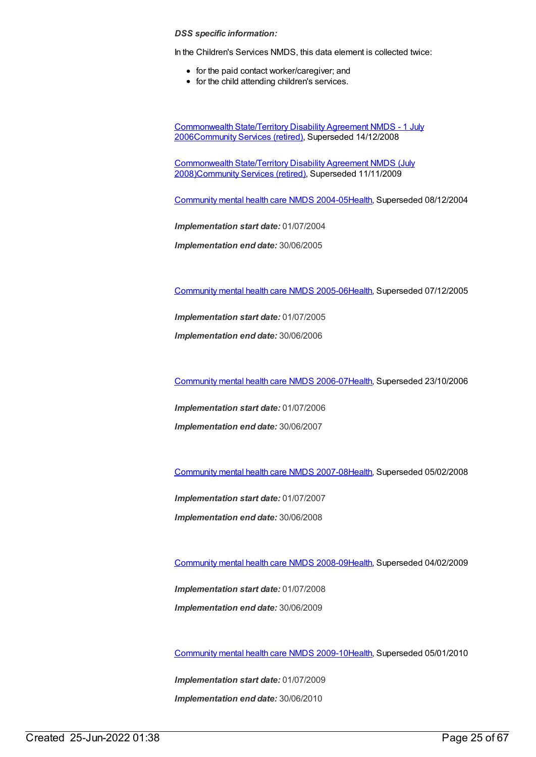In the Children's Services NMDS, this data element is collected twice:

- for the paid contact worker/caregiver; and
- for the child attending children's services.

[Commonwealth](https://meteor.aihw.gov.au/content/317350) State/Territory Disability Agreement NMDS - 1 July 200[6Community](https://meteor.aihw.gov.au/RegistrationAuthority/1) Services (retired), Superseded 14/12/2008

[Commonwealth](https://meteor.aihw.gov.au/content/372123) State/Territory Disability Agreement NMDS (July 2008[\)Community](https://meteor.aihw.gov.au/RegistrationAuthority/1) Services (retired), Superseded 11/11/2009

[Community](https://meteor.aihw.gov.au/content/273044) mental health care NMDS 2004-0[5Health](https://meteor.aihw.gov.au/RegistrationAuthority/12), Superseded 08/12/2004

*Implementation start date:* 01/07/2004

*Implementation end date:* 30/06/2005

[Community](https://meteor.aihw.gov.au/content/285489) mental health care NMDS 2005-0[6Health](https://meteor.aihw.gov.au/RegistrationAuthority/12), Superseded 07/12/2005

*Implementation start date:* 01/07/2005

*Implementation end date:* 30/06/2006

[Community](https://meteor.aihw.gov.au/content/334069) mental health care NMDS 2006-0[7Health](https://meteor.aihw.gov.au/RegistrationAuthority/12), Superseded 23/10/2006

*Implementation start date:* 01/07/2006

*Implementation end date:* 30/06/2007

[Community](https://meteor.aihw.gov.au/content/345116) mental health care NMDS 2007-0[8Health](https://meteor.aihw.gov.au/RegistrationAuthority/12), Superseded 05/02/2008

*Implementation start date:* 01/07/2007 *Implementation end date:* 30/06/2008

[Community](https://meteor.aihw.gov.au/content/362308) mental health care NMDS 2008-0[9Health](https://meteor.aihw.gov.au/RegistrationAuthority/12), Superseded 04/02/2009

*Implementation start date:* 01/07/2008 *Implementation end date:* 30/06/2009

[Community](https://meteor.aihw.gov.au/content/374216) mental health care NMDS 2009-1[0Health](https://meteor.aihw.gov.au/RegistrationAuthority/12), Superseded 05/01/2010

*Implementation start date:* 01/07/2009 *Implementation end date:* 30/06/2010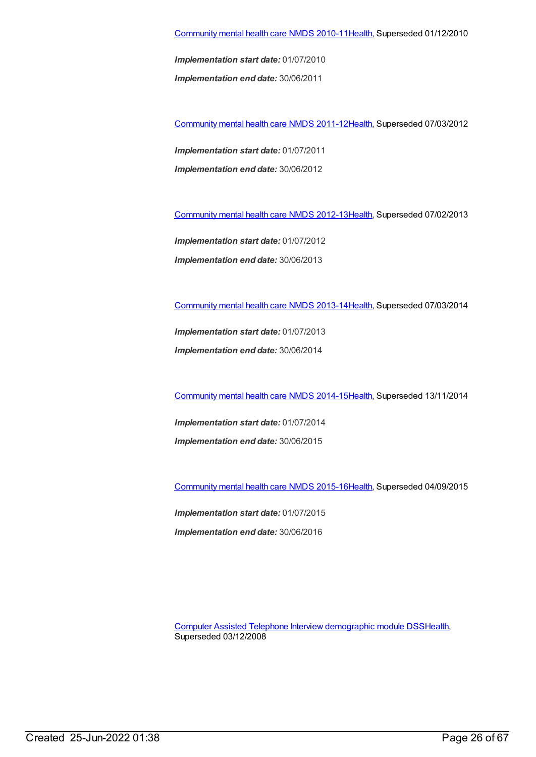*Implementation end date:* 30/06/2011

[Community](https://meteor.aihw.gov.au/content/424727) mental health care NMDS 2011-1[2Health](https://meteor.aihw.gov.au/RegistrationAuthority/12), Superseded 07/03/2012

*Implementation start date:* 01/07/2011 *Implementation end date:* 30/06/2012

[Community](https://meteor.aihw.gov.au/content/468200) mental health care NMDS 2012-1[3Health](https://meteor.aihw.gov.au/RegistrationAuthority/12), Superseded 07/02/2013

*Implementation start date:* 01/07/2012 *Implementation end date:* 30/06/2013

[Community](https://meteor.aihw.gov.au/content/493658) mental health care NMDS 2013-1[4Health](https://meteor.aihw.gov.au/RegistrationAuthority/12), Superseded 07/03/2014

*Implementation start date:* 01/07/2013 *Implementation end date:* 30/06/2014

[Community](https://meteor.aihw.gov.au/content/549878) mental health care NMDS 2014-1[5Health](https://meteor.aihw.gov.au/RegistrationAuthority/12), Superseded 13/11/2014

*Implementation start date:* 01/07/2014 *Implementation end date:* 30/06/2015

[Community](https://meteor.aihw.gov.au/content/565694) mental health care NMDS 2015-1[6Health](https://meteor.aihw.gov.au/RegistrationAuthority/12), Superseded 04/09/2015

*Implementation start date:* 01/07/2015 *Implementation end date:* 30/06/2016

Computer Assisted Telephone Interview [demographic](https://meteor.aihw.gov.au/content/291112) module DS[SHealth](https://meteor.aihw.gov.au/RegistrationAuthority/12), Superseded 03/12/2008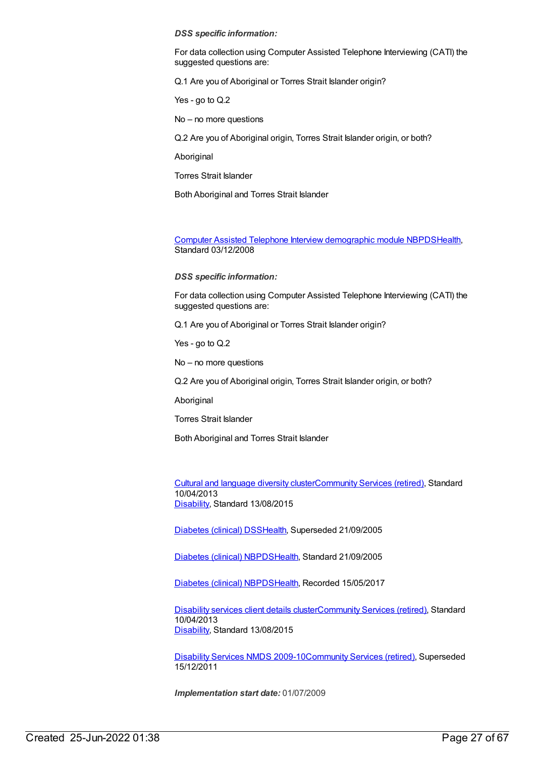For data collection using Computer Assisted Telephone Interviewing (CATI) the suggested questions are:

Q.1 Are you of Aboriginal or Torres Strait Islander origin?

Yes - go to Q.2

No – no more questions

Q.2 Are you of Aboriginal origin, Torres Strait Islander origin, or both?

**Aboriginal** 

**Torres Strait Islander** 

Both Aboriginal and Torres Strait Islander

Computer Assisted Telephone Interview [demographic](https://meteor.aihw.gov.au/content/374218) module NBPD[SHealth](https://meteor.aihw.gov.au/RegistrationAuthority/12), Standard 03/12/2008

*DSS specific information:*

For data collection using Computer Assisted Telephone Interviewing (CATI) the suggested questions are:

Q.1 Are you of Aboriginal or Torres Strait Islander origin?

Yes - go to Q.2

No – no more questions

Q.2 Are you of Aboriginal origin, Torres Strait Islander origin, or both?

Aboriginal

Torres Strait Islander

Both Aboriginal and Torres Strait Islander

Cultural and [language](https://meteor.aihw.gov.au/content/491352) diversity cluste[rCommunity](https://meteor.aihw.gov.au/RegistrationAuthority/1) Services (retired), Standard 10/04/2013 [Disability](https://meteor.aihw.gov.au/RegistrationAuthority/16), Standard 13/08/2015

[Diabetes](https://meteor.aihw.gov.au/content/273054) (clinical) DSS[Health](https://meteor.aihw.gov.au/RegistrationAuthority/12), Superseded 21/09/2005

[Diabetes](https://meteor.aihw.gov.au/content/304865) (clinical) NBPD[SHealth](https://meteor.aihw.gov.au/RegistrationAuthority/12), Standard 21/09/2005

[Diabetes](https://meteor.aihw.gov.au/content/621784) (clinical) NBPD[SHealth](https://meteor.aihw.gov.au/RegistrationAuthority/12), Recorded 15/05/2017

[Disability](https://meteor.aihw.gov.au/content/484543) services client details cluste[rCommunity](https://meteor.aihw.gov.au/RegistrationAuthority/1) Services (retired), Standard 10/04/2013 [Disability](https://meteor.aihw.gov.au/RegistrationAuthority/16), Standard 13/08/2015

[Disability](https://meteor.aihw.gov.au/content/386485) Services NMDS 2009-10[Community](https://meteor.aihw.gov.au/RegistrationAuthority/1) Services (retired), Superseded 15/12/2011

*Implementation start date:* 01/07/2009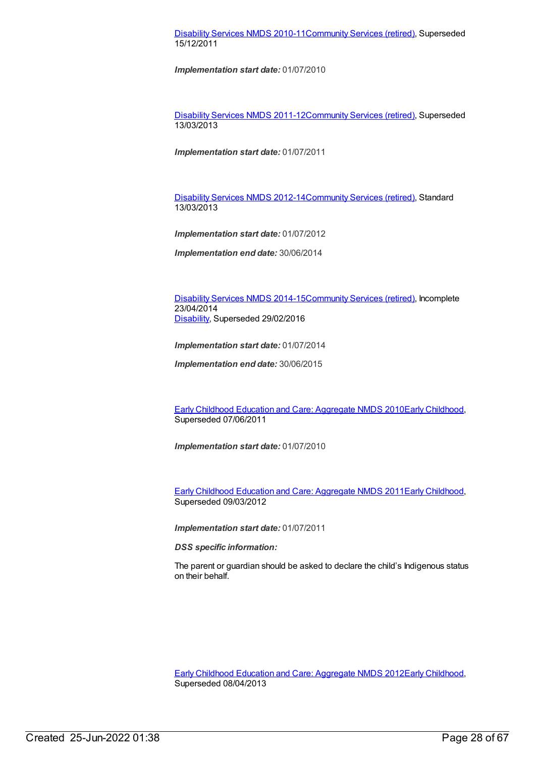# [Disability](https://meteor.aihw.gov.au/content/428708) Services NMDS 2010-11[Community](https://meteor.aihw.gov.au/RegistrationAuthority/1) Services (retired), Superseded 15/12/2011

*Implementation start date:* 01/07/2010

[Disability](https://meteor.aihw.gov.au/content/461636) Services NMDS 2011-12[Community](https://meteor.aihw.gov.au/RegistrationAuthority/1) Services (retired), Superseded 13/03/2013

*Implementation start date:* 01/07/2011

[Disability](https://meteor.aihw.gov.au/content/461640) Services NMDS 2012-14[Community](https://meteor.aihw.gov.au/RegistrationAuthority/1) Services (retired), Standard 13/03/2013

*Implementation start date:* 01/07/2012

*Implementation end date:* 30/06/2014

[Disability](https://meteor.aihw.gov.au/content/569749) Services NMDS 2014-15[Community](https://meteor.aihw.gov.au/RegistrationAuthority/1) Services (retired), Incomplete 23/04/2014 [Disability](https://meteor.aihw.gov.au/RegistrationAuthority/16), Superseded 29/02/2016

*Implementation start date:* 01/07/2014

*Implementation end date:* 30/06/2015

Early Childhood Education and Care: [Aggregate](https://meteor.aihw.gov.au/content/388507) NMDS 2010Early [Childhood](https://meteor.aihw.gov.au/RegistrationAuthority/13), Superseded 07/06/2011

*Implementation start date:* 01/07/2010

Early Childhood Education and Care: [Aggregate](https://meteor.aihw.gov.au/content/441229) NMDS 2011Early [Childhood](https://meteor.aihw.gov.au/RegistrationAuthority/13), Superseded 09/03/2012

*Implementation start date:* 01/07/2011

*DSS specific information:*

The parent or guardian should be asked to declare the child's Indigenous status on their behalf.

Early Childhood Education and Care: [Aggregate](https://meteor.aihw.gov.au/content/466521) NMDS 2012Early [Childhood](https://meteor.aihw.gov.au/RegistrationAuthority/13), Superseded 08/04/2013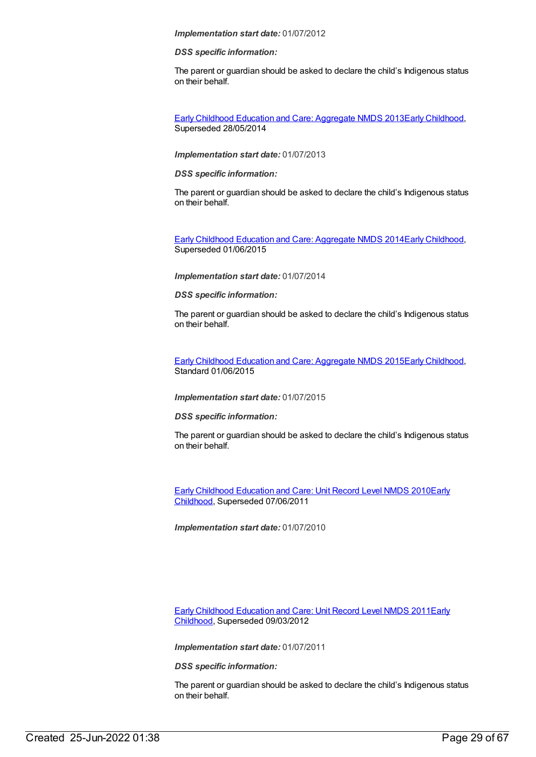#### *DSS specific information:*

The parent or guardian should be asked to declare the child's Indigenous status on their behalf.

Early Childhood Education and Care: [Aggregate](https://meteor.aihw.gov.au/content/494145) NMDS 2013Early [Childhood](https://meteor.aihw.gov.au/RegistrationAuthority/13), Superseded 28/05/2014

#### *Implementation start date:* 01/07/2013

#### *DSS specific information:*

The parent or guardian should be asked to declare the child's Indigenous status on their behalf.

Early Childhood Education and Care: [Aggregate](https://meteor.aihw.gov.au/content/555377) NMDS 2014Early [Childhood](https://meteor.aihw.gov.au/RegistrationAuthority/13), Superseded 01/06/2015

#### *Implementation start date:* 01/07/2014

#### *DSS specific information:*

The parent or guardian should be asked to declare the child's Indigenous status on their behalf.

Early Childhood Education and Care: [Aggregate](https://meteor.aihw.gov.au/content/602245) NMDS 2015Early [Childhood](https://meteor.aihw.gov.au/RegistrationAuthority/13), Standard 01/06/2015

#### *Implementation start date:* 01/07/2015

#### *DSS specific information:*

The parent or guardian should be asked to declare the child's Indigenous status on their behalf.

Early Childhood [Education](https://meteor.aihw.gov.au/content/396792) and Care: Unit Record Level NMDS 2010Early Childhood, [Superseded](https://meteor.aihw.gov.au/RegistrationAuthority/13) 07/06/2011

*Implementation start date:* 01/07/2010

Early Childhood [Education](https://meteor.aihw.gov.au/content/438006) and Care: Unit Record Level NMDS 2011Early Childhood, [Superseded](https://meteor.aihw.gov.au/RegistrationAuthority/13) 09/03/2012

*Implementation start date:* 01/07/2011

*DSS specific information:*

The parent or guardian should be asked to declare the child's Indigenous status on their behalf.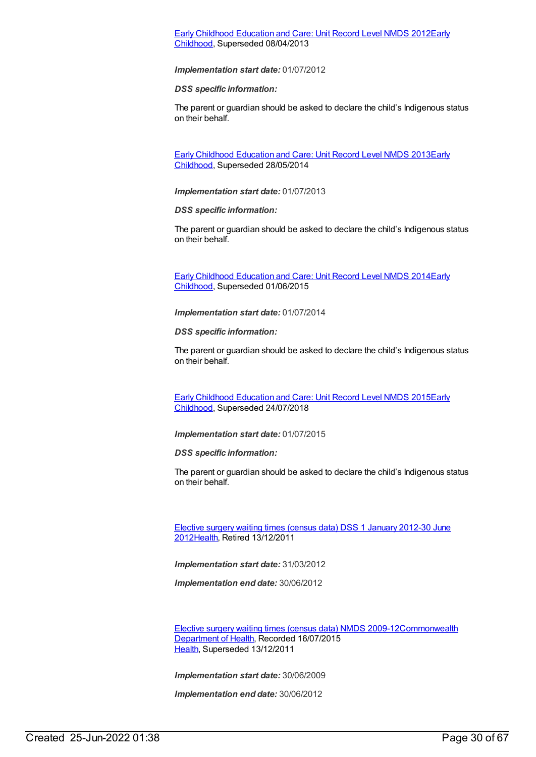# Early Childhood [Education](https://meteor.aihw.gov.au/content/466523) and Care: Unit Record Level NMDS 2012Early Childhood, [Superseded](https://meteor.aihw.gov.au/RegistrationAuthority/13) 08/04/2013

#### *Implementation start date:* 01/07/2012

*DSS specific information:*

The parent or guardian should be asked to declare the child's Indigenous status on their behalf.

Early Childhood [Education](https://meteor.aihw.gov.au/content/494147) and Care: Unit Record Level NMDS 2013Early Childhood, [Superseded](https://meteor.aihw.gov.au/RegistrationAuthority/13) 28/05/2014

*Implementation start date:* 01/07/2013

*DSS specific information:*

The parent or guardian should be asked to declare the child's Indigenous status on their behalf.

Early Childhood [Education](https://meteor.aihw.gov.au/content/555380) and Care: Unit Record Level NMDS 2014Early Childhood, [Superseded](https://meteor.aihw.gov.au/RegistrationAuthority/13) 01/06/2015

*Implementation start date:* 01/07/2014

*DSS specific information:*

The parent or guardian should be asked to declare the child's Indigenous status on their behalf.

Early Childhood [Education](https://meteor.aihw.gov.au/content/602247) and Care: Unit Record Level NMDS 2015Early Childhood, [Superseded](https://meteor.aihw.gov.au/RegistrationAuthority/13) 24/07/2018

*Implementation start date:* 01/07/2015

*DSS specific information:*

The parent or guardian should be asked to declare the child's Indigenous status on their behalf.

Elective surgery waiting times (census data) DSS 1 January 2012-30 June [2012Health,](https://meteor.aihw.gov.au/content/470080) Retired 13/12/2011

*Implementation start date:* 31/03/2012

*Implementation end date:* 30/06/2012

Elective surgery waiting times (census data) NMDS [2009-12Commonwealth](https://meteor.aihw.gov.au/RegistrationAuthority/10) Department of Health, Recorded 16/07/2015 [Health](https://meteor.aihw.gov.au/RegistrationAuthority/12), Superseded 13/12/2011

*Implementation start date:* 30/06/2009

*Implementation end date:* 30/06/2012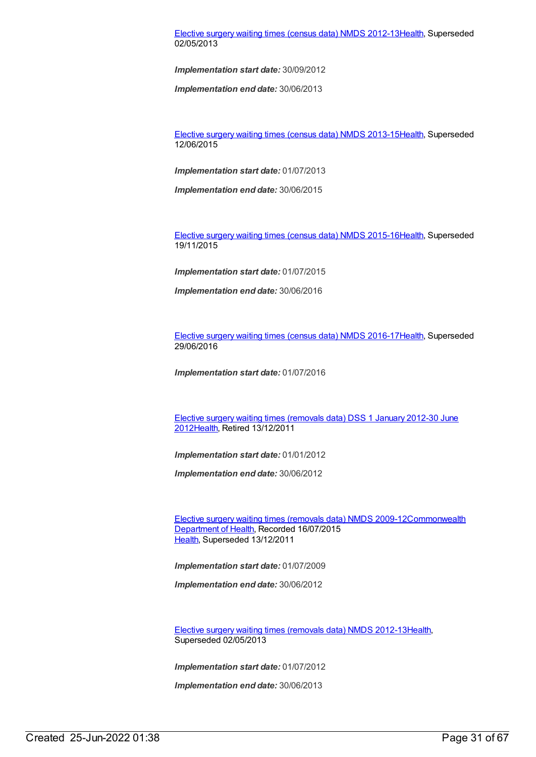### Elective surgery waiting times (census data) NMDS [2012-13](https://meteor.aihw.gov.au/content/472477)[Health](https://meteor.aihw.gov.au/RegistrationAuthority/12), Superseded 02/05/2013

*Implementation start date:* 30/09/2012

*Implementation end date:* 30/06/2013

Elective surgery waiting times (census data) NMDS [2013-15](https://meteor.aihw.gov.au/content/520140)[Health](https://meteor.aihw.gov.au/RegistrationAuthority/12), Superseded 12/06/2015

*Implementation start date:* 01/07/2013

*Implementation end date:* 30/06/2015

Elective surgery waiting times (census data) NMDS [2015-16](https://meteor.aihw.gov.au/content/600059)[Health](https://meteor.aihw.gov.au/RegistrationAuthority/12), Superseded 19/11/2015

*Implementation start date:* 01/07/2015

*Implementation end date:* 30/06/2016

Elective surgery waiting times (census data) NMDS [2016-17](https://meteor.aihw.gov.au/content/613687)[Health](https://meteor.aihw.gov.au/RegistrationAuthority/12), Superseded 29/06/2016

*Implementation start date:* 01/07/2016

Elective surgery waiting times (removals data) DSS 1 January 2012-30 June [2012Health,](https://meteor.aihw.gov.au/content/470097) Retired 13/12/2011

*Implementation start date:* 01/01/2012

*Implementation end date:* 30/06/2012

Elective surgery waiting times [\(removals](https://meteor.aihw.gov.au/content/375336) data) NMDS [2009-12Commonwealth](https://meteor.aihw.gov.au/RegistrationAuthority/10) Department of Health, Recorded 16/07/2015 [Health](https://meteor.aihw.gov.au/RegistrationAuthority/12), Superseded 13/12/2011

*Implementation start date:* 01/07/2009

*Implementation end date:* 30/06/2012

Elective surgery waiting times [\(removals](https://meteor.aihw.gov.au/content/472497) data) NMDS 2012-1[3Health](https://meteor.aihw.gov.au/RegistrationAuthority/12), Superseded 02/05/2013

*Implementation start date:* 01/07/2012

*Implementation end date:* 30/06/2013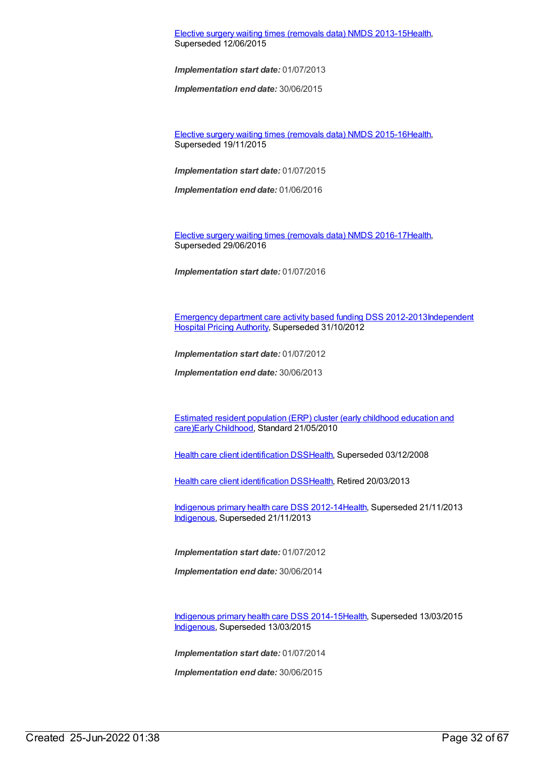Elective surgery waiting times [\(removals](https://meteor.aihw.gov.au/content/520154) data) NMDS 2013-1[5Health](https://meteor.aihw.gov.au/RegistrationAuthority/12), Superseded 12/06/2015

*Implementation start date:* 01/07/2013

*Implementation end date:* 30/06/2015

Elective surgery waiting times [\(removals](https://meteor.aihw.gov.au/content/600056) data) NMDS 2015-1[6Health](https://meteor.aihw.gov.au/RegistrationAuthority/12), Superseded 19/11/2015

*Implementation start date:* 01/07/2015

*Implementation end date:* 01/06/2016

Elective surgery waiting times [\(removals](https://meteor.aihw.gov.au/content/613685) data) NMDS 2016-1[7Health](https://meteor.aihw.gov.au/RegistrationAuthority/12), Superseded 29/06/2016

*Implementation start date:* 01/07/2016

[Emergency](https://meteor.aihw.gov.au/content/496522) department care activity based funding DSS [2012-2013Independent](https://meteor.aihw.gov.au/RegistrationAuthority/3) Hospital Pricing Authority, Superseded 31/10/2012

*Implementation start date:* 01/07/2012

*Implementation end date:* 30/06/2013

Estimated resident [population](https://meteor.aihw.gov.au/content/391940) (ERP) cluster (early childhood education and care)Early [Childhood](https://meteor.aihw.gov.au/RegistrationAuthority/13), Standard 21/05/2010

Health care client [identification](https://meteor.aihw.gov.au/content/288765) DSS[Health,](https://meteor.aihw.gov.au/RegistrationAuthority/12) Superseded 03/12/2008

Health care client [identification](https://meteor.aihw.gov.au/content/374201) DSS[Health,](https://meteor.aihw.gov.au/RegistrationAuthority/12) Retired 20/03/2013

[Indigenous](https://meteor.aihw.gov.au/content/430629) primary health care DSS 2012-1[4Health](https://meteor.aihw.gov.au/RegistrationAuthority/12), Superseded 21/11/2013 [Indigenous](https://meteor.aihw.gov.au/RegistrationAuthority/6), Superseded 21/11/2013

*Implementation start date:* 01/07/2012

*Implementation end date:* 30/06/2014

[Indigenous](https://meteor.aihw.gov.au/content/504325) primary health care DSS 2014-1[5Health](https://meteor.aihw.gov.au/RegistrationAuthority/12), Superseded 13/03/2015 [Indigenous](https://meteor.aihw.gov.au/RegistrationAuthority/6), Superseded 13/03/2015

*Implementation start date:* 01/07/2014

*Implementation end date:* 30/06/2015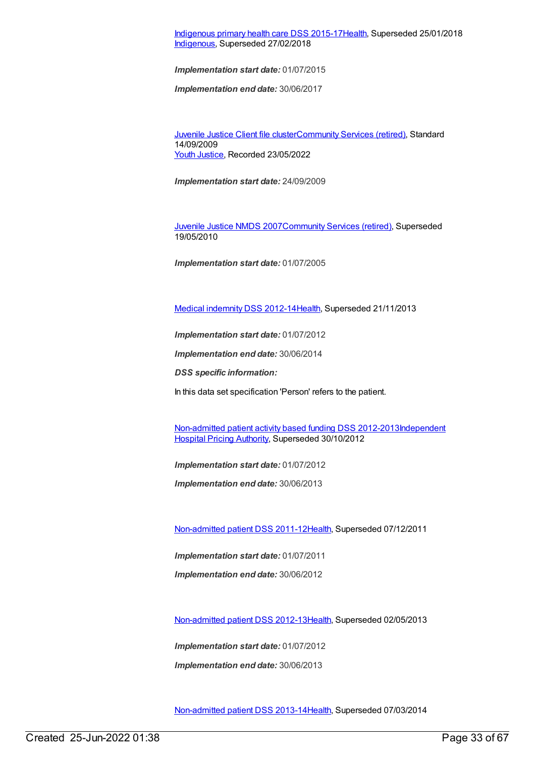# [Indigenous](https://meteor.aihw.gov.au/content/585036) primary health care DSS 2015-1[7Health](https://meteor.aihw.gov.au/RegistrationAuthority/12), Superseded 25/01/2018 [Indigenous](https://meteor.aihw.gov.au/RegistrationAuthority/6), Superseded 27/02/2018

*Implementation start date:* 01/07/2015

*Implementation end date:* 30/06/2017

[Juvenile](https://meteor.aihw.gov.au/content/386845) Justice Client file cluste[rCommunity](https://meteor.aihw.gov.au/RegistrationAuthority/1) Services (retired), Standard 14/09/2009 Youth [Justice](https://meteor.aihw.gov.au/RegistrationAuthority/4), Recorded 23/05/2022

*Implementation start date:* 24/09/2009

[Juvenile](https://meteor.aihw.gov.au/content/314122) Justice NMDS 200[7Community](https://meteor.aihw.gov.au/RegistrationAuthority/1) Services (retired), Superseded 19/05/2010

*Implementation start date:* 01/07/2005

Medical [indemnity](https://meteor.aihw.gov.au/content/329638) DSS 2012-1[4Health](https://meteor.aihw.gov.au/RegistrationAuthority/12), Superseded 21/11/2013

*Implementation start date:* 01/07/2012

*Implementation end date:* 30/06/2014

*DSS specific information:*

In this data set specification 'Person' refers to the patient.

[Non-admitted](https://meteor.aihw.gov.au/content/453284) patient activity based funding DSS [2012-2013Independent](https://meteor.aihw.gov.au/RegistrationAuthority/3) Hospital Pricing Authority, Superseded 30/10/2012

*Implementation start date:* 01/07/2012

*Implementation end date:* 30/06/2013

[Non-admitted](https://meteor.aihw.gov.au/content/399390) patient DSS 2011-1[2Health](https://meteor.aihw.gov.au/RegistrationAuthority/12), Superseded 07/12/2011

*Implementation start date:* 01/07/2011

*Implementation end date:* 30/06/2012

[Non-admitted](https://meteor.aihw.gov.au/content/471846) patient DSS 2012-1[3Health](https://meteor.aihw.gov.au/RegistrationAuthority/12), Superseded 02/05/2013

*Implementation start date:* 01/07/2012

*Implementation end date:* 30/06/2013

[Non-admitted](https://meteor.aihw.gov.au/content/509071) patient DSS 2013-1[4Health](https://meteor.aihw.gov.au/RegistrationAuthority/12), Superseded 07/03/2014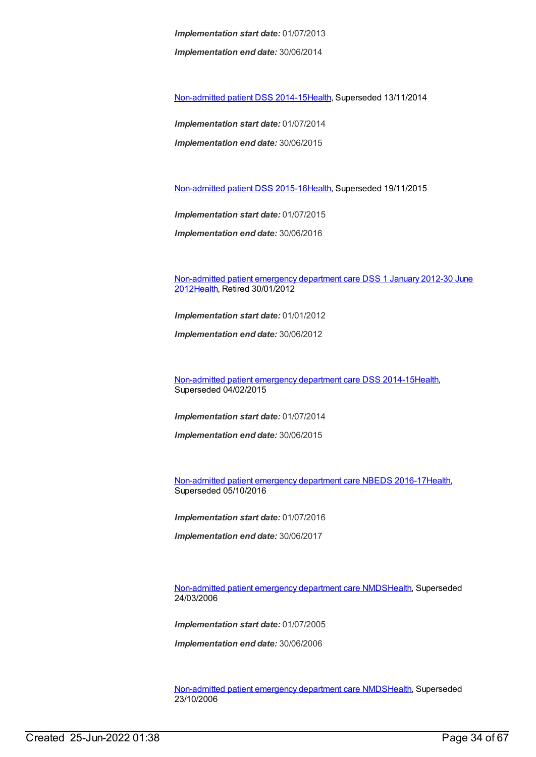*Implementation start date:* 01/07/2013 *Implementation end date:* 30/06/2014

[Non-admitted](https://meteor.aihw.gov.au/content/548176) patient DSS 2014-1[5Health](https://meteor.aihw.gov.au/RegistrationAuthority/12), Superseded 13/11/2014

*Implementation start date:* 01/07/2014 *Implementation end date:* 30/06/2015

[Non-admitted](https://meteor.aihw.gov.au/content/584108) patient DSS 2015-1[6Health](https://meteor.aihw.gov.au/RegistrationAuthority/12), Superseded 19/11/2015

*Implementation start date:* 01/07/2015 *Implementation end date:* 30/06/2016

[Non-admitted](https://meteor.aihw.gov.au/content/471595) patient emergency department care DSS 1 January 2012-30 June 201[2Health](https://meteor.aihw.gov.au/RegistrationAuthority/12), Retired 30/01/2012

*Implementation start date:* 01/01/2012

*Implementation end date:* 30/06/2012

[Non-admitted](https://meteor.aihw.gov.au/content/567462) patient emergency department care DSS 2014-1[5Health](https://meteor.aihw.gov.au/RegistrationAuthority/12), Superseded 04/02/2015

*Implementation start date:* 01/07/2014

*Implementation end date:* 30/06/2015

[Non-admitted](https://meteor.aihw.gov.au/content/617933) patient emergency department care NBEDS 2016-1[7Health](https://meteor.aihw.gov.au/RegistrationAuthority/12), Superseded 05/10/2016

*Implementation start date:* 01/07/2016

*Implementation end date:* 30/06/2017

[Non-admitted](https://meteor.aihw.gov.au/content/319769) patient emergency department care NMD[SHealth](https://meteor.aihw.gov.au/RegistrationAuthority/12), Superseded 24/03/2006

*Implementation start date:* 01/07/2005

*Implementation end date:* 30/06/2006

[Non-admitted](https://meteor.aihw.gov.au/content/322655) patient emergency department care NMD[SHealth](https://meteor.aihw.gov.au/RegistrationAuthority/12), Superseded 23/10/2006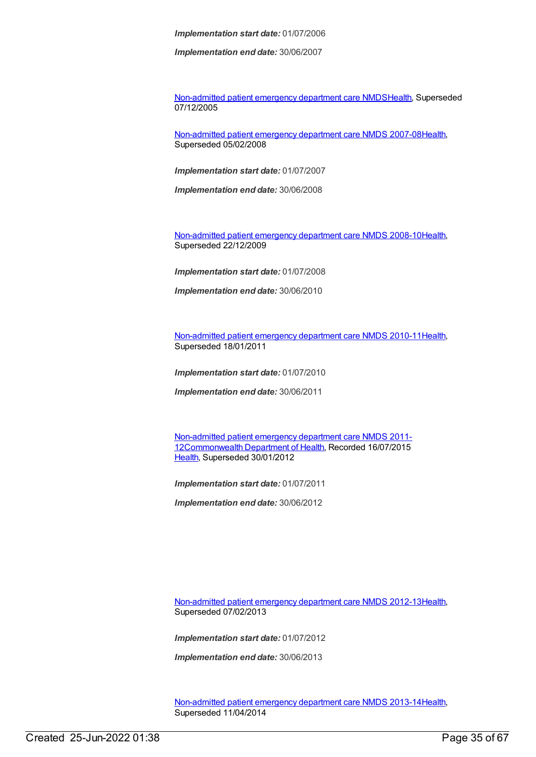*Implementation end date:* 30/06/2007

[Non-admitted](https://meteor.aihw.gov.au/content/273053) patient emergency department care NMD[SHealth](https://meteor.aihw.gov.au/RegistrationAuthority/12), Superseded 07/12/2005

[Non-admitted](https://meteor.aihw.gov.au/content/349836) patient emergency department care NMDS 2007-08[Health](https://meteor.aihw.gov.au/RegistrationAuthority/12), Superseded 05/02/2008

*Implementation start date:* 01/07/2007

*Implementation end date:* 30/06/2008

[Non-admitted](https://meteor.aihw.gov.au/content/363530) patient emergency department care NMDS 2008-10[Health](https://meteor.aihw.gov.au/RegistrationAuthority/12), Superseded 22/12/2009

*Implementation start date:* 01/07/2008

*Implementation end date:* 30/06/2010

[Non-admitted](https://meteor.aihw.gov.au/content/374220) patient emergency department care NMDS 2010-11[Health](https://meteor.aihw.gov.au/RegistrationAuthority/12), Superseded 18/01/2011

*Implementation start date:* 01/07/2010

*Implementation end date:* 30/06/2011

Non-admitted patient emergency department care NMDS 2011- [12Commonwealth](https://meteor.aihw.gov.au/content/426881) Department of Health, Recorded 16/07/2015 [Health](https://meteor.aihw.gov.au/RegistrationAuthority/12), Superseded 30/01/2012

*Implementation start date:* 01/07/2011

*Implementation end date:* 30/06/2012

[Non-admitted](https://meteor.aihw.gov.au/content/474371) patient emergency department care NMDS 2012-13[Health](https://meteor.aihw.gov.au/RegistrationAuthority/12), Superseded 07/02/2013

*Implementation start date:* 01/07/2012

*Implementation end date:* 30/06/2013

[Non-admitted](https://meteor.aihw.gov.au/content/509116) patient emergency department care NMDS 2013-14[Health](https://meteor.aihw.gov.au/RegistrationAuthority/12), Superseded 11/04/2014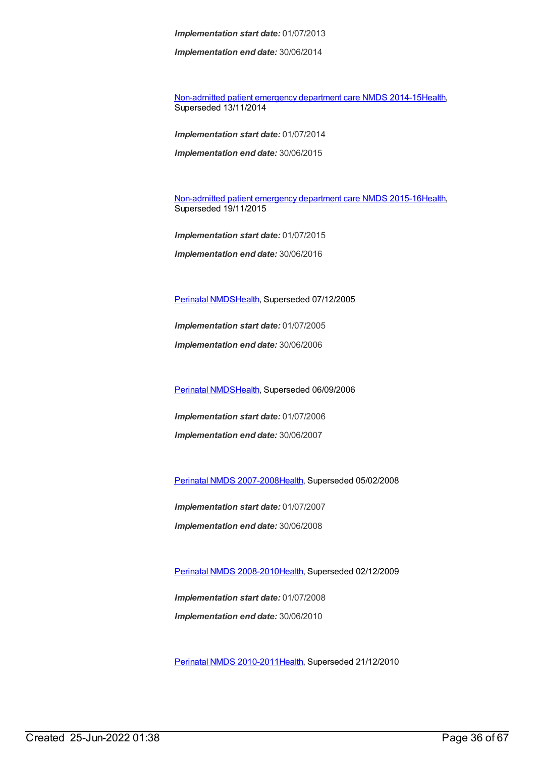*Implementation end date:* 30/06/2014

[Non-admitted](https://meteor.aihw.gov.au/content/566909) patient emergency department care NMDS 2014-15[Health](https://meteor.aihw.gov.au/RegistrationAuthority/12), Superseded 13/11/2014

*Implementation start date:* 01/07/2014 *Implementation end date:* 30/06/2015

[Non-admitted](https://meteor.aihw.gov.au/content/588932) patient emergency department care NMDS 2015-16[Health](https://meteor.aihw.gov.au/RegistrationAuthority/12), Superseded 19/11/2015

*Implementation start date:* 01/07/2015 *Implementation end date:* 30/06/2016

[Perinatal](https://meteor.aihw.gov.au/content/273043) NMDS[Health](https://meteor.aihw.gov.au/RegistrationAuthority/12), Superseded 07/12/2005

*Implementation start date:* 01/07/2005

*Implementation end date:* 30/06/2006

[Perinatal](https://meteor.aihw.gov.au/content/290828) NMDS[Health](https://meteor.aihw.gov.au/RegistrationAuthority/12), Superseded 06/09/2006

*Implementation start date:* 01/07/2006 *Implementation end date:* 30/06/2007

Perinatal NMDS [2007-2008](https://meteor.aihw.gov.au/content/340684)[Health,](https://meteor.aihw.gov.au/RegistrationAuthority/12) Superseded 05/02/2008

*Implementation start date:* 01/07/2007 *Implementation end date:* 30/06/2008

Perinatal NMDS [2008-2010](https://meteor.aihw.gov.au/content/362313)[Health,](https://meteor.aihw.gov.au/RegistrationAuthority/12) Superseded 02/12/2009

*Implementation start date:* 01/07/2008 *Implementation end date:* 30/06/2010

Perinatal NMDS [2010-2011](https://meteor.aihw.gov.au/content/363256)[Health,](https://meteor.aihw.gov.au/RegistrationAuthority/12) Superseded 21/12/2010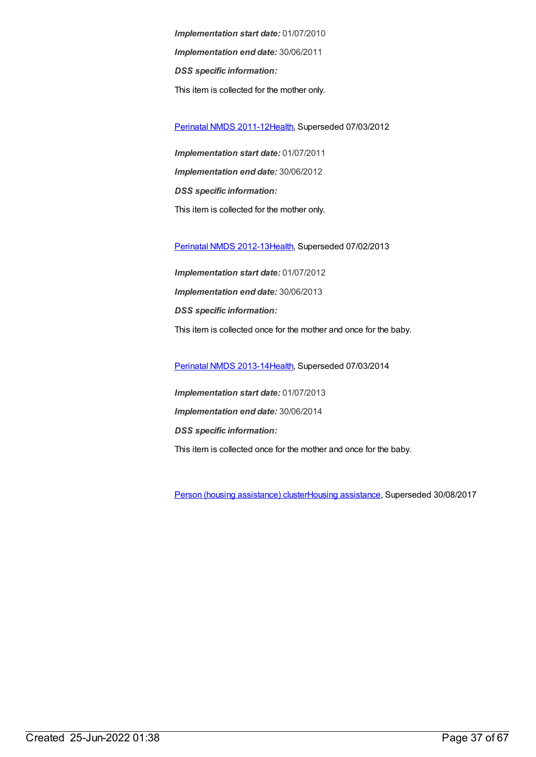*Implementation start date:* 01/07/2010 *Implementation end date:* 30/06/2011 *DSS specific information:* This item is collected for the mother only.

[Perinatal](https://meteor.aihw.gov.au/content/426735) NMDS 2011-1[2Health](https://meteor.aihw.gov.au/RegistrationAuthority/12), Superseded 07/03/2012

*Implementation start date:* 01/07/2011 *Implementation end date:* 30/06/2012 *DSS specific information:* This item is collected for the mother only.

[Perinatal](https://meteor.aihw.gov.au/content/461787) NMDS 2012-1[3Health](https://meteor.aihw.gov.au/RegistrationAuthority/12), Superseded 07/02/2013

*Implementation start date:* 01/07/2012 *Implementation end date:* 30/06/2013 *DSS specific information:* This item is collected once for the mother and once for the baby.

[Perinatal](https://meteor.aihw.gov.au/content/489433) NMDS 2013-1[4Health](https://meteor.aihw.gov.au/RegistrationAuthority/12), Superseded 07/03/2014

*Implementation start date:* 01/07/2013 *Implementation end date:* 30/06/2014 *DSS specific information:* This item is collected once for the mother and once for the baby.

Person (housing [assistance\)](https://meteor.aihw.gov.au/content/459133) clusterHousing [assistance](https://meteor.aihw.gov.au/RegistrationAuthority/11), Superseded 30/08/2017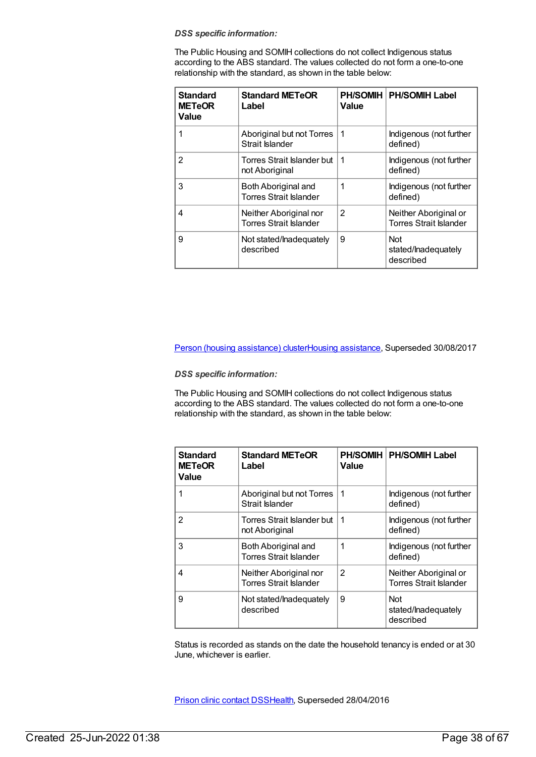The Public Housing and SOMIH collections do not collect Indigenous status according to the ABS standard. The values collected do not form a one-to-one relationship with the standard, as shown in the table below:

| <b>Standard</b><br><b>METeOR</b><br><b>Value</b> | <b>Standard METeOR</b><br>Label                         | <b>PH/SOMIH</b><br>Value | <b>PH/SOMIH Label</b>                                  |
|--------------------------------------------------|---------------------------------------------------------|--------------------------|--------------------------------------------------------|
|                                                  | Aboriginal but not Torres<br>Strait Islander            | 1                        | Indigenous (not further<br>defined)                    |
| $\mathbf{2}$                                     | Torres Strait Islander but<br>not Aboriginal            | 1                        | Indigenous (not further<br>defined)                    |
| 3                                                | Both Aboriginal and<br><b>Torres Strait Islander</b>    | 1                        | Indigenous (not further<br>defined)                    |
| 4                                                | Neither Aboriginal nor<br><b>Torres Strait Islander</b> | 2                        | Neither Aboriginal or<br><b>Torres Strait Islander</b> |
| 9                                                | Not stated/Inadequately<br>described                    | 9                        | <b>Not</b><br>stated/lnadequately<br>described         |

Person (housing [assistance\)](https://meteor.aihw.gov.au/content/605260) clusterHousing [assistance](https://meteor.aihw.gov.au/RegistrationAuthority/11), Superseded 30/08/2017

#### *DSS specific information:*

The Public Housing and SOMIH collections do not collect Indigenous status according to the ABS standard. The values collected do not form a one-to-one relationship with the standard, as shown in the table below:

| <b>Standard</b><br><b>METeOR</b><br><b>Value</b> | <b>Standard METeOR</b><br>Label                         | <b>PH/SOMIH</b><br>Value | <b>PH/SOMIH Label</b>                                  |
|--------------------------------------------------|---------------------------------------------------------|--------------------------|--------------------------------------------------------|
|                                                  | Aboriginal but not Torres<br>Strait Islander            | 1                        | Indigenous (not further<br>defined)                    |
| 2                                                | Torres Strait Islander but<br>not Aboriginal            | 1                        | Indigenous (not further<br>defined)                    |
| 3                                                | Both Aboriginal and<br><b>Torres Strait Islander</b>    | 1                        | Indigenous (not further<br>defined)                    |
| 4                                                | Neither Aboriginal nor<br><b>Torres Strait Islander</b> | $\mathfrak{p}$           | Neither Aboriginal or<br><b>Torres Strait Islander</b> |
| 9                                                | Not stated/Inadequately<br>described                    | 9                        | <b>Not</b><br>stated/lnadequately<br>described         |

Status is recorded as stands on the date the household tenancy is ended or at 30 June, whichever is earlier.

Prison clinic [contact](https://meteor.aihw.gov.au/content/396072) DS[SHealth](https://meteor.aihw.gov.au/RegistrationAuthority/12), Superseded 28/04/2016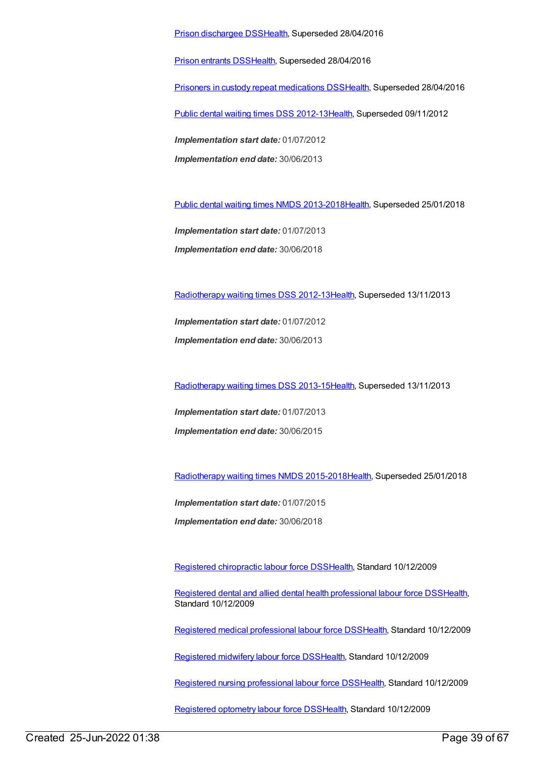Prison [dischargee](https://meteor.aihw.gov.au/content/482303) DS[SHealth](https://meteor.aihw.gov.au/RegistrationAuthority/12), Superseded 28/04/2016

Prison [entrants](https://meteor.aihw.gov.au/content/395955) DS[SHealth](https://meteor.aihw.gov.au/RegistrationAuthority/12), Superseded 28/04/2016

Prisoners in custody repeat [medications](https://meteor.aihw.gov.au/content/396074) DS[SHealth](https://meteor.aihw.gov.au/RegistrationAuthority/12), Superseded 28/04/2016

Public dental waiting times DSS [2012-13](https://meteor.aihw.gov.au/content/424019)[Health](https://meteor.aihw.gov.au/RegistrationAuthority/12), Superseded 09/11/2012

*Implementation start date:* 01/07/2012 *Implementation end date:* 30/06/2013

Public dental waiting times NMDS [2013-2018](https://meteor.aihw.gov.au/content/494562)[Health](https://meteor.aihw.gov.au/RegistrationAuthority/12), Superseded 25/01/2018

*Implementation start date:* 01/07/2013 *Implementation end date:* 30/06/2018

[Radiotherapy](https://meteor.aihw.gov.au/content/447921) waiting times DSS 2012-13[Health](https://meteor.aihw.gov.au/RegistrationAuthority/12), Superseded 13/11/2013

*Implementation start date:* 01/07/2012 *Implementation end date:* 30/06/2013

[Radiotherapy](https://meteor.aihw.gov.au/content/517220) waiting times DSS 2013-15[Health](https://meteor.aihw.gov.au/RegistrationAuthority/12), Superseded 13/11/2013

*Implementation start date:* 01/07/2013 *Implementation end date:* 30/06/2015

[Radiotherapy](https://meteor.aihw.gov.au/content/579304) waiting times NMDS 2015-201[8Health](https://meteor.aihw.gov.au/RegistrationAuthority/12), Superseded 25/01/2018

*Implementation start date:* 01/07/2015

*Implementation end date:* 30/06/2018

Registered [chiropractic](https://meteor.aihw.gov.au/content/384097) labour force DS[SHealth](https://meteor.aihw.gov.au/RegistrationAuthority/12), Standard 10/12/2009

Registered dental and allied dental health [professional](https://meteor.aihw.gov.au/content/384102) labour force DSS[Health](https://meteor.aihw.gov.au/RegistrationAuthority/12), Standard 10/12/2009

Registered medical [professional](https://meteor.aihw.gov.au/content/375422) labour force DSS[Health](https://meteor.aihw.gov.au/RegistrationAuthority/12), Standard 10/12/2009

[Registered](https://meteor.aihw.gov.au/content/384118) midwifery labour force DS[SHealth](https://meteor.aihw.gov.au/RegistrationAuthority/12), Standard 10/12/2009

Registered nursing [professional](https://meteor.aihw.gov.au/content/384109) labour force DS[SHealth](https://meteor.aihw.gov.au/RegistrationAuthority/12), Standard 10/12/2009

[Registered](https://meteor.aihw.gov.au/content/384124) optometry labour force DS[SHealth,](https://meteor.aihw.gov.au/RegistrationAuthority/12) Standard 10/12/2009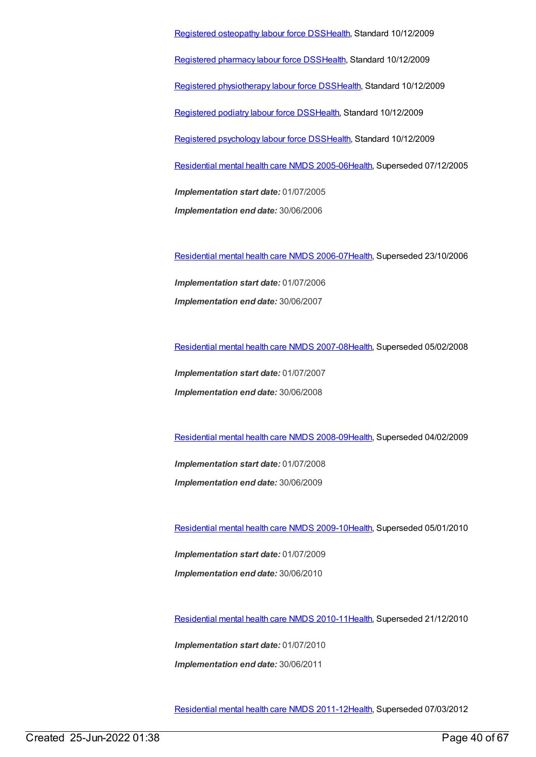Registered [osteopathy](https://meteor.aihw.gov.au/content/384128) labour force DS[SHealth](https://meteor.aihw.gov.au/RegistrationAuthority/12), Standard 10/12/2009 [Registered](https://meteor.aihw.gov.au/content/384152) pharmacy labour force DSS[Health](https://meteor.aihw.gov.au/RegistrationAuthority/12), Standard 10/12/2009 Registered [physiotherapy](https://meteor.aihw.gov.au/content/384162) labour force DS[SHealth](https://meteor.aihw.gov.au/RegistrationAuthority/12), Standard 10/12/2009 [Registered](https://meteor.aihw.gov.au/content/384166) podiatry labour force DS[SHealth](https://meteor.aihw.gov.au/RegistrationAuthority/12), Standard 10/12/2009 Registered [psychology](https://meteor.aihw.gov.au/content/384170) labour force DS[SHealth](https://meteor.aihw.gov.au/RegistrationAuthority/12), Standard 10/12/2009 [Residential](https://meteor.aihw.gov.au/content/273056) mental health care NMDS 2005-0[6Health](https://meteor.aihw.gov.au/RegistrationAuthority/12), Superseded 07/12/2005 *Implementation start date:* 01/07/2005 *Implementation end date:* 30/06/2006

[Residential](https://meteor.aihw.gov.au/content/334067) mental health care NMDS 2006-0[7Health](https://meteor.aihw.gov.au/RegistrationAuthority/12), Superseded 23/10/2006

*Implementation start date:* 01/07/2006 *Implementation end date:* 30/06/2007

[Residential](https://meteor.aihw.gov.au/content/345122) mental health care NMDS 2007-0[8Health](https://meteor.aihw.gov.au/RegistrationAuthority/12), Superseded 05/02/2008

*Implementation start date:* 01/07/2007 *Implementation end date:* 30/06/2008

[Residential](https://meteor.aihw.gov.au/content/362316) mental health care NMDS 2008-0[9Health](https://meteor.aihw.gov.au/RegistrationAuthority/12), Superseded 04/02/2009

*Implementation start date:* 01/07/2008 *Implementation end date:* 30/06/2009

[Residential](https://meteor.aihw.gov.au/content/374223) mental health care NMDS 2009-1[0Health](https://meteor.aihw.gov.au/RegistrationAuthority/12), Superseded 05/01/2010

*Implementation start date:* 01/07/2009 *Implementation end date:* 30/06/2010

[Residential](https://meteor.aihw.gov.au/content/386809) mental health care NMDS 2010-1[1Health](https://meteor.aihw.gov.au/RegistrationAuthority/12), Superseded 21/12/2010

*Implementation start date:* 01/07/2010 *Implementation end date:* 30/06/2011

[Residential](https://meteor.aihw.gov.au/content/426754) mental health care NMDS 2011-1[2Health](https://meteor.aihw.gov.au/RegistrationAuthority/12), Superseded 07/03/2012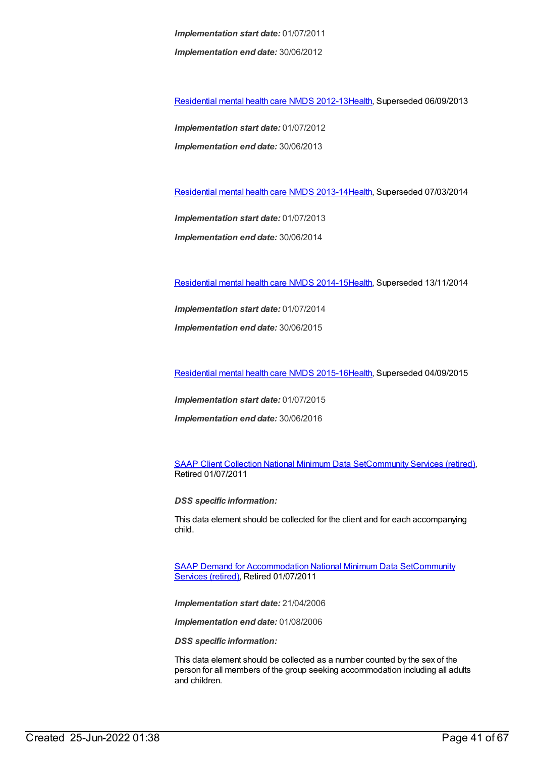*Implementation start date:* 01/07/2011 *Implementation end date:* 30/06/2012

[Residential](https://meteor.aihw.gov.au/content/468206) mental health care NMDS 2012-1[3Health](https://meteor.aihw.gov.au/RegistrationAuthority/12), Superseded 06/09/2013

*Implementation start date:* 01/07/2012 *Implementation end date:* 30/06/2013

[Residential](https://meteor.aihw.gov.au/content/539453) mental health care NMDS 2013-1[4Health](https://meteor.aihw.gov.au/RegistrationAuthority/12), Superseded 07/03/2014

*Implementation start date:* 01/07/2013

*Implementation end date:* 30/06/2014

[Residential](https://meteor.aihw.gov.au/content/525052) mental health care NMDS 2014-1[5Health](https://meteor.aihw.gov.au/RegistrationAuthority/12), Superseded 13/11/2014

*Implementation start date:* 01/07/2014

*Implementation end date:* 30/06/2015

[Residential](https://meteor.aihw.gov.au/content/565678) mental health care NMDS 2015-1[6Health](https://meteor.aihw.gov.au/RegistrationAuthority/12), Superseded 04/09/2015

*Implementation start date:* 01/07/2015

*Implementation end date:* 30/06/2016

SAAP Client [Collection](https://meteor.aihw.gov.au/content/339019) National Minimum Data Se[tCommunity](https://meteor.aihw.gov.au/RegistrationAuthority/1) Services (retired), Retired 01/07/2011

*DSS specific information:*

This data element should be collected for the client and for each accompanying child.

SAAP Demand for [Accommodation](https://meteor.aihw.gov.au/RegistrationAuthority/1) National Minimum Data SetCommunity Services (retired), Retired 01/07/2011

*Implementation start date:* 21/04/2006

*Implementation end date:* 01/08/2006

*DSS specific information:*

This data element should be collected as a number counted by the sex of the person for all members of the group seeking accommodation including all adults and children.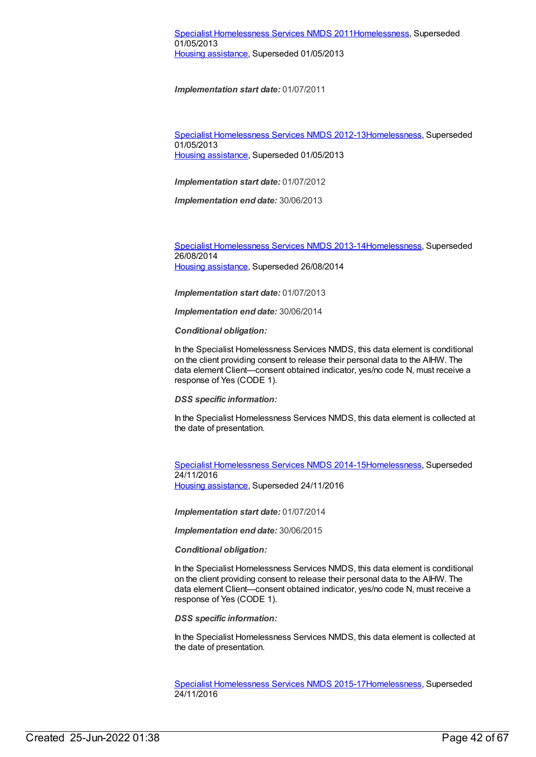Specialist [Homelessness](https://meteor.aihw.gov.au/content/508954) Services NMDS 2012-1[3Homelessness](https://meteor.aihw.gov.au/RegistrationAuthority/14), Superseded 01/05/2013 Housing [assistance](https://meteor.aihw.gov.au/RegistrationAuthority/11), Superseded 01/05/2013

*Implementation start date:* 01/07/2012

*Implementation end date:* 30/06/2013

Specialist [Homelessness](https://meteor.aihw.gov.au/content/505626) Services NMDS 2013-1[4Homelessness](https://meteor.aihw.gov.au/RegistrationAuthority/14), Superseded 26/08/2014 Housing [assistance](https://meteor.aihw.gov.au/RegistrationAuthority/11), Superseded 26/08/2014

*Implementation start date:* 01/07/2013

*Implementation end date:* 30/06/2014

*Conditional obligation:*

In the Specialist Homelessness Services NMDS, this data element is conditional on the client providing consent to release their personal data to the AIHW. The data element Client—consent obtained indicator, yes/no code N, must receive a response of Yes (CODE 1).

*DSS specific information:*

In the Specialist Homelessness Services NMDS, this data element is collected at the date of presentation.

Specialist [Homelessness](https://meteor.aihw.gov.au/content/581255) Services NMDS 2014-1[5Homelessness](https://meteor.aihw.gov.au/RegistrationAuthority/14), Superseded 24/11/2016 Housing [assistance](https://meteor.aihw.gov.au/RegistrationAuthority/11), Superseded 24/11/2016

*Implementation start date:* 01/07/2014

*Implementation end date:* 30/06/2015

*Conditional obligation:*

In the Specialist Homelessness Services NMDS, this data element is conditional on the client providing consent to release their personal data to the AIHW. The data element Client—consent obtained indicator, yes/no code N, must receive a response of Yes (CODE 1).

*DSS specific information:*

In the Specialist Homelessness Services NMDS, this data element is collected at the date of presentation.

Specialist [Homelessness](https://meteor.aihw.gov.au/content/658005) Services NMDS 2015-1[7Homelessness](https://meteor.aihw.gov.au/RegistrationAuthority/14), Superseded 24/11/2016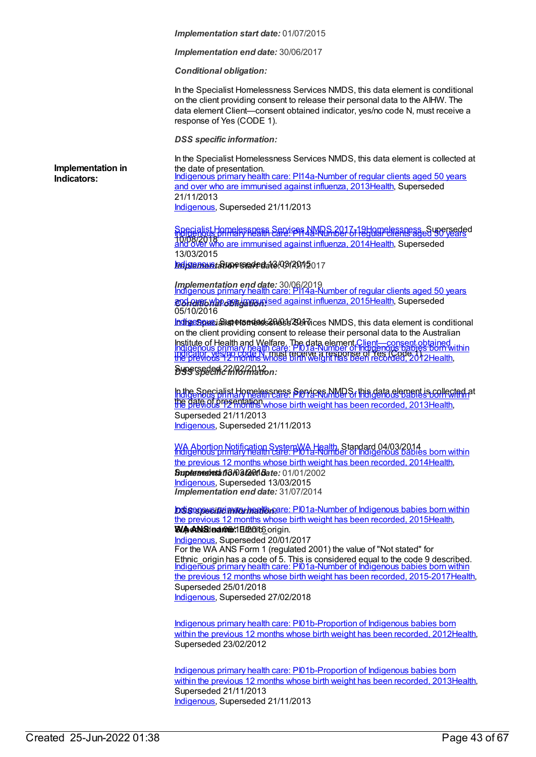*Implementation end date:* 30/06/2017

*Conditional obligation:*

In the Specialist Homelessness Services NMDS, this data element is conditional on the client providing consent to release their personal data to the AIHW. The data element Client—consent obtained indicator, yes/no code N, must receive a response of Yes (CODE 1).

*DSS specific information:*

**Implementation in Indicators:**

In the Specialist Homelessness Services NMDS, this data element is collected at the date of presentation. Indigenous primary health care: [PI14a-Number](https://meteor.aihw.gov.au/content/441429) of regular clients aged 50 years and over who are immunised against influenza, 201[3Health](https://meteor.aihw.gov.au/RegistrationAuthority/12), Superseded 21/11/2013 [Indigenous](https://meteor.aihw.gov.au/RegistrationAuthority/6), Superseded 21/11/2013

Specialist [Homelessness](https://meteor.aihw.gov.au/content/650006) Services NMDS [2017-19](https://meteor.aihw.gov.au/content/504735)[Homelessness](https://meteor.aihw.gov.au/RegistrationAuthority/14)[,](https://meteor.aihw.gov.au/content/504735) Superseded Indigenous primary health care: PI14a-Number of regular clients aged 50 years 10/08/2018<br>and over who are immunised against influenza, 201[4Health](https://meteor.aihw.gov.au/RegistrationAuthority/12), Superseded 13/03/2015

**Indigienne Starte stede d**ate<sup>1</sup>03/2012 017

*Implementation end date:* 30/06/2019 Indigenous primary health care: [PI14a-Number](https://meteor.aihw.gov.au/content/589051) of regular clients aged 50 years **@34 Alfabylan or Friday And and against influenza, 2015 Health, Superseded** 05/10/2016

Indigespucialist Homelessness Zervices NMDS, this data element is conditional on the client providing consent to release their personal data to the Australian Institute of Health and Welfare. The data element [Client—consent](file:///content/338737) obtained indigenous primary health care: [PI01a-Number](https://meteor.aihw.gov.au/content/431539) of Indigenous babies born within<br>Indicator, yes/no code N, must regeive a response of Yes (Code 1). *DSS specific information:* Superseded 22/02/2012 the previous 12 months whose birth weight has been recorded, 201[2Health](https://meteor.aihw.gov.au/RegistrationAuthority/12),

In the Specialist Homelessness Services NMDS, this data element is collected at the date of presentation. The contract of the previous contract of the previous contract the previous research Superseded 21/11/2013 [Indigenous](https://meteor.aihw.gov.au/RegistrationAuthority/6), Superseded 21/11/2013

WA Abortion [Notification](https://meteor.aihw.gov.au/content/510999) SystemWA [Health](https://meteor.aihw.gov.au/RegistrationAuthority/2), Standard 04/03/2014 Indigenous primary health care: [PI01a-Number](https://meteor.aihw.gov.au/content/504688) of Indigenous babies born within *<u>Buperseded ti3/03/2011 Bate: 01/01/2002</u> Implementation end date:* 31/07/2014 the previous 12 months whose birth weight has been recorded, 201[4Health](https://meteor.aihw.gov.au/RegistrationAuthority/12), [Indigenous](https://meteor.aihw.gov.au/RegistrationAuthority/6), Superseded 13/03/2015

**DSS** SPECIFIC *mathed to care:* [PI01a-Number](https://meteor.aihw.gov.au/content/587703) of Indigenous babies born within **WAANSIname:** Ethanic Corigin. the previous 12 months whose birth weight has been recorded, 201[5Health](https://meteor.aihw.gov.au/RegistrationAuthority/12),

For the WA ANS Form 1 (regulated 2001) the value of "Not stated" for Ethnic origin has a code of 5. This is considered equal to the code 9 described. [Indigenous](https://meteor.aihw.gov.au/RegistrationAuthority/6), Superseded 20/01/2017 Indigenous primary health care: [PI01a-Number](https://meteor.aihw.gov.au/content/663900) of Indigenous babies born within the previous 12 months whose birth weight has been recorded, 2015-201[7Health](https://meteor.aihw.gov.au/RegistrationAuthority/12), Superseded 25/01/2018 [Indigenous](https://meteor.aihw.gov.au/RegistrationAuthority/6), Superseded 27/02/2018

Indigenous primary health care: [PI01b-Proportion](https://meteor.aihw.gov.au/content/430640) of Indigenous babies born within the previous 12 months whose birth weight has been recorded, 201[2Health](https://meteor.aihw.gov.au/RegistrationAuthority/12), Superseded 23/02/2012

Indigenous primary health care: [PI01b-Proportion](https://meteor.aihw.gov.au/content/468089) of Indigenous babies born within the previous 12 months whose birth weight has been recorded, 201[3Health](https://meteor.aihw.gov.au/RegistrationAuthority/12), Superseded 21/11/2013 [Indigenous](https://meteor.aihw.gov.au/RegistrationAuthority/6), Superseded 21/11/2013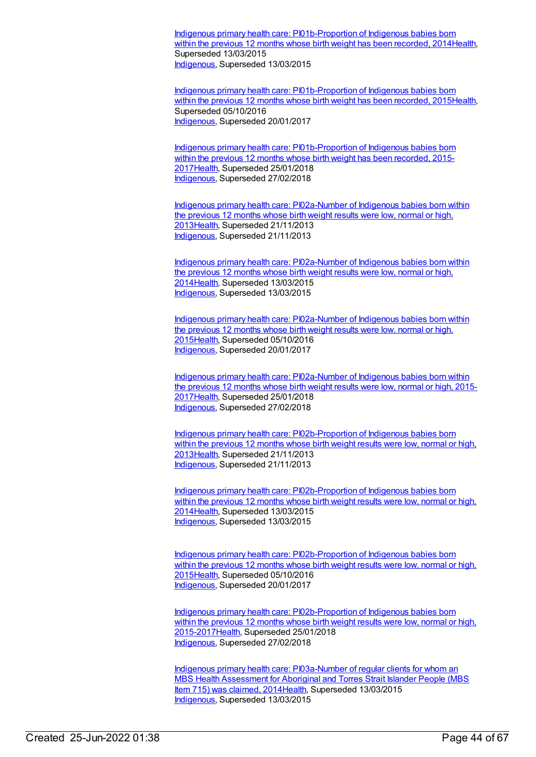Indigenous primary health care: [PI01b-Proportion](https://meteor.aihw.gov.au/content/504690) of Indigenous babies born within the previous 12 months whose birth weight has been recorded, 201[4Health](https://meteor.aihw.gov.au/RegistrationAuthority/12), Superseded 13/03/2015 [Indigenous](https://meteor.aihw.gov.au/RegistrationAuthority/6), Superseded 13/03/2015

Indigenous primary health care: [PI01b-Proportion](https://meteor.aihw.gov.au/content/588971) of Indigenous babies born within the previous 12 months whose birth weight has been recorded, 201[5Health](https://meteor.aihw.gov.au/RegistrationAuthority/12), Superseded 05/10/2016 [Indigenous](https://meteor.aihw.gov.au/RegistrationAuthority/6), Superseded 20/01/2017

Indigenous primary health care: [PI01b-Proportion](https://meteor.aihw.gov.au/content/663903) of Indigenous babies born within the previous 12 months whose birth weight has been recorded, 2015-201[7Health](https://meteor.aihw.gov.au/RegistrationAuthority/12), Superseded 25/01/2018 [Indigenous](https://meteor.aihw.gov.au/RegistrationAuthority/6), Superseded 27/02/2018

Indigenous primary health care: [PI02a-Number](https://meteor.aihw.gov.au/content/450659) of Indigenous babies born within the previous 12 months whose birth weight results were low, normal or high, 201[3Health](https://meteor.aihw.gov.au/RegistrationAuthority/12), Superseded 21/11/2013 [Indigenous](https://meteor.aihw.gov.au/RegistrationAuthority/6), Superseded 21/11/2013

Indigenous primary health care: [PI02a-Number](https://meteor.aihw.gov.au/content/504692) of Indigenous babies born within the previous 12 months whose birth weight results were low, normal or high, 201[4Health](https://meteor.aihw.gov.au/RegistrationAuthority/12), Superseded 13/03/2015 [Indigenous](https://meteor.aihw.gov.au/RegistrationAuthority/6), Superseded 13/03/2015

Indigenous primary health care: [PI02a-Number](https://meteor.aihw.gov.au/content/588973) of Indigenous babies born within the previous 12 months whose birth weight results were low, normal or high, 201[5Health](https://meteor.aihw.gov.au/RegistrationAuthority/12), Superseded 05/10/2016 [Indigenous](https://meteor.aihw.gov.au/RegistrationAuthority/6), Superseded 20/01/2017

Indigenous primary health care: [PI02a-Number](https://meteor.aihw.gov.au/content/663905) of Indigenous babies born within the previous 12 months whose birth weight results were low, normal or high, 2015- 201[7Health](https://meteor.aihw.gov.au/RegistrationAuthority/12), Superseded 25/01/2018 [Indigenous](https://meteor.aihw.gov.au/RegistrationAuthority/6), Superseded 27/02/2018

Indigenous primary health care: [PI02b-Proportion](https://meteor.aihw.gov.au/content/450666) of Indigenous babies born within the previous 12 months whose birth weight results were low, normal or high, 201[3Health](https://meteor.aihw.gov.au/RegistrationAuthority/12), Superseded 21/11/2013 [Indigenous](https://meteor.aihw.gov.au/RegistrationAuthority/6), Superseded 21/11/2013

Indigenous primary health care: [PI02b-Proportion](https://meteor.aihw.gov.au/content/504694) of Indigenous babies born within the previous 12 months whose birth weight results were low, normal or high, 201[4Health](https://meteor.aihw.gov.au/RegistrationAuthority/12), Superseded 13/03/2015 [Indigenous](https://meteor.aihw.gov.au/RegistrationAuthority/6), Superseded 13/03/2015

Indigenous primary health care: [PI02b-Proportion](https://meteor.aihw.gov.au/content/588977) of Indigenous babies born within the previous 12 months whose birth weight results were low, normal or high, 201[5Health](https://meteor.aihw.gov.au/RegistrationAuthority/12), Superseded 05/10/2016 [Indigenous](https://meteor.aihw.gov.au/RegistrationAuthority/6), Superseded 20/01/2017

Indigenous primary health care: [PI02b-Proportion](https://meteor.aihw.gov.au/content/663907) of Indigenous babies born within the previous 12 months whose birth weight results were low, normal or high, 2015-201[7Health](https://meteor.aihw.gov.au/RegistrationAuthority/12), Superseded 25/01/2018 [Indigenous](https://meteor.aihw.gov.au/RegistrationAuthority/6), Superseded 27/02/2018

Indigenous primary health care: [PI03a-Number](https://meteor.aihw.gov.au/content/504652) of regular clients for whom an MBS Health Assessment for Aboriginal and Torres Strait Islander People (MBS Item 715) was claimed, 201[4Health](https://meteor.aihw.gov.au/RegistrationAuthority/12), Superseded 13/03/2015 [Indigenous](https://meteor.aihw.gov.au/RegistrationAuthority/6), Superseded 13/03/2015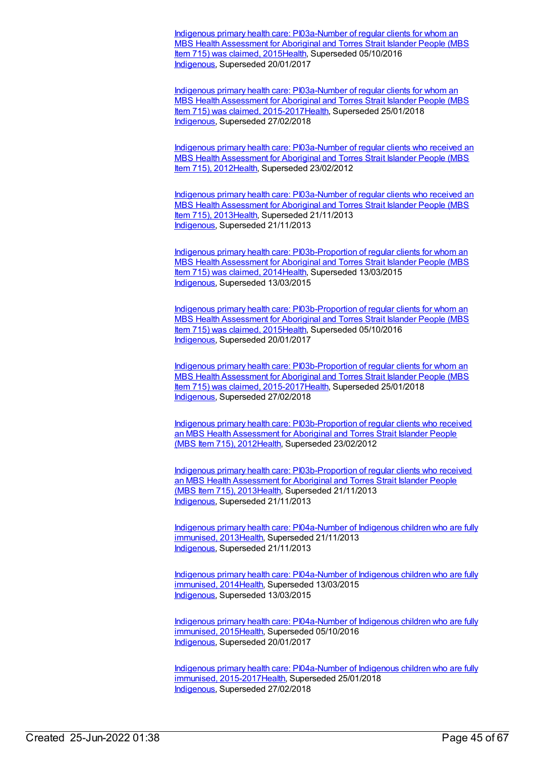Indigenous primary health care: [PI03a-Number](https://meteor.aihw.gov.au/content/588983) of regular clients for whom an MBS Health Assessment for Aboriginal and Torres Strait Islander People (MBS Item 715) was claimed, 201[5Health](https://meteor.aihw.gov.au/RegistrationAuthority/12), Superseded 05/10/2016 [Indigenous](https://meteor.aihw.gov.au/RegistrationAuthority/6), Superseded 20/01/2017

Indigenous primary health care: PI03a-Number of regular clients for whom an MBS Health Assessment for Aboriginal and Torres Strait Islander People (MBS Item 715) was claimed, [2015-2017Health,](https://meteor.aihw.gov.au/content/663909) Superseded 25/01/2018 [Indigenous](https://meteor.aihw.gov.au/RegistrationAuthority/6), Superseded 27/02/2018

Indigenous primary health care: [PI03a-Number](https://meteor.aihw.gov.au/content/431773) of regular clients who received an MBS Health Assessment for Aboriginal and Torres Strait Islander People (MBS Item 715), 2012[Health,](https://meteor.aihw.gov.au/RegistrationAuthority/12) Superseded 23/02/2012

Indigenous primary health care: [PI03a-Number](https://meteor.aihw.gov.au/content/468091) of regular clients who received an MBS Health Assessment for Aboriginal and Torres Strait Islander People (MBS Item 715), 2013 [Health,](https://meteor.aihw.gov.au/RegistrationAuthority/12) Superseded 21/11/2013 [Indigenous](https://meteor.aihw.gov.au/RegistrationAuthority/6), Superseded 21/11/2013

Indigenous primary health care: [PI03b-Proportion](https://meteor.aihw.gov.au/content/504659) of regular clients for whom an MBS Health Assessment for Aboriginal and Torres Strait Islander People (MBS Item 715) was claimed, 201[4Health](https://meteor.aihw.gov.au/RegistrationAuthority/12), Superseded 13/03/2015 [Indigenous](https://meteor.aihw.gov.au/RegistrationAuthority/6), Superseded 13/03/2015

Indigenous primary health care: [PI03b-Proportion](https://meteor.aihw.gov.au/content/588985) of regular clients for whom an MBS Health Assessment for Aboriginal and Torres Strait Islander People (MBS Item 715) was claimed, 201[5Health](https://meteor.aihw.gov.au/RegistrationAuthority/12), Superseded 05/10/2016 [Indigenous](https://meteor.aihw.gov.au/RegistrationAuthority/6), Superseded 20/01/2017

Indigenous primary health care: [PI03b-Proportion](https://meteor.aihw.gov.au/content/663913) of regular clients for whom an MBS Health Assessment for Aboriginal and Torres Strait Islander People (MBS Item 715) was claimed, 2015-2017 Health, Superseded 25/01/2018 [Indigenous](https://meteor.aihw.gov.au/RegistrationAuthority/6), Superseded 27/02/2018

Indigenous primary health care: [PI03b-Proportion](https://meteor.aihw.gov.au/content/431768) of regular clients who received an MBS Health Assessment for Aboriginal and Torres Strait Islander People (MBS Item 715), 2012[Health](https://meteor.aihw.gov.au/RegistrationAuthority/12), Superseded 23/02/2012

Indigenous primary health care: [PI03b-Proportion](https://meteor.aihw.gov.au/content/469858) of regular clients who received an MBS Health Assessment for Aboriginal and Torres Strait Islander People (MBS Item 715), 2013 [Health](https://meteor.aihw.gov.au/RegistrationAuthority/12), Superseded 21/11/2013 [Indigenous](https://meteor.aihw.gov.au/RegistrationAuthority/6), Superseded 21/11/2013

Indigenous primary health care: [PI04a-Number](https://meteor.aihw.gov.au/content/437976) of Indigenous children who are fully immunised, 201[3Health](https://meteor.aihw.gov.au/RegistrationAuthority/12), Superseded 21/11/2013 [Indigenous](https://meteor.aihw.gov.au/RegistrationAuthority/6), Superseded 21/11/2013

Indigenous primary health care: [PI04a-Number](https://meteor.aihw.gov.au/content/504696) of Indigenous children who are fully immunised, 2014 Health, Superseded 13/03/2015 [Indigenous](https://meteor.aihw.gov.au/RegistrationAuthority/6), Superseded 13/03/2015

Indigenous primary health care: [PI04a-Number](https://meteor.aihw.gov.au/content/588989) of Indigenous children who are fully immunised, 201[5Health](https://meteor.aihw.gov.au/RegistrationAuthority/12), Superseded 05/10/2016 [Indigenous](https://meteor.aihw.gov.au/RegistrationAuthority/6), Superseded 20/01/2017

Indigenous primary health care: PI04a-Number of Indigenous children who are fully immunised, [2015-2017](https://meteor.aihw.gov.au/content/663916)[Healt](https://meteor.aihw.gov.au/RegistrationAuthority/12)[h,](https://meteor.aihw.gov.au/content/663916) Superseded 25/01/2018 [Indigenous](https://meteor.aihw.gov.au/RegistrationAuthority/6), Superseded 27/02/2018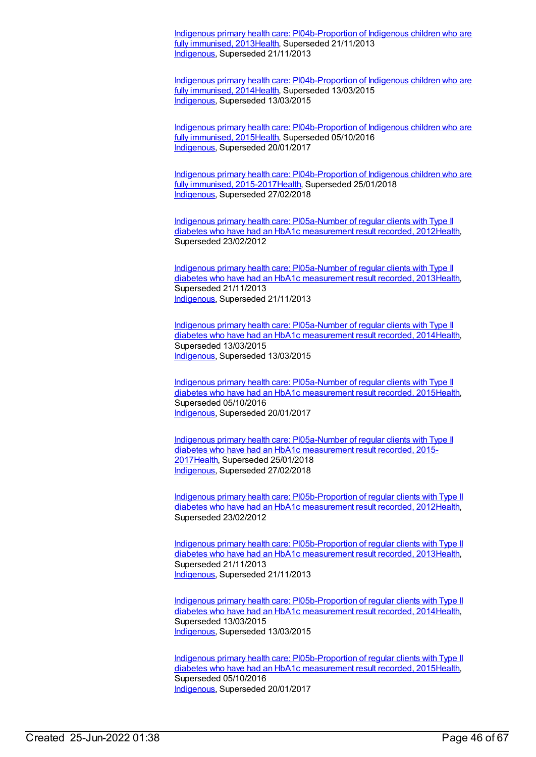Indigenous primary health care: [PI04b-Proportion](https://meteor.aihw.gov.au/content/438003) of Indigenous children who are fully immunised, 2013[Health,](https://meteor.aihw.gov.au/RegistrationAuthority/12) Superseded 21/11/2013 [Indigenous](https://meteor.aihw.gov.au/RegistrationAuthority/6), Superseded 21/11/2013

Indigenous primary health care: [PI04b-Proportion](https://meteor.aihw.gov.au/content/504698) of Indigenous children who are fully immunised, 2014[Health,](https://meteor.aihw.gov.au/RegistrationAuthority/12) Superseded 13/03/2015 [Indigenous](https://meteor.aihw.gov.au/RegistrationAuthority/6), Superseded 13/03/2015

Indigenous primary health care: [PI04b-Proportion](https://meteor.aihw.gov.au/content/588991) of Indigenous children who are fully immunised, 2015[Health,](https://meteor.aihw.gov.au/RegistrationAuthority/12) Superseded 05/10/2016 [Indigenous](https://meteor.aihw.gov.au/RegistrationAuthority/6), Superseded 20/01/2017

Indigenous primary health care: [PI04b-Proportion](https://meteor.aihw.gov.au/content/663921) of Indigenous children who are fully immunised, 2015-201[7Health](https://meteor.aihw.gov.au/RegistrationAuthority/12), Superseded 25/01/2018 [Indigenous](https://meteor.aihw.gov.au/RegistrationAuthority/6), Superseded 27/02/2018

Indigenous primary health care: [PI05a-Number](https://meteor.aihw.gov.au/content/432293) of regular clients with Type II diabetes who have had an HbA1c measurement result recorded, 201[2Health](https://meteor.aihw.gov.au/RegistrationAuthority/12), Superseded 23/02/2012

Indigenous primary health care: [PI05a-Number](https://meteor.aihw.gov.au/content/468094) of regular clients with Type II diabetes who have had an HbA1c measurement result recorded, 201[3Health](https://meteor.aihw.gov.au/RegistrationAuthority/12), Superseded 21/11/2013 [Indigenous](https://meteor.aihw.gov.au/RegistrationAuthority/6), Superseded 21/11/2013

Indigenous primary health care: [PI05a-Number](https://meteor.aihw.gov.au/content/504700) of regular clients with Type II diabetes who have had an HbA1c measurement result recorded, 201[4Health](https://meteor.aihw.gov.au/RegistrationAuthority/12), Superseded 13/03/2015 [Indigenous](https://meteor.aihw.gov.au/RegistrationAuthority/6), Superseded 13/03/2015

Indigenous primary health care: [PI05a-Number](https://meteor.aihw.gov.au/content/588993) of regular clients with Type II diabetes who have had an HbA1c measurement result recorded, 201[5Health](https://meteor.aihw.gov.au/RegistrationAuthority/12), Superseded 05/10/2016 [Indigenous](https://meteor.aihw.gov.au/RegistrationAuthority/6), Superseded 20/01/2017

Indigenous primary health care: [PI05a-Number](https://meteor.aihw.gov.au/content/663924) of regular clients with Type II diabetes who have had an HbA1c measurement result recorded, 2015- 201[7Health](https://meteor.aihw.gov.au/RegistrationAuthority/12), Superseded 25/01/2018 [Indigenous](https://meteor.aihw.gov.au/RegistrationAuthority/6), Superseded 27/02/2018

Indigenous primary health care: [PI05b-Proportion](https://meteor.aihw.gov.au/content/432280) of regular clients with Type II diabetes who have had an HbA1c measurement result recorded, 201[2Health](https://meteor.aihw.gov.au/RegistrationAuthority/12), Superseded 23/02/2012

Indigenous primary health care: [PI05b-Proportion](https://meteor.aihw.gov.au/content/468096) of regular clients with Type II diabetes who have had an HbA1c measurement result recorded, 201[3Health](https://meteor.aihw.gov.au/RegistrationAuthority/12), Superseded 21/11/2013 [Indigenous](https://meteor.aihw.gov.au/RegistrationAuthority/6), Superseded 21/11/2013

Indigenous primary health care: [PI05b-Proportion](https://meteor.aihw.gov.au/content/504702) of regular clients with Type II diabetes who have had an HbA1c measurement result recorded, 201[4Health](https://meteor.aihw.gov.au/RegistrationAuthority/12), Superseded 13/03/2015 [Indigenous](https://meteor.aihw.gov.au/RegistrationAuthority/6), Superseded 13/03/2015

Indigenous primary health care: [PI05b-Proportion](https://meteor.aihw.gov.au/content/588995) of regular clients with Type II diabetes who have had an HbA1c measurement result recorded, 201[5Health](https://meteor.aihw.gov.au/RegistrationAuthority/12), Superseded 05/10/2016 [Indigenous](https://meteor.aihw.gov.au/RegistrationAuthority/6), Superseded 20/01/2017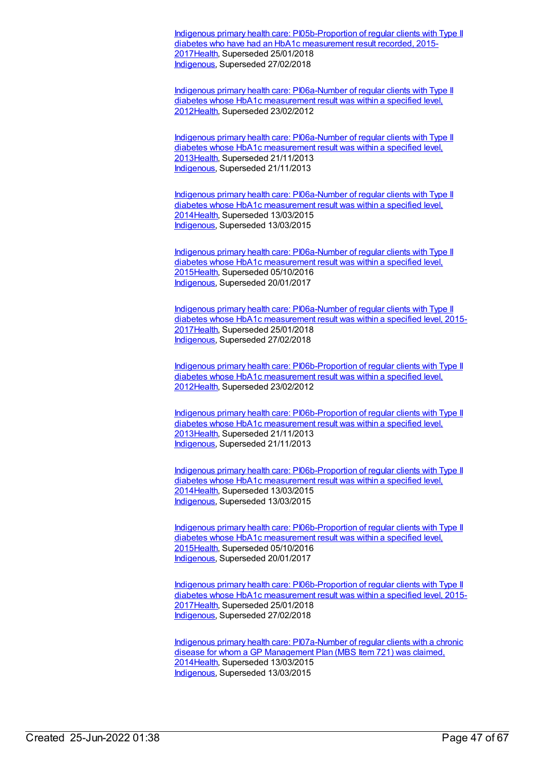Indigenous primary health care: [PI05b-Proportion](https://meteor.aihw.gov.au/content/663926) of regular clients with Type II diabetes who have had an HbA1c measurement result recorded, 2015- 201[7Health](https://meteor.aihw.gov.au/RegistrationAuthority/12), Superseded 25/01/2018 [Indigenous](https://meteor.aihw.gov.au/RegistrationAuthority/6), Superseded 27/02/2018

Indigenous primary health care: [PI06a-Number](https://meteor.aihw.gov.au/content/438245) of regular clients with Type II diabetes whose HbA1c measurement result was within a specified level, 201[2Health](https://meteor.aihw.gov.au/RegistrationAuthority/12), Superseded 23/02/2012

Indigenous primary health care: [PI06a-Number](https://meteor.aihw.gov.au/content/468098) of regular clients with Type II diabetes whose HbA1c measurement result was within a specified level, 201[3Health](https://meteor.aihw.gov.au/RegistrationAuthority/12), Superseded 21/11/2013 [Indigenous](https://meteor.aihw.gov.au/RegistrationAuthority/6), Superseded 21/11/2013

Indigenous primary health care: [PI06a-Number](https://meteor.aihw.gov.au/content/504704) of regular clients with Type II diabetes whose HbA1c measurement result was within a specified level, 201[4Health](https://meteor.aihw.gov.au/RegistrationAuthority/12), Superseded 13/03/2015 [Indigenous](https://meteor.aihw.gov.au/RegistrationAuthority/6), Superseded 13/03/2015

Indigenous primary health care: [PI06a-Number](https://meteor.aihw.gov.au/content/592153) of regular clients with Type II diabetes whose HbA1c measurement result was within a specified level, 201[5Health](https://meteor.aihw.gov.au/RegistrationAuthority/12), Superseded 05/10/2016 [Indigenous](https://meteor.aihw.gov.au/RegistrationAuthority/6), Superseded 20/01/2017

Indigenous primary health care: [PI06a-Number](https://meteor.aihw.gov.au/content/663928) of regular clients with Type II diabetes whose HbA1c measurement result was within a specified level, 2015- 201[7Health](https://meteor.aihw.gov.au/RegistrationAuthority/12), Superseded 25/01/2018 [Indigenous](https://meteor.aihw.gov.au/RegistrationAuthority/6), Superseded 27/02/2018

Indigenous primary health care: [PI06b-Proportion](https://meteor.aihw.gov.au/content/441158) of regular clients with Type II diabetes whose HbA1c measurement result was within a specified level, 201[2Health](https://meteor.aihw.gov.au/RegistrationAuthority/12), Superseded 23/02/2012

Indigenous primary health care: [PI06b-Proportion](https://meteor.aihw.gov.au/content/468100) of regular clients with Type II diabetes whose HbA1c measurement result was within a specified level, 201[3Health](https://meteor.aihw.gov.au/RegistrationAuthority/12), Superseded 21/11/2013 [Indigenous](https://meteor.aihw.gov.au/RegistrationAuthority/6), Superseded 21/11/2013

Indigenous primary health care: [PI06b-Proportion](https://meteor.aihw.gov.au/content/504706) of regular clients with Type II diabetes whose HbA1c measurement result was within a specified level, 201[4Health](https://meteor.aihw.gov.au/RegistrationAuthority/12), Superseded 13/03/2015 [Indigenous](https://meteor.aihw.gov.au/RegistrationAuthority/6), Superseded 13/03/2015

Indigenous primary health care: [PI06b-Proportion](https://meteor.aihw.gov.au/content/589004) of regular clients with Type II diabetes whose HbA1c measurement result was within a specified level, 201[5Health](https://meteor.aihw.gov.au/RegistrationAuthority/12), Superseded 05/10/2016 [Indigenous](https://meteor.aihw.gov.au/RegistrationAuthority/6), Superseded 20/01/2017

Indigenous primary health care: [PI06b-Proportion](https://meteor.aihw.gov.au/content/663930) of regular clients with Type II diabetes whose HbA1c measurement result was within a specified level, 2015- 201[7Health](https://meteor.aihw.gov.au/RegistrationAuthority/12), Superseded 25/01/2018 [Indigenous](https://meteor.aihw.gov.au/RegistrationAuthority/6), Superseded 27/02/2018

Indigenous primary health care: [PI07a-Number](https://meteor.aihw.gov.au/content/504675) of regular clients with a chronic disease for whom a GP Management Plan (MBS Item 721) was claimed, 201[4Health](https://meteor.aihw.gov.au/RegistrationAuthority/12), Superseded 13/03/2015 [Indigenous](https://meteor.aihw.gov.au/RegistrationAuthority/6), Superseded 13/03/2015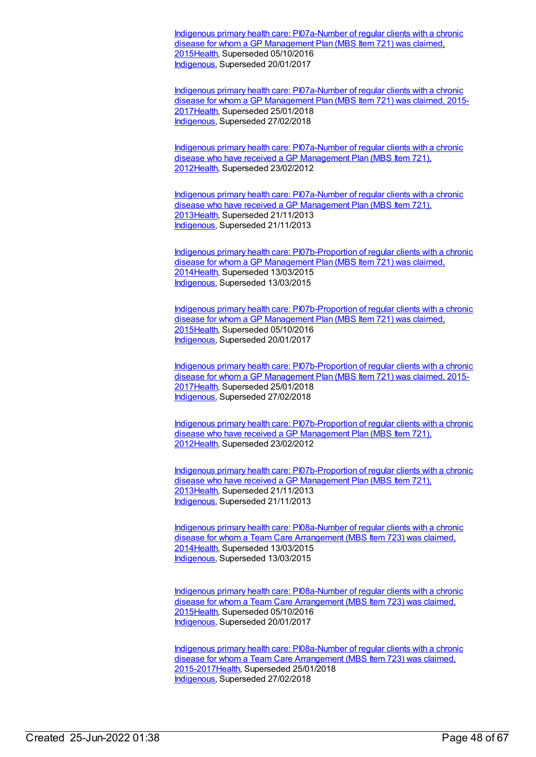Indigenous primary health care: [PI07a-Number](https://meteor.aihw.gov.au/content/589006) of regular clients with a chronic disease for whom a GP Management Plan (MBS Item 721) was claimed. 201[5Health](https://meteor.aihw.gov.au/RegistrationAuthority/12), Superseded 05/10/2016 [Indigenous](https://meteor.aihw.gov.au/RegistrationAuthority/6), Superseded 20/01/2017

Indigenous primary health care: [PI07a-Number](https://meteor.aihw.gov.au/content/663932) of regular clients with a chronic disease for whom a GP Management Plan (MBS Item 721) was claimed, 2015- 201[7Health](https://meteor.aihw.gov.au/RegistrationAuthority/12), Superseded 25/01/2018 [Indigenous](https://meteor.aihw.gov.au/RegistrationAuthority/6), Superseded 27/02/2018

Indigenous primary health care: [PI07a-Number](https://meteor.aihw.gov.au/content/432543) of regular clients with a chronic disease who have received a GP Management Plan (MBS Item 721), 201[2Health](https://meteor.aihw.gov.au/RegistrationAuthority/12), Superseded 23/02/2012

Indigenous primary health care: [PI07a-Number](https://meteor.aihw.gov.au/content/468102) of regular clients with a chronic disease who have received a GP Management Plan (MBS Item 721), 201[3Health](https://meteor.aihw.gov.au/RegistrationAuthority/12), Superseded 21/11/2013 [Indigenous](https://meteor.aihw.gov.au/RegistrationAuthority/6), Superseded 21/11/2013

Indigenous primary health care: [PI07b-Proportion](https://meteor.aihw.gov.au/content/504677) of regular clients with a chronic disease for whom a GP Management Plan (MBS Item 721) was claimed, 201[4Health](https://meteor.aihw.gov.au/RegistrationAuthority/12), Superseded 13/03/2015 [Indigenous](https://meteor.aihw.gov.au/RegistrationAuthority/6), Superseded 13/03/2015

Indigenous primary health care: [PI07b-Proportion](https://meteor.aihw.gov.au/content/589008) of regular clients with a chronic disease for whom a GP Management Plan (MBS Item 721) was claimed, 201[5Health](https://meteor.aihw.gov.au/RegistrationAuthority/12), Superseded 05/10/2016 [Indigenous](https://meteor.aihw.gov.au/RegistrationAuthority/6), Superseded 20/01/2017

Indigenous primary health care: [PI07b-Proportion](https://meteor.aihw.gov.au/content/663937) of regular clients with a chronic disease for whom a GP Management Plan (MBS Item 721) was claimed, 2015-201[7Health](https://meteor.aihw.gov.au/RegistrationAuthority/12), Superseded 25/01/2018 [Indigenous](https://meteor.aihw.gov.au/RegistrationAuthority/6), Superseded 27/02/2018

Indigenous primary health care: [PI07b-Proportion](https://meteor.aihw.gov.au/content/432523) of regular clients with a chronic disease who have received a GP Management Plan (MBS Item 721), 201[2Health](https://meteor.aihw.gov.au/RegistrationAuthority/12), Superseded 23/02/2012

Indigenous primary health care: [PI07b-Proportion](https://meteor.aihw.gov.au/content/468104) of regular clients with a chronic disease who have received a GP Management Plan (MBS Item 721), 201[3Health](https://meteor.aihw.gov.au/RegistrationAuthority/12), Superseded 21/11/2013 [Indigenous](https://meteor.aihw.gov.au/RegistrationAuthority/6), Superseded 21/11/2013

Indigenous primary health care: [PI08a-Number](https://meteor.aihw.gov.au/content/504679) of regular clients with a chronic disease for whom a Team Care Arrangement (MBS Item 723) was claimed, 201[4Health](https://meteor.aihw.gov.au/RegistrationAuthority/12), Superseded 13/03/2015 [Indigenous](https://meteor.aihw.gov.au/RegistrationAuthority/6), Superseded 13/03/2015

Indigenous primary health care: [PI08a-Number](https://meteor.aihw.gov.au/content/589012) of regular clients with a chronic disease for whom a Team Care Arrangement (MBS Item 723) was claimed, 201[5Health](https://meteor.aihw.gov.au/RegistrationAuthority/12), Superseded 05/10/2016 [Indigenous](https://meteor.aihw.gov.au/RegistrationAuthority/6), Superseded 20/01/2017

Indigenous primary health care: PI08a-Number of regular clients with a chronic disease for whom a Team Care Arrangement (MBS Item 723) was claimed, [2015-2017Health,](https://meteor.aihw.gov.au/content/663939) Superseded 25/01/2018 [Indigenous](https://meteor.aihw.gov.au/RegistrationAuthority/6), Superseded 27/02/2018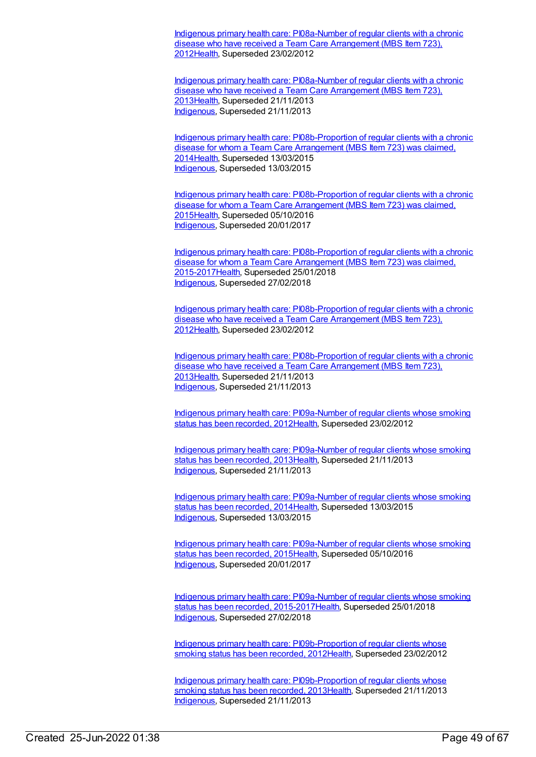Indigenous primary health care: [PI08a-Number](https://meteor.aihw.gov.au/content/432545) of regular clients with a chronic disease who have received a Team Care Arrangement (MBS Item 723), 201[2Health](https://meteor.aihw.gov.au/RegistrationAuthority/12), Superseded 23/02/2012

Indigenous primary health care: [PI08a-Number](https://meteor.aihw.gov.au/content/468106) of regular clients with a chronic disease who have received a Team Care Arrangement (MBS Item 723), 201[3Health](https://meteor.aihw.gov.au/RegistrationAuthority/12), Superseded 21/11/2013 [Indigenous](https://meteor.aihw.gov.au/RegistrationAuthority/6), Superseded 21/11/2013

Indigenous primary health care: [PI08b-Proportion](https://meteor.aihw.gov.au/content/504681) of regular clients with a chronic disease for whom a Team Care Arrangement (MBS Item 723) was claimed, 201[4Health](https://meteor.aihw.gov.au/RegistrationAuthority/12), Superseded 13/03/2015 [Indigenous](https://meteor.aihw.gov.au/RegistrationAuthority/6), Superseded 13/03/2015

Indigenous primary health care: [PI08b-Proportion](https://meteor.aihw.gov.au/content/589016) of regular clients with a chronic disease for whom a Team Care Arrangement (MBS Item 723) was claimed, 201[5Health](https://meteor.aihw.gov.au/RegistrationAuthority/12), Superseded 05/10/2016 [Indigenous](https://meteor.aihw.gov.au/RegistrationAuthority/6), Superseded 20/01/2017

Indigenous primary health care: [PI08b-Proportion](https://meteor.aihw.gov.au/content/663942) of regular clients with a chronic disease for whom a Team Care Arrangement (MBS Item 723) was claimed, 2015-201[7Health](https://meteor.aihw.gov.au/RegistrationAuthority/12), Superseded 25/01/2018 [Indigenous](https://meteor.aihw.gov.au/RegistrationAuthority/6), Superseded 27/02/2018

Indigenous primary health care: [PI08b-Proportion](https://meteor.aihw.gov.au/content/432533) of regular clients with a chronic disease who have received a Team Care Arrangement (MBS Item 723), 201[2Health](https://meteor.aihw.gov.au/RegistrationAuthority/12), Superseded 23/02/2012

Indigenous primary health care: [PI08b-Proportion](https://meteor.aihw.gov.au/content/468108) of regular clients with a chronic disease who have received a Team Care Arrangement (MBS Item 723), 201[3Health](https://meteor.aihw.gov.au/RegistrationAuthority/12), Superseded 21/11/2013 [Indigenous](https://meteor.aihw.gov.au/RegistrationAuthority/6), Superseded 21/11/2013

Indigenous primary health care: [PI09a-Number](https://meteor.aihw.gov.au/content/431125) of regular clients whose smoking status has been recorded, 201[2Health](https://meteor.aihw.gov.au/RegistrationAuthority/12), Superseded 23/02/2012

Indigenous primary health care: [PI09a-Number](https://meteor.aihw.gov.au/content/468111) of regular clients whose smoking status has been recorded, 201[3Health](https://meteor.aihw.gov.au/RegistrationAuthority/12), Superseded 21/11/2013 [Indigenous](https://meteor.aihw.gov.au/RegistrationAuthority/6), Superseded 21/11/2013

Indigenous primary health care: [PI09a-Number](https://meteor.aihw.gov.au/content/504710) of regular clients whose smoking status has been recorded, 201[4Health](https://meteor.aihw.gov.au/RegistrationAuthority/12), Superseded 13/03/2015 [Indigenous](https://meteor.aihw.gov.au/RegistrationAuthority/6), Superseded 13/03/2015

Indigenous primary health care: [PI09a-Number](https://meteor.aihw.gov.au/content/589019) of regular clients whose smoking status has been recorded, 201[5Health](https://meteor.aihw.gov.au/RegistrationAuthority/12), Superseded 05/10/2016 [Indigenous](https://meteor.aihw.gov.au/RegistrationAuthority/6), Superseded 20/01/2017

Indigenous primary health care: PI09a-Number of regular clients whose smoking status has been recorded, [2015-2017Health,](https://meteor.aihw.gov.au/content/663863) Superseded 25/01/2018 [Indigenous](https://meteor.aihw.gov.au/RegistrationAuthority/6), Superseded 27/02/2018

Indigenous primary health care: [PI09b-Proportion](https://meteor.aihw.gov.au/content/435799) of regular clients whose smoking status has been recorded, 2012[Health](https://meteor.aihw.gov.au/RegistrationAuthority/12), Superseded 23/02/2012

Indigenous primary health care: [PI09b-Proportion](https://meteor.aihw.gov.au/content/468114) of regular clients whose smoking status has been recorded, 2013[Health](https://meteor.aihw.gov.au/RegistrationAuthority/12), Superseded 21/11/2013 [Indigenous](https://meteor.aihw.gov.au/RegistrationAuthority/6), Superseded 21/11/2013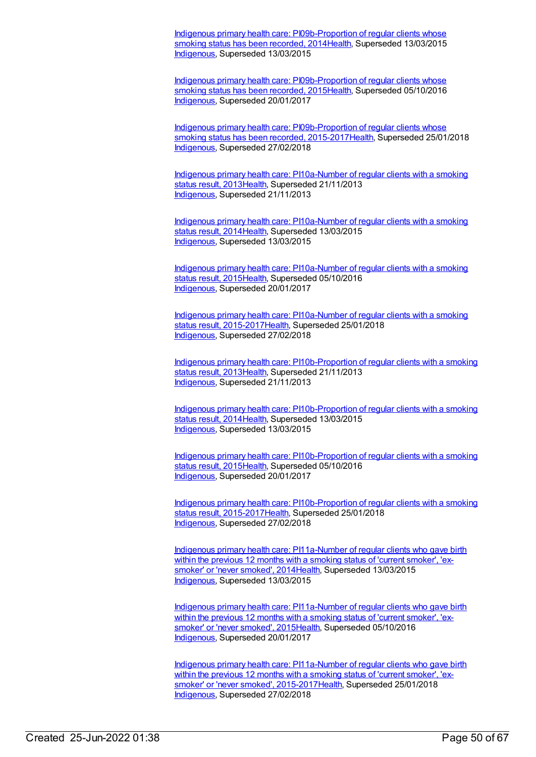Indigenous primary health care: [PI09b-Proportion](https://meteor.aihw.gov.au/content/504712) of regular clients whose smoking status has been recorded, 2014[Health](https://meteor.aihw.gov.au/RegistrationAuthority/12), Superseded 13/03/2015 [Indigenous](https://meteor.aihw.gov.au/RegistrationAuthority/6), Superseded 13/03/2015

Indigenous primary health care: [PI09b-Proportion](https://meteor.aihw.gov.au/content/589021) of regular clients whose smoking status has been recorded, 2015[Health](https://meteor.aihw.gov.au/RegistrationAuthority/12), Superseded 05/10/2016 [Indigenous](https://meteor.aihw.gov.au/RegistrationAuthority/6), Superseded 20/01/2017

Indigenous primary health care: [PI09b-Proportion](https://meteor.aihw.gov.au/content/663866) of regular clients whose smoking status has been recorded, 2015-2017 Health, Superseded 25/01/2018 [Indigenous](https://meteor.aihw.gov.au/RegistrationAuthority/6), Superseded 27/02/2018

Indigenous primary health care: [PI10a-Number](https://meteor.aihw.gov.au/content/431736) of regular clients with a smoking status result, 201[3Health](https://meteor.aihw.gov.au/RegistrationAuthority/12), Superseded 21/11/2013 [Indigenous](https://meteor.aihw.gov.au/RegistrationAuthority/6), Superseded 21/11/2013

Indigenous primary health care: [PI10a-Number](https://meteor.aihw.gov.au/content/504714) of regular clients with a smoking status result, 2014 Health, Superseded 13/03/2015 [Indigenous](https://meteor.aihw.gov.au/RegistrationAuthority/6), Superseded 13/03/2015

Indigenous primary health care: [PI10a-Number](https://meteor.aihw.gov.au/content/589026) of regular clients with a smoking status result, 201[5Health](https://meteor.aihw.gov.au/RegistrationAuthority/12), Superseded 05/10/2016 [Indigenous](https://meteor.aihw.gov.au/RegistrationAuthority/6), Superseded 20/01/2017

Indigenous primary health care: PI10a-Number of regular clients with a smoking status result, [2015-2017Health,](https://meteor.aihw.gov.au/content/663870) Superseded 25/01/2018 [Indigenous](https://meteor.aihw.gov.au/RegistrationAuthority/6), Superseded 27/02/2018

Indigenous primary health care: [PI10b-Proportion](https://meteor.aihw.gov.au/content/441560) of regular clients with a smoking status result, 201[3Health](https://meteor.aihw.gov.au/RegistrationAuthority/12), Superseded 21/11/2013 [Indigenous](https://meteor.aihw.gov.au/RegistrationAuthority/6), Superseded 21/11/2013

Indigenous primary health care: [PI10b-Proportion](https://meteor.aihw.gov.au/content/504716) of regular clients with a smoking status result, 201[4Health](https://meteor.aihw.gov.au/RegistrationAuthority/12), Superseded 13/03/2015 [Indigenous](https://meteor.aihw.gov.au/RegistrationAuthority/6), Superseded 13/03/2015

Indigenous primary health care: [PI10b-Proportion](https://meteor.aihw.gov.au/content/589030) of regular clients with a smoking status result, 201[5Health](https://meteor.aihw.gov.au/RegistrationAuthority/12), Superseded 05/10/2016 [Indigenous](https://meteor.aihw.gov.au/RegistrationAuthority/6), Superseded 20/01/2017

Indigenous primary health care: [PI10b-Proportion](https://meteor.aihw.gov.au/content/663872) of regular clients with a smoking status result, 2015-2017 Health, Superseded 25/01/2018 [Indigenous](https://meteor.aihw.gov.au/RegistrationAuthority/6), Superseded 27/02/2018

Indigenous primary health care: [PI11a-Number](https://meteor.aihw.gov.au/content/481489) of regular clients who gave birth within the previous 12 months with a smoking status of 'current smoker', 'exsmoker' or 'never smoked', 201[4Health](https://meteor.aihw.gov.au/RegistrationAuthority/12), Superseded 13/03/2015 [Indigenous](https://meteor.aihw.gov.au/RegistrationAuthority/6), Superseded 13/03/2015

Indigenous primary health care: [PI11a-Number](https://meteor.aihw.gov.au/content/589035) of regular clients who gave birth within the previous 12 months with a smoking status of 'current smoker', 'exsmoker' or 'never smoked', 201[5Health](https://meteor.aihw.gov.au/RegistrationAuthority/12), Superseded 05/10/2016 [Indigenous](https://meteor.aihw.gov.au/RegistrationAuthority/6), Superseded 20/01/2017

Indigenous primary health care: PI11a-Number of regular clients who gave birth within the previous 12 months with a smoking status of 'current smoker', 'exsmoker' or 'never smoked', [2015-2017Health,](https://meteor.aihw.gov.au/content/663874) Superseded 25/01/2018 [Indigenous](https://meteor.aihw.gov.au/RegistrationAuthority/6), Superseded 27/02/2018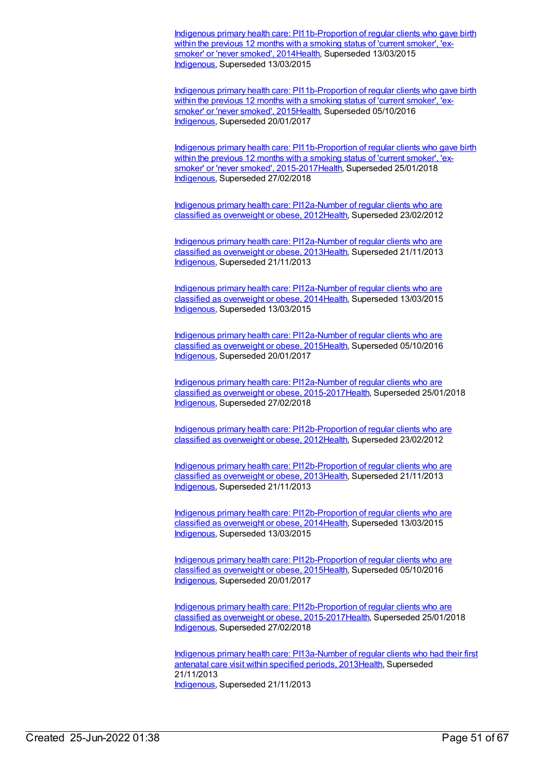Indigenous primary health care: [PI11b-Proportion](https://meteor.aihw.gov.au/content/481494) of regular clients who gave birth within the previous 12 months with a smoking status of 'current smoker', 'exsmoker' or 'never smoked', 201[4Health](https://meteor.aihw.gov.au/RegistrationAuthority/12), Superseded 13/03/2015 [Indigenous](https://meteor.aihw.gov.au/RegistrationAuthority/6), Superseded 13/03/2015

Indigenous primary health care: [PI11b-Proportion](https://meteor.aihw.gov.au/content/589037) of regular clients who gave birth within the previous 12 months with a smoking status of 'current smoker', 'exsmoker' or 'never smoked', 201[5Health](https://meteor.aihw.gov.au/RegistrationAuthority/12), Superseded 05/10/2016 [Indigenous](https://meteor.aihw.gov.au/RegistrationAuthority/6), Superseded 20/01/2017

Indigenous primary health care: [PI11b-Proportion](https://meteor.aihw.gov.au/content/663876) of regular clients who gave birth within the previous 12 months with a smoking status of 'current smoker', 'exsmoker' or 'never smoked', 2015-201[7Health](https://meteor.aihw.gov.au/RegistrationAuthority/12), Superseded 25/01/2018 [Indigenous](https://meteor.aihw.gov.au/RegistrationAuthority/6), Superseded 27/02/2018

Indigenous primary health care: [PI12a-Number](https://meteor.aihw.gov.au/content/432455) of regular clients who are classified as overweight or obese, 201[2Health](https://meteor.aihw.gov.au/RegistrationAuthority/12), Superseded 23/02/2012

Indigenous primary health care: [PI12a-Number](https://meteor.aihw.gov.au/content/468117) of regular clients who are classified as overweight or obese, 201[3Health](https://meteor.aihw.gov.au/RegistrationAuthority/12), Superseded 21/11/2013 [Indigenous](https://meteor.aihw.gov.au/RegistrationAuthority/6), Superseded 21/11/2013

Indigenous primary health care: [PI12a-Number](https://meteor.aihw.gov.au/content/504718) of regular clients who are classified as overweight or obese, 201[4Health](https://meteor.aihw.gov.au/RegistrationAuthority/12), Superseded 13/03/2015 [Indigenous](https://meteor.aihw.gov.au/RegistrationAuthority/6), Superseded 13/03/2015

Indigenous primary health care: [PI12a-Number](https://meteor.aihw.gov.au/content/589039) of regular clients who are classified as overweight or obese, 201[5Health](https://meteor.aihw.gov.au/RegistrationAuthority/12), Superseded 05/10/2016 [Indigenous](https://meteor.aihw.gov.au/RegistrationAuthority/6), Superseded 20/01/2017

Indigenous primary health care: PI12a-Number of regular clients who are classified as overweight or obese, [2015-2017Health,](https://meteor.aihw.gov.au/content/663944) Superseded 25/01/2018 [Indigenous](https://meteor.aihw.gov.au/RegistrationAuthority/6), Superseded 27/02/2018

Indigenous primary health care: [PI12b-Proportion](https://meteor.aihw.gov.au/content/430733) of regular clients who are classified as overweight or obese, 201[2Health](https://meteor.aihw.gov.au/RegistrationAuthority/12), Superseded 23/02/2012

Indigenous primary health care: [PI12b-Proportion](https://meteor.aihw.gov.au/content/468119) of regular clients who are classified as overweight or obese, 201[3Health](https://meteor.aihw.gov.au/RegistrationAuthority/12), Superseded 21/11/2013 [Indigenous](https://meteor.aihw.gov.au/RegistrationAuthority/6), Superseded 21/11/2013

Indigenous primary health care: [PI12b-Proportion](https://meteor.aihw.gov.au/content/504729) of regular clients who are classified as overweight or obese, 201[4Health](https://meteor.aihw.gov.au/RegistrationAuthority/12), Superseded 13/03/2015 [Indigenous](https://meteor.aihw.gov.au/RegistrationAuthority/6), Superseded 13/03/2015

Indigenous primary health care: [PI12b-Proportion](https://meteor.aihw.gov.au/content/589041) of regular clients who are classified as overweight or obese, 201[5Health](https://meteor.aihw.gov.au/RegistrationAuthority/12), Superseded 05/10/2016 [Indigenous](https://meteor.aihw.gov.au/RegistrationAuthority/6), Superseded 20/01/2017

Indigenous primary health care: [PI12b-Proportion](https://meteor.aihw.gov.au/content/663934) of regular clients who are classified as overweight or obese, 2015-2017 Health, Superseded 25/01/2018 [Indigenous](https://meteor.aihw.gov.au/RegistrationAuthority/6), Superseded 27/02/2018

Indigenous primary health care: [PI13a-Number](https://meteor.aihw.gov.au/content/438086) of regular clients who had their first antenatal care visit within specified periods, 201[3Health](https://meteor.aihw.gov.au/RegistrationAuthority/12), Superseded 21/11/2013 [Indigenous](https://meteor.aihw.gov.au/RegistrationAuthority/6), Superseded 21/11/2013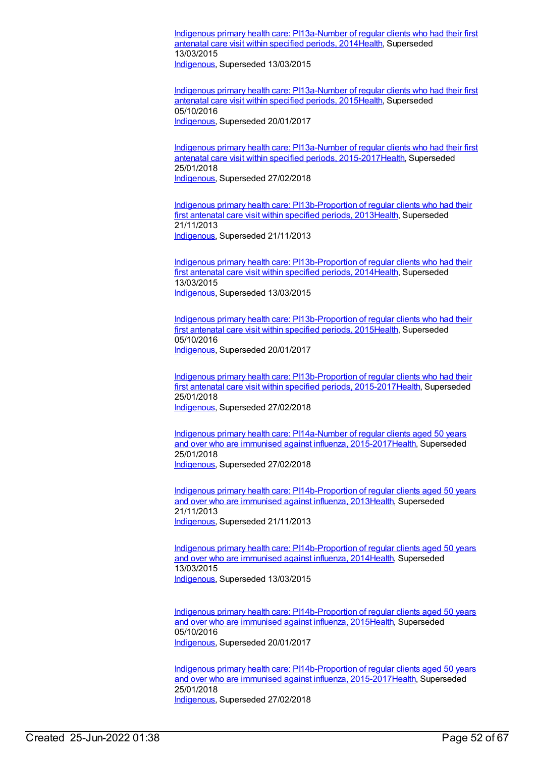Indigenous primary health care: [PI13a-Number](https://meteor.aihw.gov.au/content/504731) of regular clients who had their first antenatal care visit within specified periods, 201[4Health](https://meteor.aihw.gov.au/RegistrationAuthority/12), Superseded 13/03/2015 [Indigenous](https://meteor.aihw.gov.au/RegistrationAuthority/6), Superseded 13/03/2015

Indigenous primary health care: [PI13a-Number](https://meteor.aihw.gov.au/content/589047) of regular clients who had their first antenatal care visit within specified periods, 201[5Health](https://meteor.aihw.gov.au/RegistrationAuthority/12), Superseded 05/10/2016 [Indigenous](https://meteor.aihw.gov.au/RegistrationAuthority/6), Superseded 20/01/2017

Indigenous primary health care: PI13a-Number of regular clients who had their first antenatal care visit within specified periods, [2015-2017Health,](https://meteor.aihw.gov.au/content/663947) Superseded 25/01/2018 [Indigenous](https://meteor.aihw.gov.au/RegistrationAuthority/6), Superseded 27/02/2018

Indigenous primary health care: [PI13b-Proportion](https://meteor.aihw.gov.au/content/438089) of regular clients who had their first antenatal care visit within specified periods, 201[3Health](https://meteor.aihw.gov.au/RegistrationAuthority/12), Superseded 21/11/2013 [Indigenous](https://meteor.aihw.gov.au/RegistrationAuthority/6), Superseded 21/11/2013

Indigenous primary health care: [PI13b-Proportion](https://meteor.aihw.gov.au/content/504733) of regular clients who had their first antenatal care visit within specified periods, 201[4Health](https://meteor.aihw.gov.au/RegistrationAuthority/12), Superseded 13/03/2015 [Indigenous](https://meteor.aihw.gov.au/RegistrationAuthority/6), Superseded 13/03/2015

Indigenous primary health care: [PI13b-Proportion](https://meteor.aihw.gov.au/content/589049) of regular clients who had their first antenatal care visit within specified periods, 2015 Health, Superseded 05/10/2016 [Indigenous](https://meteor.aihw.gov.au/RegistrationAuthority/6), Superseded 20/01/2017

Indigenous primary health care: [PI13b-Proportion](https://meteor.aihw.gov.au/content/663951) of regular clients who had their first antenatal care visit within specified periods, 2015-2017 Health, Superseded 25/01/2018 [Indigenous](https://meteor.aihw.gov.au/RegistrationAuthority/6), Superseded 27/02/2018

Indigenous primary health care: PI14a-Number of regular clients aged 50 years and over who are immunised against influenza, [2015-2017Health,](https://meteor.aihw.gov.au/content/663954) Superseded 25/01/2018 [Indigenous](https://meteor.aihw.gov.au/RegistrationAuthority/6), Superseded 27/02/2018

Indigenous primary health care: [PI14b-Proportion](https://meteor.aihw.gov.au/content/441433) of regular clients aged 50 years and over who are immunised against influenza, 201[3Health](https://meteor.aihw.gov.au/RegistrationAuthority/12), Superseded 21/11/2013 [Indigenous](https://meteor.aihw.gov.au/RegistrationAuthority/6), Superseded 21/11/2013

Indigenous primary health care: [PI14b-Proportion](https://meteor.aihw.gov.au/content/504737) of regular clients aged 50 years and over who are immunised against influenza, 201[4Health](https://meteor.aihw.gov.au/RegistrationAuthority/12), Superseded 13/03/2015 [Indigenous](https://meteor.aihw.gov.au/RegistrationAuthority/6), Superseded 13/03/2015

Indigenous primary health care: [PI14b-Proportion](https://meteor.aihw.gov.au/content/589053) of regular clients aged 50 years and over who are immunised against influenza, 201[5Health](https://meteor.aihw.gov.au/RegistrationAuthority/12), Superseded 05/10/2016 [Indigenous](https://meteor.aihw.gov.au/RegistrationAuthority/6), Superseded 20/01/2017

Indigenous primary health care: [PI14b-Proportion](https://meteor.aihw.gov.au/content/663956) of regular clients aged 50 years and over who are immunised against influenza, 2015-2017[Health](https://meteor.aihw.gov.au/RegistrationAuthority/12), Superseded 25/01/2018 [Indigenous](https://meteor.aihw.gov.au/RegistrationAuthority/6), Superseded 27/02/2018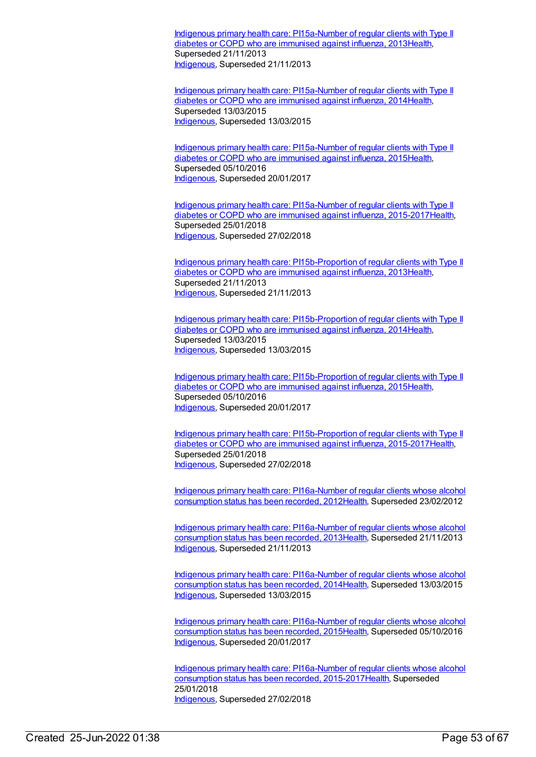Indigenous primary health care: [PI15a-Number](https://meteor.aihw.gov.au/content/438117) of regular clients with Type II diabetes or COPD who are immunised against influenza, 201[3Health](https://meteor.aihw.gov.au/RegistrationAuthority/12), Superseded 21/11/2013 [Indigenous](https://meteor.aihw.gov.au/RegistrationAuthority/6), Superseded 21/11/2013

Indigenous primary health care: [PI15a-Number](https://meteor.aihw.gov.au/content/504739) of regular clients with Type II diabetes or COPD who are immunised against influenza, 201[4Health](https://meteor.aihw.gov.au/RegistrationAuthority/12), Superseded 13/03/2015 [Indigenous](https://meteor.aihw.gov.au/RegistrationAuthority/6), Superseded 13/03/2015

Indigenous primary health care: [PI15a-Number](https://meteor.aihw.gov.au/content/589056) of regular clients with Type II diabetes or COPD who are immunised against influenza, 201[5Health](https://meteor.aihw.gov.au/RegistrationAuthority/12), Superseded 05/10/2016 [Indigenous](https://meteor.aihw.gov.au/RegistrationAuthority/6), Superseded 20/01/2017

Indigenous primary health care: PI15a-Number of regular clients with Type II diabetes or COPD who are immunised against influenza, [2015-2017Healt](https://meteor.aihw.gov.au/content/663959)[h](https://meteor.aihw.gov.au/RegistrationAuthority/12), Superseded 25/01/2018 [Indigenous](https://meteor.aihw.gov.au/RegistrationAuthority/6), Superseded 27/02/2018

Indigenous primary health care: [PI15b-Proportion](https://meteor.aihw.gov.au/content/438127) of regular clients with Type II diabetes or COPD who are immunised against influenza, 201[3Health](https://meteor.aihw.gov.au/RegistrationAuthority/12), Superseded 21/11/2013 [Indigenous](https://meteor.aihw.gov.au/RegistrationAuthority/6), Superseded 21/11/2013

Indigenous primary health care: [PI15b-Proportion](https://meteor.aihw.gov.au/content/504741) of regular clients with Type II diabetes or COPD who are immunised against influenza, 201[4Health](https://meteor.aihw.gov.au/RegistrationAuthority/12), Superseded 13/03/2015 [Indigenous](https://meteor.aihw.gov.au/RegistrationAuthority/6), Superseded 13/03/2015

Indigenous primary health care: [PI15b-Proportion](https://meteor.aihw.gov.au/content/589059) of regular clients with Type II diabetes or COPD who are immunised against influenza, 201[5Health](https://meteor.aihw.gov.au/RegistrationAuthority/12), Superseded 05/10/2016 [Indigenous](https://meteor.aihw.gov.au/RegistrationAuthority/6), Superseded 20/01/2017

Indigenous primary health care: [PI15b-Proportion](https://meteor.aihw.gov.au/content/663961) of regular clients with Type II diabetes or COPD who are immunised against influenza, 2015-2017[Health](https://meteor.aihw.gov.au/RegistrationAuthority/12), Superseded 25/01/2018 [Indigenous](https://meteor.aihw.gov.au/RegistrationAuthority/6), Superseded 27/02/2018

Indigenous primary health care: [PI16a-Number](https://meteor.aihw.gov.au/content/438220) of regular clients whose alcohol consumption status has been recorded, 201[2Health](https://meteor.aihw.gov.au/RegistrationAuthority/12), Superseded 23/02/2012

Indigenous primary health care: [PI16a-Number](https://meteor.aihw.gov.au/content/468121) of regular clients whose alcohol consumption status has been recorded, 201[3Health](https://meteor.aihw.gov.au/RegistrationAuthority/12), Superseded 21/11/2013 [Indigenous](https://meteor.aihw.gov.au/RegistrationAuthority/6), Superseded 21/11/2013

Indigenous primary health care: [PI16a-Number](https://meteor.aihw.gov.au/content/504743) of regular clients whose alcohol consumption status has been recorded, 201[4Health](https://meteor.aihw.gov.au/RegistrationAuthority/12), Superseded 13/03/2015 [Indigenous](https://meteor.aihw.gov.au/RegistrationAuthority/6), Superseded 13/03/2015

Indigenous primary health care: [PI16a-Number](https://meteor.aihw.gov.au/content/589061) of regular clients whose alcohol consumption status has been recorded, 201[5Health](https://meteor.aihw.gov.au/RegistrationAuthority/12), Superseded 05/10/2016 [Indigenous](https://meteor.aihw.gov.au/RegistrationAuthority/6), Superseded 20/01/2017

Indigenous primary health care: PI16a-Number of regular clients whose alcohol consumption status has been recorded, [2015-2017](https://meteor.aihw.gov.au/content/663878)[Healt](https://meteor.aihw.gov.au/RegistrationAuthority/12)[h,](https://meteor.aihw.gov.au/content/663878) Superseded 25/01/2018 [Indigenous](https://meteor.aihw.gov.au/RegistrationAuthority/6), Superseded 27/02/2018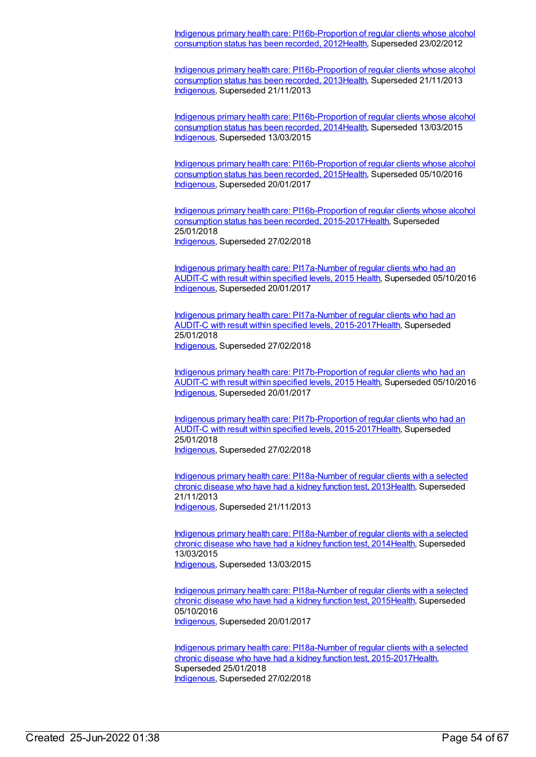Indigenous primary health care: [PI16b-Proportion](https://meteor.aihw.gov.au/content/438224) of regular clients whose alcohol consumption status has been recorded, 201[2Health](https://meteor.aihw.gov.au/RegistrationAuthority/12), Superseded 23/02/2012

Indigenous primary health care: [PI16b-Proportion](https://meteor.aihw.gov.au/content/468123) of regular clients whose alcohol consumption status has been recorded, 201[3Health](https://meteor.aihw.gov.au/RegistrationAuthority/12), Superseded 21/11/2013 [Indigenous](https://meteor.aihw.gov.au/RegistrationAuthority/6), Superseded 21/11/2013

Indigenous primary health care: [PI16b-Proportion](https://meteor.aihw.gov.au/content/504745) of regular clients whose alcohol consumption status has been recorded, 201[4Health](https://meteor.aihw.gov.au/RegistrationAuthority/12), Superseded 13/03/2015 [Indigenous](https://meteor.aihw.gov.au/RegistrationAuthority/6), Superseded 13/03/2015

Indigenous primary health care: [PI16b-Proportion](https://meteor.aihw.gov.au/content/589064) of regular clients whose alcohol consumption status has been recorded, 201[5Health](https://meteor.aihw.gov.au/RegistrationAuthority/12), Superseded 05/10/2016 [Indigenous](https://meteor.aihw.gov.au/RegistrationAuthority/6), Superseded 20/01/2017

Indigenous primary health care: [PI16b-Proportion](https://meteor.aihw.gov.au/content/663880) of regular clients whose alcohol consumption status has been recorded, 2015-2017[Health](https://meteor.aihw.gov.au/RegistrationAuthority/12), Superseded 25/01/2018 [Indigenous](https://meteor.aihw.gov.au/RegistrationAuthority/6), Superseded 27/02/2018

Indigenous primary health care: [PI17a-Number](https://meteor.aihw.gov.au/content/591952) of regular clients who had an AUDIT-C with result within specified levels, 2015 [Health](https://meteor.aihw.gov.au/RegistrationAuthority/12), Superseded 05/10/2016 [Indigenous](https://meteor.aihw.gov.au/RegistrationAuthority/6), Superseded 20/01/2017

Indigenous primary health care: PI17a-Number of regular clients who had an AUDIT-C with result within specified levels, [2015-2017Health,](https://meteor.aihw.gov.au/content/663963) Superseded 25/01/2018 [Indigenous](https://meteor.aihw.gov.au/RegistrationAuthority/6), Superseded 27/02/2018

Indigenous primary health care: [PI17b-Proportion](https://meteor.aihw.gov.au/content/585006) of regular clients who had an AUDIT-C with result within specified levels, 2015 [Health](https://meteor.aihw.gov.au/RegistrationAuthority/12), Superseded 05/10/2016 [Indigenous](https://meteor.aihw.gov.au/RegistrationAuthority/6), Superseded 20/01/2017

Indigenous primary health care: [PI17b-Proportion](https://meteor.aihw.gov.au/content/663965) of regular clients who had an AUDIT-C with result within specified levels, 2015-201[7Health](https://meteor.aihw.gov.au/RegistrationAuthority/12), Superseded 25/01/2018 [Indigenous](https://meteor.aihw.gov.au/RegistrationAuthority/6), Superseded 27/02/2018

Indigenous primary health care: [PI18a-Number](https://meteor.aihw.gov.au/content/438141) of regular clients with a selected chronic disease who have had a kidney function test, 201[3Health](https://meteor.aihw.gov.au/RegistrationAuthority/12), Superseded 21/11/2013 [Indigenous](https://meteor.aihw.gov.au/RegistrationAuthority/6), Superseded 21/11/2013

Indigenous primary health care: [PI18a-Number](https://meteor.aihw.gov.au/content/504785) of regular clients with a selected chronic disease who have had a kidney function test, 201[4Health](https://meteor.aihw.gov.au/RegistrationAuthority/12), Superseded 13/03/2015 [Indigenous](https://meteor.aihw.gov.au/RegistrationAuthority/6), Superseded 13/03/2015

Indigenous primary health care: [PI18a-Number](https://meteor.aihw.gov.au/content/589067) of regular clients with a selected chronic disease who have had a kidney function test, 201[5Health](https://meteor.aihw.gov.au/RegistrationAuthority/12), Superseded 05/10/2016 [Indigenous](https://meteor.aihw.gov.au/RegistrationAuthority/6), Superseded 20/01/2017

Indigenous primary health care: PI18a-Number of regular clients with a selected chronic disease who have had a kidney function test, [2015-2017Health,](https://meteor.aihw.gov.au/content/663967) Superseded 25/01/2018 [Indigenous](https://meteor.aihw.gov.au/RegistrationAuthority/6), Superseded 27/02/2018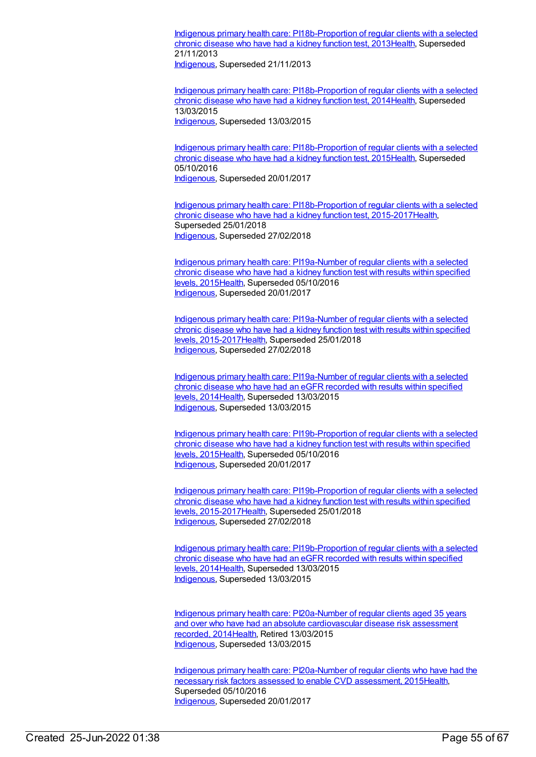Indigenous primary health care: [PI18b-Proportion](https://meteor.aihw.gov.au/content/438145) of regular clients with a selected chronic disease who have had a kidney function test, 201[3Health](https://meteor.aihw.gov.au/RegistrationAuthority/12), Superseded 21/11/2013

[Indigenous](https://meteor.aihw.gov.au/RegistrationAuthority/6), Superseded 21/11/2013

Indigenous primary health care: [PI18b-Proportion](https://meteor.aihw.gov.au/content/504788) of regular clients with a selected chronic disease who have had a kidney function test, 201[4Health](https://meteor.aihw.gov.au/RegistrationAuthority/12), Superseded 13/03/2015 [Indigenous](https://meteor.aihw.gov.au/RegistrationAuthority/6), Superseded 13/03/2015

Indigenous primary health care: [PI18b-Proportion](https://meteor.aihw.gov.au/content/589069) of regular clients with a selected chronic disease who have had a kidney function test, 201[5Health](https://meteor.aihw.gov.au/RegistrationAuthority/12), Superseded 05/10/2016 [Indigenous](https://meteor.aihw.gov.au/RegistrationAuthority/6), Superseded 20/01/2017

Indigenous primary health care: [PI18b-Proportion](https://meteor.aihw.gov.au/content/663969) of regular clients with a selected chronic disease who have had a kidney function test, 2015-201[7Health](https://meteor.aihw.gov.au/RegistrationAuthority/12), Superseded 25/01/2018 [Indigenous](https://meteor.aihw.gov.au/RegistrationAuthority/6), Superseded 27/02/2018

Indigenous primary health care: [PI19a-Number](https://meteor.aihw.gov.au/content/594135) of regular clients with a selected chronic disease who have had a kidney function test with results within specified levels, 2015[Health](https://meteor.aihw.gov.au/RegistrationAuthority/12), Superseded 05/10/2016 [Indigenous](https://meteor.aihw.gov.au/RegistrationAuthority/6), Superseded 20/01/2017

Indigenous primary health care: PI19a-Number of regular clients with a selected chronic disease who have had a kidney function test with results within specified levels, [2015-2017Health,](https://meteor.aihw.gov.au/content/663973) Superseded 25/01/2018 [Indigenous](https://meteor.aihw.gov.au/RegistrationAuthority/6), Superseded 27/02/2018

Indigenous primary health care: [PI19a-Number](https://meteor.aihw.gov.au/content/481523) of regular clients with a selected chronic disease who have had an eGFR recorded with results within specified levels, 2014[Health](https://meteor.aihw.gov.au/RegistrationAuthority/12), Superseded 13/03/2015 [Indigenous](https://meteor.aihw.gov.au/RegistrationAuthority/6), Superseded 13/03/2015

Indigenous primary health care: [PI19b-Proportion](https://meteor.aihw.gov.au/content/594108) of regular clients with a selected chronic disease who have had a kidney function test with results within specified levels, 2015[Health](https://meteor.aihw.gov.au/RegistrationAuthority/12), Superseded 05/10/2016 [Indigenous](https://meteor.aihw.gov.au/RegistrationAuthority/6), Superseded 20/01/2017

Indigenous primary health care: [PI19b-Proportion](https://meteor.aihw.gov.au/content/663976) of regular clients with a selected chronic disease who have had a kidney function test with results within specified levels, 2015-201[7Health,](https://meteor.aihw.gov.au/RegistrationAuthority/12) Superseded 25/01/2018 [Indigenous](https://meteor.aihw.gov.au/RegistrationAuthority/6), Superseded 27/02/2018

Indigenous primary health care: [PI19b-Proportion](https://meteor.aihw.gov.au/content/481525) of regular clients with a selected chronic disease who have had an eGFR recorded with results within specified levels, 2014[Health](https://meteor.aihw.gov.au/RegistrationAuthority/12), Superseded 13/03/2015 [Indigenous](https://meteor.aihw.gov.au/RegistrationAuthority/6), Superseded 13/03/2015

Indigenous primary health care: [PI20a-Number](https://meteor.aihw.gov.au/content/481574) of regular clients aged 35 years and over who have had an absolute cardiovascular disease risk assessment recorded, 201[4Health](https://meteor.aihw.gov.au/RegistrationAuthority/12), Retired 13/03/2015 [Indigenous](https://meteor.aihw.gov.au/RegistrationAuthority/6), Superseded 13/03/2015

Indigenous primary health care: [PI20a-Number](https://meteor.aihw.gov.au/content/591955) of regular clients who have had the necessary risk factors assessed to enable CVD assessment, 201[5Health](https://meteor.aihw.gov.au/RegistrationAuthority/12), Superseded 05/10/2016 [Indigenous](https://meteor.aihw.gov.au/RegistrationAuthority/6), Superseded 20/01/2017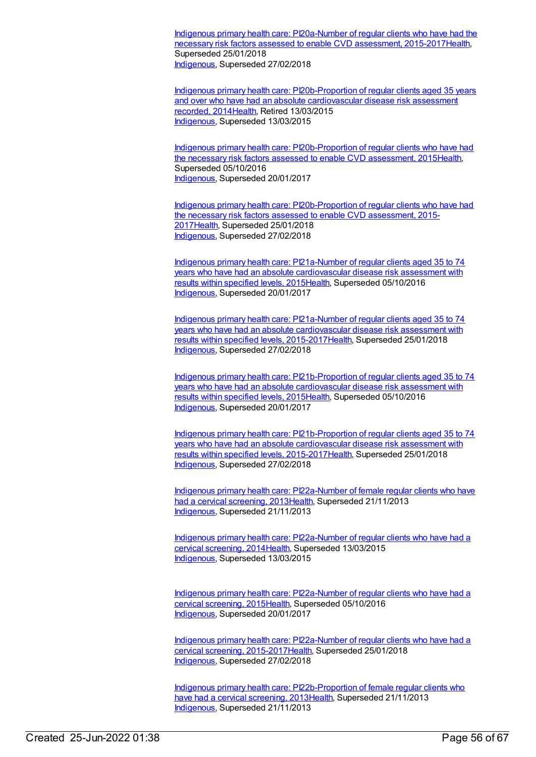Indigenous primary health care: PI20a-Number of regular clients who have had the necessary risk factors assessed to enable CVD assessment, [2015-2017Health,](https://meteor.aihw.gov.au/content/663882) Superseded 25/01/2018 [Indigenous](https://meteor.aihw.gov.au/RegistrationAuthority/6), Superseded 27/02/2018

Indigenous primary health care: [PI20b-Proportion](https://meteor.aihw.gov.au/content/481576) of regular clients aged 35 years and over who have had an absolute cardiovascular disease risk assessment recorded, 201[4Health](https://meteor.aihw.gov.au/RegistrationAuthority/12), Retired 13/03/2015 [Indigenous](https://meteor.aihw.gov.au/RegistrationAuthority/6), Superseded 13/03/2015

Indigenous primary health care: [PI20b-Proportion](https://meteor.aihw.gov.au/content/588801) of regular clients who have had the necessary risk factors assessed to enable CVD assessment, 201[5Health](https://meteor.aihw.gov.au/RegistrationAuthority/12), Superseded 05/10/2016 [Indigenous](https://meteor.aihw.gov.au/RegistrationAuthority/6), Superseded 20/01/2017

Indigenous primary health care: [PI20b-Proportion](https://meteor.aihw.gov.au/content/663884) of regular clients who have had the necessary risk factors assessed to enable CVD assessment, 2015- 201[7Health](https://meteor.aihw.gov.au/RegistrationAuthority/12), Superseded 25/01/2018 [Indigenous](https://meteor.aihw.gov.au/RegistrationAuthority/6), Superseded 27/02/2018

Indigenous primary health care: [PI21a-Number](https://meteor.aihw.gov.au/content/591202) of regular clients aged 35 to 74 years who have had an absolute cardiovascular disease risk assessment with results within specified levels, 2015[Health](https://meteor.aihw.gov.au/RegistrationAuthority/12), Superseded 05/10/2016 [Indigenous](https://meteor.aihw.gov.au/RegistrationAuthority/6), Superseded 20/01/2017

Indigenous primary health care: PI21a-Number of regular clients aged 35 to 74 years who have had an absolute cardiovascular disease risk assessment with results within specified levels, [2015-2017Health,](https://meteor.aihw.gov.au/content/663978) Superseded 25/01/2018 [Indigenous](https://meteor.aihw.gov.au/RegistrationAuthority/6), Superseded 27/02/2018

Indigenous primary health care: [PI21b-Proportion](https://meteor.aihw.gov.au/content/585230) of regular clients aged 35 to 74 years who have had an absolute cardiovascular disease risk assessment with results within specified levels, 2015[Health](https://meteor.aihw.gov.au/RegistrationAuthority/12), Superseded 05/10/2016 [Indigenous](https://meteor.aihw.gov.au/RegistrationAuthority/6), Superseded 20/01/2017

Indigenous primary health care: [PI21b-Proportion](https://meteor.aihw.gov.au/content/663980) of regular clients aged 35 to 74 years who have had an absolute cardiovascular disease risk assessment with results within specified levels, 2015-201[7Health](https://meteor.aihw.gov.au/RegistrationAuthority/12), Superseded 25/01/2018 [Indigenous](https://meteor.aihw.gov.au/RegistrationAuthority/6), Superseded 27/02/2018

Indigenous primary health care: [PI22a-Number](https://meteor.aihw.gov.au/content/438211) of female regular clients who have had a cervical screening, 201[3Health](https://meteor.aihw.gov.au/RegistrationAuthority/12), Superseded 21/11/2013 [Indigenous](https://meteor.aihw.gov.au/RegistrationAuthority/6), Superseded 21/11/2013

Indigenous primary health care: [PI22a-Number](https://meteor.aihw.gov.au/content/504790) of regular clients who have had a cervical screening, 2014[Health,](https://meteor.aihw.gov.au/RegistrationAuthority/12) Superseded 13/03/2015 [Indigenous](https://meteor.aihw.gov.au/RegistrationAuthority/6), Superseded 13/03/2015

Indigenous primary health care: [PI22a-Number](https://meteor.aihw.gov.au/content/589075) of regular clients who have had a cervical screening, 2015[Health,](https://meteor.aihw.gov.au/RegistrationAuthority/12) Superseded 05/10/2016 [Indigenous](https://meteor.aihw.gov.au/RegistrationAuthority/6), Superseded 20/01/2017

Indigenous primary health care: PI22a-Number of regular clients who have had a cervical screening, [2015-2017Health,](https://meteor.aihw.gov.au/content/663982) Superseded 25/01/2018 [Indigenous](https://meteor.aihw.gov.au/RegistrationAuthority/6), Superseded 27/02/2018

Indigenous primary health care: [PI22b-Proportion](https://meteor.aihw.gov.au/content/438215) of female regular clients who have had a cervical screening, 2013[Health,](https://meteor.aihw.gov.au/RegistrationAuthority/12) Superseded 21/11/2013 [Indigenous](https://meteor.aihw.gov.au/RegistrationAuthority/6), Superseded 21/11/2013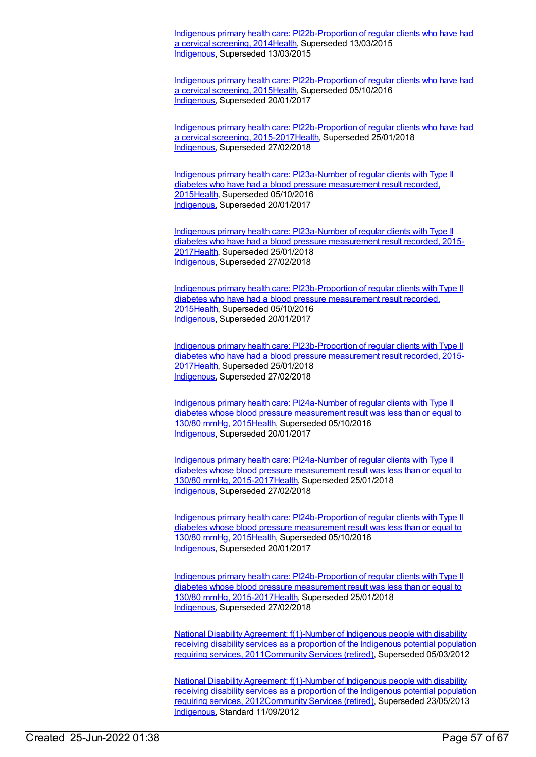Indigenous primary health care: [PI22b-Proportion](https://meteor.aihw.gov.au/content/504793) of regular clients who have had a cervical screening, 201[4Health](https://meteor.aihw.gov.au/RegistrationAuthority/12), Superseded 13/03/2015 [Indigenous](https://meteor.aihw.gov.au/RegistrationAuthority/6), Superseded 13/03/2015

Indigenous primary health care: [PI22b-Proportion](https://meteor.aihw.gov.au/content/589077) of regular clients who have had a cervical screening, 201[5Health](https://meteor.aihw.gov.au/RegistrationAuthority/12), Superseded 05/10/2016 [Indigenous](https://meteor.aihw.gov.au/RegistrationAuthority/6), Superseded 20/01/2017

Indigenous primary health care: [PI22b-Proportion](https://meteor.aihw.gov.au/content/663984) of regular clients who have had a cervical screening, 2015-2017[Health](https://meteor.aihw.gov.au/RegistrationAuthority/12), Superseded 25/01/2018 [Indigenous](https://meteor.aihw.gov.au/RegistrationAuthority/6), Superseded 27/02/2018

Indigenous primary health care: [PI23a-Number](https://meteor.aihw.gov.au/content/589079) of regular clients with Type II diabetes who have had a blood pressure measurement result recorded, 201[5Health](https://meteor.aihw.gov.au/RegistrationAuthority/12), Superseded 05/10/2016 [Indigenous](https://meteor.aihw.gov.au/RegistrationAuthority/6), Superseded 20/01/2017

Indigenous primary health care: [PI23a-Number](https://meteor.aihw.gov.au/content/663986) of regular clients with Type II diabetes who have had a blood pressure measurement result recorded, 2015- 201[7Health](https://meteor.aihw.gov.au/RegistrationAuthority/12), Superseded 25/01/2018 [Indigenous](https://meteor.aihw.gov.au/RegistrationAuthority/6), Superseded 27/02/2018

Indigenous primary health care: [PI23b-Proportion](https://meteor.aihw.gov.au/content/589081) of regular clients with Type II diabetes who have had a blood pressure measurement result recorded, 201[5Health](https://meteor.aihw.gov.au/RegistrationAuthority/12), Superseded 05/10/2016 [Indigenous](https://meteor.aihw.gov.au/RegistrationAuthority/6), Superseded 20/01/2017

Indigenous primary health care: [PI23b-Proportion](https://meteor.aihw.gov.au/content/663988) of regular clients with Type II diabetes who have had a blood pressure measurement result recorded, 2015- 201[7Health](https://meteor.aihw.gov.au/RegistrationAuthority/12), Superseded 25/01/2018 [Indigenous](https://meteor.aihw.gov.au/RegistrationAuthority/6), Superseded 27/02/2018

Indigenous primary health care: [PI24a-Number](https://meteor.aihw.gov.au/content/589083) of regular clients with Type II diabetes whose blood pressure measurement result was less than or equal to 130/80 mmHg, 2015[Health](https://meteor.aihw.gov.au/RegistrationAuthority/12), Superseded 05/10/2016 [Indigenous](https://meteor.aihw.gov.au/RegistrationAuthority/6), Superseded 20/01/2017

Indigenous primary health care: [PI24a-Number](https://meteor.aihw.gov.au/content/663990) of regular clients with Type II diabetes whose blood pressure measurement result was less than or equal to 130/80 mmHg, 2015-201[7Health,](https://meteor.aihw.gov.au/RegistrationAuthority/12) Superseded 25/01/2018 [Indigenous](https://meteor.aihw.gov.au/RegistrationAuthority/6), Superseded 27/02/2018

Indigenous primary health care: [PI24b-Proportion](https://meteor.aihw.gov.au/content/589085) of regular clients with Type II diabetes whose blood pressure measurement result was less than or equal to 130/80 mmHg, 2015[Health](https://meteor.aihw.gov.au/RegistrationAuthority/12), Superseded 05/10/2016 [Indigenous](https://meteor.aihw.gov.au/RegistrationAuthority/6), Superseded 20/01/2017

Indigenous primary health care: [PI24b-Proportion](https://meteor.aihw.gov.au/content/663992) of regular clients with Type II diabetes whose blood pressure measurement result was less than or equal to 130/80 mmHg, 2015-201[7Health,](https://meteor.aihw.gov.au/RegistrationAuthority/12) Superseded 25/01/2018 [Indigenous](https://meteor.aihw.gov.au/RegistrationAuthority/6), Superseded 27/02/2018

National Disability Agreement: f(1)-Number of Indigenous people with disability receiving disability services as a proportion of the Indigenous potential population requiring services, [2011](https://meteor.aihw.gov.au/content/428753)[Community](https://meteor.aihw.gov.au/RegistrationAuthority/1) Services (retired), Superseded 05/03/2012

National Disability Agreement: f(1)-Number of Indigenous people with disability receiving disability services as a proportion of the Indigenous potential population requiring services, [2012Community](https://meteor.aihw.gov.au/content/467943) Services (retired), Superseded 23/05/2013 [Indigenous](https://meteor.aihw.gov.au/RegistrationAuthority/6), Standard 11/09/2012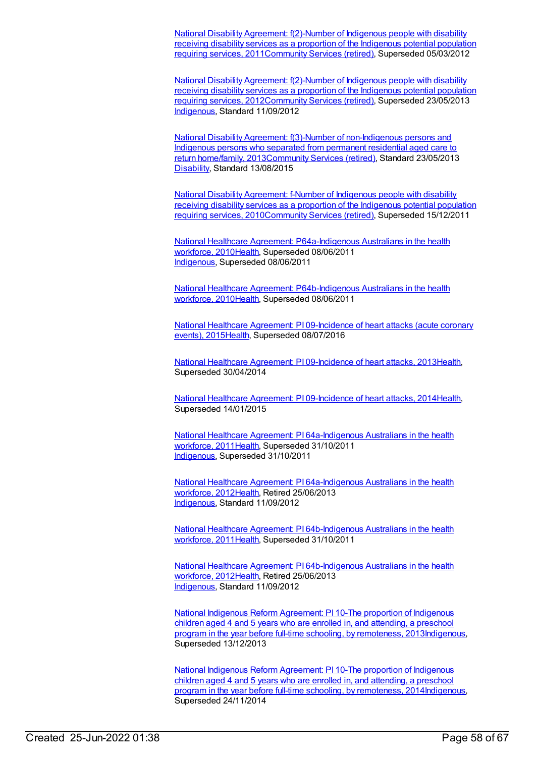National Disability Agreement: f(2)-Number of Indigenous people with disability receiving disability services as a proportion of the Indigenous potential population requiring services, [2011Community](https://meteor.aihw.gov.au/content/447040) Services (retired), Superseded 05/03/2012

National Disability Agreement: f(2)-Number of Indigenous people with disability receiving disability services as a proportion of the Indigenous potential population requiring services, [2012](https://meteor.aihw.gov.au/content/467946)[Community](https://meteor.aihw.gov.au/RegistrationAuthority/1) Services (retired), Superseded 23/05/2013 [Indigenous](https://meteor.aihw.gov.au/RegistrationAuthority/6), Standard 11/09/2012

National Disability Agreement: f(3)-Number of [non-Indigenous](https://meteor.aihw.gov.au/content/518794) persons and Indigenous persons who separated from permanent residential aged care to return home/family, 201[3Community](https://meteor.aihw.gov.au/RegistrationAuthority/1) Services (retired), Standard 23/05/2013 [Disability](https://meteor.aihw.gov.au/RegistrationAuthority/16), Standard 13/08/2015

National Disability Agreement: f-Number of Indigenous people with disability receiving disability services as a proportion of the Indigenous potential population requiring services, [2010Community](https://meteor.aihw.gov.au/content/393990) Services (retired), Superseded 15/12/2011

National Healthcare Agreement: [P64a-Indigenous](https://meteor.aihw.gov.au/content/395129) Australians in the health workforce, 201[0Health](https://meteor.aihw.gov.au/RegistrationAuthority/12), Superseded 08/06/2011 [Indigenous](https://meteor.aihw.gov.au/RegistrationAuthority/6), Superseded 08/06/2011

National Healthcare Agreement: [P64b-Indigenous](https://meteor.aihw.gov.au/content/395132) Australians in the health workforce, 201[0Health](https://meteor.aihw.gov.au/RegistrationAuthority/12), Superseded 08/06/2011

National Healthcare Agreement: PI [09-Incidence](https://meteor.aihw.gov.au/content/559050) of heart attacks (acute coronary events), 201[5Health,](https://meteor.aihw.gov.au/RegistrationAuthority/12) Superseded 08/07/2016

National Healthcare Agreement: PI [09-Incidence](https://meteor.aihw.gov.au/content/497512) of heart attacks, 201[3Health](https://meteor.aihw.gov.au/RegistrationAuthority/12), Superseded 30/04/2014

National Healthcare Agreement: PI [09-Incidence](https://meteor.aihw.gov.au/content/517669) of heart attacks, 201[4Health](https://meteor.aihw.gov.au/RegistrationAuthority/12), Superseded 14/01/2015

National Healthcare Agreement: PI [64a-Indigenous](https://meteor.aihw.gov.au/content/421583) Australians in the health workforce, 201[1Health](https://meteor.aihw.gov.au/RegistrationAuthority/12), Superseded 31/10/2011 [Indigenous](https://meteor.aihw.gov.au/RegistrationAuthority/6), Superseded 31/10/2011

National Healthcare Agreement: PI [64a-Indigenous](https://meteor.aihw.gov.au/content/435914) Australians in the health workforce, 201[2Health](https://meteor.aihw.gov.au/RegistrationAuthority/12), Retired 25/06/2013 [Indigenous](https://meteor.aihw.gov.au/RegistrationAuthority/6), Standard 11/09/2012

National Healthcare Agreement: PI [64b-Indigenous](https://meteor.aihw.gov.au/content/421581) Australians in the health workforce, 201[1Health](https://meteor.aihw.gov.au/RegistrationAuthority/12), Superseded 31/10/2011

National Healthcare Agreement: PI [64b-Indigenous](https://meteor.aihw.gov.au/content/435906) Australians in the health workforce, 201[2Health](https://meteor.aihw.gov.au/RegistrationAuthority/12), Retired 25/06/2013 [Indigenous](https://meteor.aihw.gov.au/RegistrationAuthority/6), Standard 11/09/2012

National Indigenous Reform [Agreement:](https://meteor.aihw.gov.au/content/484327) PI 10-The proportion of Indigenous children aged 4 and 5 years who are enrolled in, and attending, a preschool program in the year before full-time schooling, by remoteness, 201[3Indigenous,](https://meteor.aihw.gov.au/RegistrationAuthority/6) Superseded 13/12/2013

National Indigenous Reform [Agreement:](https://meteor.aihw.gov.au/content/525829) PI 10-The proportion of Indigenous children aged 4 and 5 years who are enrolled in, and attending, a preschool program in the year before full-time schooling, by remoteness, 201[4Indigenous,](https://meteor.aihw.gov.au/RegistrationAuthority/6) Superseded 24/11/2014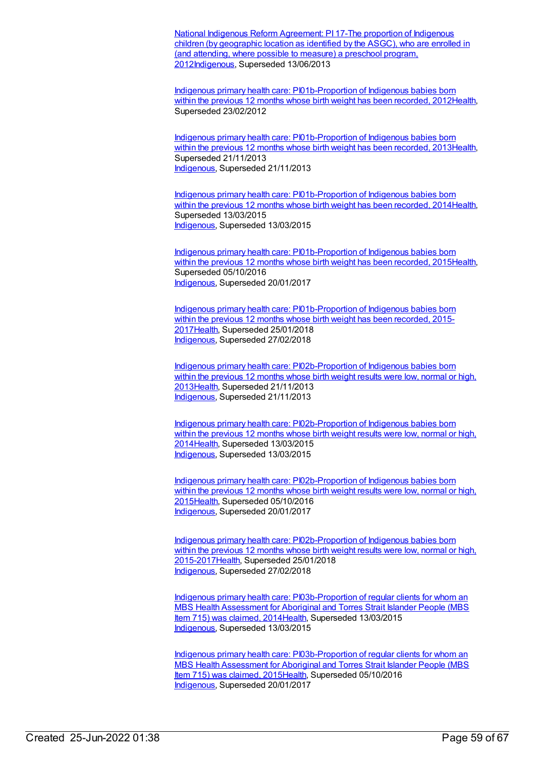National Indigenous Reform Agreement: PI 17-The proportion of Indigenous children (by geographic location as identified by the ASGC), who are enrolled in (and attending, where possible to measure) a preschool program, [2012Indigenous,](https://meteor.aihw.gov.au/content/438664) Superseded 13/06/2013

Indigenous primary health care: [PI01b-Proportion](https://meteor.aihw.gov.au/content/430640) of Indigenous babies born within the previous 12 months whose birth weight has been recorded, 201[2Health](https://meteor.aihw.gov.au/RegistrationAuthority/12), Superseded 23/02/2012

Indigenous primary health care: [PI01b-Proportion](https://meteor.aihw.gov.au/content/468089) of Indigenous babies born within the previous 12 months whose birth weight has been recorded, 201[3Health](https://meteor.aihw.gov.au/RegistrationAuthority/12), Superseded 21/11/2013 [Indigenous](https://meteor.aihw.gov.au/RegistrationAuthority/6), Superseded 21/11/2013

Indigenous primary health care: [PI01b-Proportion](https://meteor.aihw.gov.au/content/504690) of Indigenous babies born within the previous 12 months whose birth weight has been recorded, 2014 Health, Superseded 13/03/2015 [Indigenous](https://meteor.aihw.gov.au/RegistrationAuthority/6), Superseded 13/03/2015

Indigenous primary health care: [PI01b-Proportion](https://meteor.aihw.gov.au/content/588971) of Indigenous babies born within the previous 12 months whose birth weight has been recorded, 2015 Health, Superseded 05/10/2016 [Indigenous](https://meteor.aihw.gov.au/RegistrationAuthority/6), Superseded 20/01/2017

Indigenous primary health care: [PI01b-Proportion](https://meteor.aihw.gov.au/content/663903) of Indigenous babies born within the previous 12 months whose birth weight has been recorded, 2015-201[7Health](https://meteor.aihw.gov.au/RegistrationAuthority/12), Superseded 25/01/2018 [Indigenous](https://meteor.aihw.gov.au/RegistrationAuthority/6), Superseded 27/02/2018

Indigenous primary health care: [PI02b-Proportion](https://meteor.aihw.gov.au/content/450666) of Indigenous babies born within the previous 12 months whose birth weight results were low, normal or high, 201[3Health](https://meteor.aihw.gov.au/RegistrationAuthority/12), Superseded 21/11/2013 [Indigenous](https://meteor.aihw.gov.au/RegistrationAuthority/6), Superseded 21/11/2013

Indigenous primary health care: [PI02b-Proportion](https://meteor.aihw.gov.au/content/504694) of Indigenous babies born within the previous 12 months whose birth weight results were low, normal or high, 201[4Health](https://meteor.aihw.gov.au/RegistrationAuthority/12), Superseded 13/03/2015 [Indigenous](https://meteor.aihw.gov.au/RegistrationAuthority/6), Superseded 13/03/2015

Indigenous primary health care: [PI02b-Proportion](https://meteor.aihw.gov.au/content/588977) of Indigenous babies born within the previous 12 months whose birth weight results were low, normal or high, 201[5Health](https://meteor.aihw.gov.au/RegistrationAuthority/12), Superseded 05/10/2016 [Indigenous](https://meteor.aihw.gov.au/RegistrationAuthority/6), Superseded 20/01/2017

Indigenous primary health care: [PI02b-Proportion](https://meteor.aihw.gov.au/content/663907) of Indigenous babies born within the previous 12 months whose birth weight results were low, normal or high, 2015-201[7Health](https://meteor.aihw.gov.au/RegistrationAuthority/12), Superseded 25/01/2018 [Indigenous](https://meteor.aihw.gov.au/RegistrationAuthority/6), Superseded 27/02/2018

Indigenous primary health care: [PI03b-Proportion](https://meteor.aihw.gov.au/content/504659) of regular clients for whom an MBS Health Assessment for Aboriginal and Torres Strait Islander People (MBS Item 715) was claimed, 201[4Health](https://meteor.aihw.gov.au/RegistrationAuthority/12), Superseded 13/03/2015 [Indigenous](https://meteor.aihw.gov.au/RegistrationAuthority/6), Superseded 13/03/2015

Indigenous primary health care: [PI03b-Proportion](https://meteor.aihw.gov.au/content/588985) of regular clients for whom an MBS Health Assessment for Aboriginal and Torres Strait Islander People (MBS Item 715) was claimed, 201[5Health](https://meteor.aihw.gov.au/RegistrationAuthority/12), Superseded 05/10/2016 [Indigenous](https://meteor.aihw.gov.au/RegistrationAuthority/6), Superseded 20/01/2017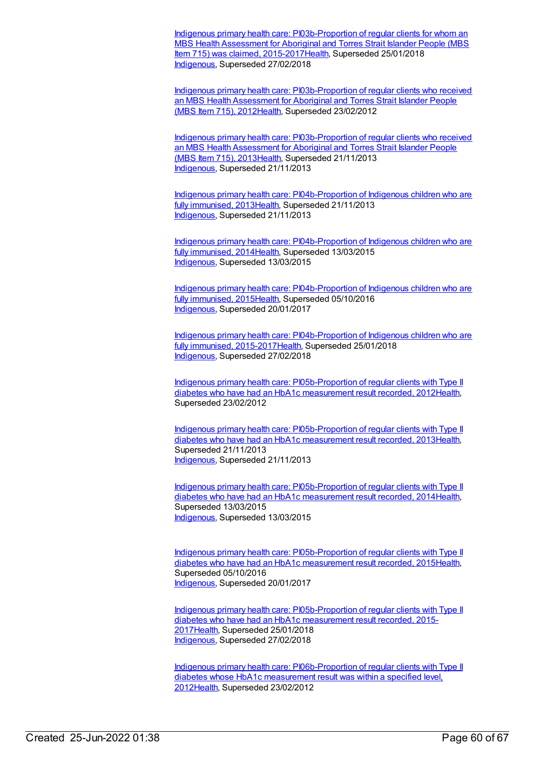Indigenous primary health care: [PI03b-Proportion](https://meteor.aihw.gov.au/content/663913) of regular clients for whom an MBS Health Assessment for Aboriginal and Torres Strait Islander People (MBS Item 715) was claimed, 2015-2017 Health, Superseded 25/01/2018 [Indigenous](https://meteor.aihw.gov.au/RegistrationAuthority/6), Superseded 27/02/2018

Indigenous primary health care: [PI03b-Proportion](https://meteor.aihw.gov.au/content/431768) of regular clients who received an MBS Health Assessment for Aboriginal and Torres Strait Islander People (MBS Item 715), 2012[Health](https://meteor.aihw.gov.au/RegistrationAuthority/12), Superseded 23/02/2012

Indigenous primary health care: [PI03b-Proportion](https://meteor.aihw.gov.au/content/469858) of regular clients who received an MBS Health Assessment for Aboriginal and Torres Strait Islander People (MBS Item 715), 2013[Health](https://meteor.aihw.gov.au/RegistrationAuthority/12), Superseded 21/11/2013 [Indigenous](https://meteor.aihw.gov.au/RegistrationAuthority/6), Superseded 21/11/2013

Indigenous primary health care: [PI04b-Proportion](https://meteor.aihw.gov.au/content/438003) of Indigenous children who are fully immunised, 2013[Health,](https://meteor.aihw.gov.au/RegistrationAuthority/12) Superseded 21/11/2013 [Indigenous](https://meteor.aihw.gov.au/RegistrationAuthority/6), Superseded 21/11/2013

Indigenous primary health care: [PI04b-Proportion](https://meteor.aihw.gov.au/content/504698) of Indigenous children who are fully immunised, 2014[Health,](https://meteor.aihw.gov.au/RegistrationAuthority/12) Superseded 13/03/2015 [Indigenous](https://meteor.aihw.gov.au/RegistrationAuthority/6), Superseded 13/03/2015

Indigenous primary health care: [PI04b-Proportion](https://meteor.aihw.gov.au/content/588991) of Indigenous children who are fully immunised, 2015[Health,](https://meteor.aihw.gov.au/RegistrationAuthority/12) Superseded 05/10/2016 [Indigenous](https://meteor.aihw.gov.au/RegistrationAuthority/6), Superseded 20/01/2017

Indigenous primary health care: [PI04b-Proportion](https://meteor.aihw.gov.au/content/663921) of Indigenous children who are fully immunised, 2015-201[7Health](https://meteor.aihw.gov.au/RegistrationAuthority/12), Superseded 25/01/2018 [Indigenous](https://meteor.aihw.gov.au/RegistrationAuthority/6), Superseded 27/02/2018

Indigenous primary health care: [PI05b-Proportion](https://meteor.aihw.gov.au/content/432280) of regular clients with Type II diabetes who have had an HbA1c measurement result recorded, 201[2Health](https://meteor.aihw.gov.au/RegistrationAuthority/12), Superseded 23/02/2012

Indigenous primary health care: [PI05b-Proportion](https://meteor.aihw.gov.au/content/468096) of regular clients with Type II diabetes who have had an HbA1c measurement result recorded, 201[3Health](https://meteor.aihw.gov.au/RegistrationAuthority/12), Superseded 21/11/2013 [Indigenous](https://meteor.aihw.gov.au/RegistrationAuthority/6), Superseded 21/11/2013

Indigenous primary health care: [PI05b-Proportion](https://meteor.aihw.gov.au/content/504702) of regular clients with Type II diabetes who have had an HbA1c measurement result recorded, 201[4Health](https://meteor.aihw.gov.au/RegistrationAuthority/12), Superseded 13/03/2015 [Indigenous](https://meteor.aihw.gov.au/RegistrationAuthority/6), Superseded 13/03/2015

Indigenous primary health care: [PI05b-Proportion](https://meteor.aihw.gov.au/content/588995) of regular clients with Type II diabetes who have had an HbA1c measurement result recorded, 201[5Health](https://meteor.aihw.gov.au/RegistrationAuthority/12), Superseded 05/10/2016 [Indigenous](https://meteor.aihw.gov.au/RegistrationAuthority/6), Superseded 20/01/2017

Indigenous primary health care: [PI05b-Proportion](https://meteor.aihw.gov.au/content/663926) of regular clients with Type II diabetes who have had an HbA1c measurement result recorded, 2015- 201[7Health](https://meteor.aihw.gov.au/RegistrationAuthority/12), Superseded 25/01/2018 [Indigenous](https://meteor.aihw.gov.au/RegistrationAuthority/6), Superseded 27/02/2018

Indigenous primary health care: [PI06b-Proportion](https://meteor.aihw.gov.au/content/441158) of regular clients with Type II diabetes whose HbA1c measurement result was within a specified level, 201[2Health](https://meteor.aihw.gov.au/RegistrationAuthority/12), Superseded 23/02/2012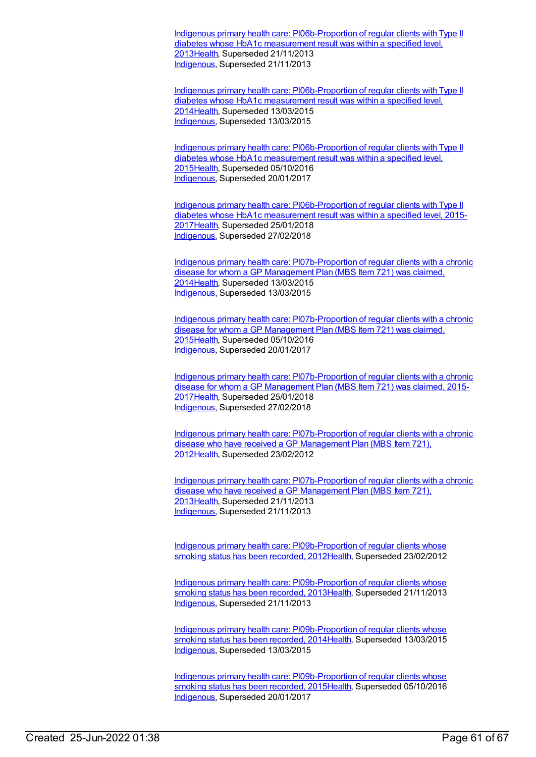Indigenous primary health care: [PI06b-Proportion](https://meteor.aihw.gov.au/content/468100) of regular clients with Type II diabetes whose HbA1c measurement result was within a specified level, 201[3Health](https://meteor.aihw.gov.au/RegistrationAuthority/12), Superseded 21/11/2013 [Indigenous](https://meteor.aihw.gov.au/RegistrationAuthority/6), Superseded 21/11/2013

Indigenous primary health care: [PI06b-Proportion](https://meteor.aihw.gov.au/content/504706) of regular clients with Type II diabetes whose HbA1c measurement result was within a specified level, 201[4Health](https://meteor.aihw.gov.au/RegistrationAuthority/12), Superseded 13/03/2015 [Indigenous](https://meteor.aihw.gov.au/RegistrationAuthority/6), Superseded 13/03/2015

Indigenous primary health care: [PI06b-Proportion](https://meteor.aihw.gov.au/content/589004) of regular clients with Type II diabetes whose HbA1c measurement result was within a specified level, 201[5Health](https://meteor.aihw.gov.au/RegistrationAuthority/12), Superseded 05/10/2016 [Indigenous](https://meteor.aihw.gov.au/RegistrationAuthority/6), Superseded 20/01/2017

Indigenous primary health care: [PI06b-Proportion](https://meteor.aihw.gov.au/content/663930) of regular clients with Type II diabetes whose HbA1c measurement result was within a specified level, 2015- 201[7Health](https://meteor.aihw.gov.au/RegistrationAuthority/12), Superseded 25/01/2018 [Indigenous](https://meteor.aihw.gov.au/RegistrationAuthority/6), Superseded 27/02/2018

Indigenous primary health care: [PI07b-Proportion](https://meteor.aihw.gov.au/content/504677) of regular clients with a chronic disease for whom a GP Management Plan (MBS Item 721) was claimed, 201[4Health](https://meteor.aihw.gov.au/RegistrationAuthority/12), Superseded 13/03/2015 [Indigenous](https://meteor.aihw.gov.au/RegistrationAuthority/6), Superseded 13/03/2015

Indigenous primary health care: [PI07b-Proportion](https://meteor.aihw.gov.au/content/589008) of regular clients with a chronic disease for whom a GP Management Plan (MBS Item 721) was claimed, 201[5Health](https://meteor.aihw.gov.au/RegistrationAuthority/12), Superseded 05/10/2016 [Indigenous](https://meteor.aihw.gov.au/RegistrationAuthority/6), Superseded 20/01/2017

Indigenous primary health care: [PI07b-Proportion](https://meteor.aihw.gov.au/content/663937) of regular clients with a chronic disease for whom a GP Management Plan (MBS Item 721) was claimed, 2015- 201[7Health](https://meteor.aihw.gov.au/RegistrationAuthority/12), Superseded 25/01/2018 [Indigenous](https://meteor.aihw.gov.au/RegistrationAuthority/6), Superseded 27/02/2018

Indigenous primary health care: [PI07b-Proportion](https://meteor.aihw.gov.au/content/432523) of regular clients with a chronic disease who have received a GP Management Plan (MBS Item 721), 201[2Health](https://meteor.aihw.gov.au/RegistrationAuthority/12), Superseded 23/02/2012

Indigenous primary health care: [PI07b-Proportion](https://meteor.aihw.gov.au/content/468104) of regular clients with a chronic disease who have received a GP Management Plan (MBS Item 721), 201[3Health](https://meteor.aihw.gov.au/RegistrationAuthority/12), Superseded 21/11/2013 [Indigenous](https://meteor.aihw.gov.au/RegistrationAuthority/6), Superseded 21/11/2013

Indigenous primary health care: [PI09b-Proportion](https://meteor.aihw.gov.au/content/435799) of regular clients whose smoking status has been recorded, 2012[Health](https://meteor.aihw.gov.au/RegistrationAuthority/12), Superseded 23/02/2012

Indigenous primary health care: [PI09b-Proportion](https://meteor.aihw.gov.au/content/468114) of regular clients whose smoking status has been recorded, 2013[Health](https://meteor.aihw.gov.au/RegistrationAuthority/12), Superseded 21/11/2013 [Indigenous](https://meteor.aihw.gov.au/RegistrationAuthority/6), Superseded 21/11/2013

Indigenous primary health care: [PI09b-Proportion](https://meteor.aihw.gov.au/content/504712) of regular clients whose smoking status has been recorded, 2014[Health](https://meteor.aihw.gov.au/RegistrationAuthority/12), Superseded 13/03/2015 [Indigenous](https://meteor.aihw.gov.au/RegistrationAuthority/6), Superseded 13/03/2015

Indigenous primary health care: [PI09b-Proportion](https://meteor.aihw.gov.au/content/589021) of regular clients whose smoking status has been recorded, 2015[Health](https://meteor.aihw.gov.au/RegistrationAuthority/12), Superseded 05/10/2016 [Indigenous](https://meteor.aihw.gov.au/RegistrationAuthority/6), Superseded 20/01/2017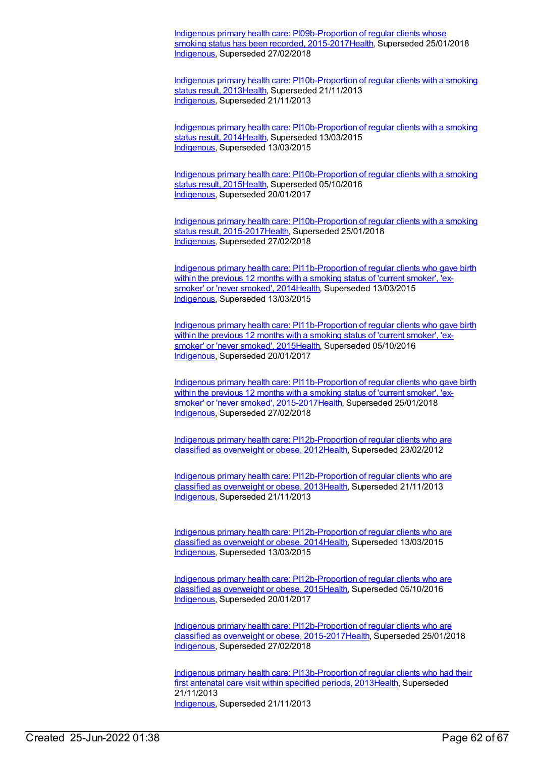Indigenous primary health care: [PI09b-Proportion](https://meteor.aihw.gov.au/content/663866) of regular clients whose smoking status has been recorded, 2015-2017 Health, Superseded 25/01/2018 [Indigenous](https://meteor.aihw.gov.au/RegistrationAuthority/6), Superseded 27/02/2018

Indigenous primary health care: [PI10b-Proportion](https://meteor.aihw.gov.au/content/441560) of regular clients with a smoking status result, 201[3Health](https://meteor.aihw.gov.au/RegistrationAuthority/12), Superseded 21/11/2013 [Indigenous](https://meteor.aihw.gov.au/RegistrationAuthority/6), Superseded 21/11/2013

Indigenous primary health care: [PI10b-Proportion](https://meteor.aihw.gov.au/content/504716) of regular clients with a smoking status result, 201[4Health](https://meteor.aihw.gov.au/RegistrationAuthority/12), Superseded 13/03/2015 [Indigenous](https://meteor.aihw.gov.au/RegistrationAuthority/6), Superseded 13/03/2015

Indigenous primary health care: [PI10b-Proportion](https://meteor.aihw.gov.au/content/589030) of regular clients with a smoking status result, 201[5Health](https://meteor.aihw.gov.au/RegistrationAuthority/12), Superseded 05/10/2016 [Indigenous](https://meteor.aihw.gov.au/RegistrationAuthority/6), Superseded 20/01/2017

Indigenous primary health care: [PI10b-Proportion](https://meteor.aihw.gov.au/content/663872) of regular clients with a smoking status result, 2015-201[7Health](https://meteor.aihw.gov.au/RegistrationAuthority/12), Superseded 25/01/2018 [Indigenous](https://meteor.aihw.gov.au/RegistrationAuthority/6), Superseded 27/02/2018

Indigenous primary health care: [PI11b-Proportion](https://meteor.aihw.gov.au/content/481494) of regular clients who gave birth within the previous 12 months with a smoking status of 'current smoker', 'ex-smoker' or 'never smoked', 201[4Health](https://meteor.aihw.gov.au/RegistrationAuthority/12), Superseded 13/03/2015 [Indigenous](https://meteor.aihw.gov.au/RegistrationAuthority/6), Superseded 13/03/2015

Indigenous primary health care: [PI11b-Proportion](https://meteor.aihw.gov.au/content/589037) of regular clients who gave birth within the previous 12 months with a smoking status of 'current smoker', 'exsmoker' or 'never smoked', 201[5Health](https://meteor.aihw.gov.au/RegistrationAuthority/12), Superseded 05/10/2016 [Indigenous](https://meteor.aihw.gov.au/RegistrationAuthority/6), Superseded 20/01/2017

Indigenous primary health care: [PI11b-Proportion](https://meteor.aihw.gov.au/content/663876) of regular clients who gave birth within the previous 12 months with a smoking status of 'current smoker', 'exsmoker' or 'never smoked', 2015-201[7Health](https://meteor.aihw.gov.au/RegistrationAuthority/12), Superseded 25/01/2018 [Indigenous](https://meteor.aihw.gov.au/RegistrationAuthority/6), Superseded 27/02/2018

Indigenous primary health care: [PI12b-Proportion](https://meteor.aihw.gov.au/content/430733) of regular clients who are classified as overweight or obese, 201[2Health](https://meteor.aihw.gov.au/RegistrationAuthority/12), Superseded 23/02/2012

Indigenous primary health care: [PI12b-Proportion](https://meteor.aihw.gov.au/content/468119) of regular clients who are classified as overweight or obese, 201[3Health](https://meteor.aihw.gov.au/RegistrationAuthority/12), Superseded 21/11/2013 [Indigenous](https://meteor.aihw.gov.au/RegistrationAuthority/6), Superseded 21/11/2013

Indigenous primary health care: [PI12b-Proportion](https://meteor.aihw.gov.au/content/504729) of regular clients who are classified as overweight or obese, 201[4Health](https://meteor.aihw.gov.au/RegistrationAuthority/12), Superseded 13/03/2015 [Indigenous](https://meteor.aihw.gov.au/RegistrationAuthority/6), Superseded 13/03/2015

Indigenous primary health care: [PI12b-Proportion](https://meteor.aihw.gov.au/content/589041) of regular clients who are classified as overweight or obese, 201[5Health](https://meteor.aihw.gov.au/RegistrationAuthority/12), Superseded 05/10/2016 [Indigenous](https://meteor.aihw.gov.au/RegistrationAuthority/6), Superseded 20/01/2017

Indigenous primary health care: [PI12b-Proportion](https://meteor.aihw.gov.au/content/663934) of regular clients who are classified as overweight or obese, 2015-201[7Health](https://meteor.aihw.gov.au/RegistrationAuthority/12), Superseded 25/01/2018 [Indigenous](https://meteor.aihw.gov.au/RegistrationAuthority/6), Superseded 27/02/2018

Indigenous primary health care: [PI13b-Proportion](https://meteor.aihw.gov.au/content/438089) of regular clients who had their first antenatal care visit within specified periods, 201[3Health](https://meteor.aihw.gov.au/RegistrationAuthority/12), Superseded 21/11/2013 [Indigenous](https://meteor.aihw.gov.au/RegistrationAuthority/6), Superseded 21/11/2013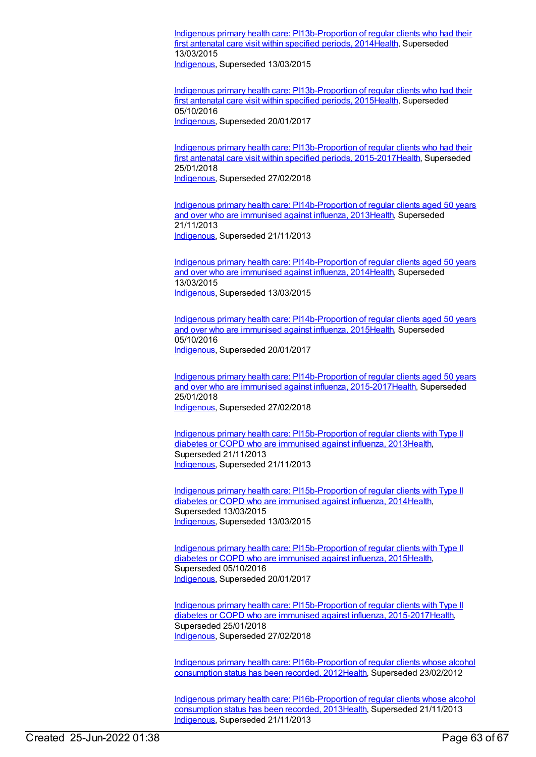Indigenous primary health care: [PI13b-Proportion](https://meteor.aihw.gov.au/content/504733) of regular clients who had their first antenatal care visit within specified periods, 2014 Health, Superseded 13/03/2015

[Indigenous](https://meteor.aihw.gov.au/RegistrationAuthority/6), Superseded 13/03/2015

Indigenous primary health care: [PI13b-Proportion](https://meteor.aihw.gov.au/content/589049) of regular clients who had their first antenatal care visit within specified periods, 201[5Health](https://meteor.aihw.gov.au/RegistrationAuthority/12), Superseded 05/10/2016 [Indigenous](https://meteor.aihw.gov.au/RegistrationAuthority/6), Superseded 20/01/2017

Indigenous primary health care: [PI13b-Proportion](https://meteor.aihw.gov.au/content/663951) of regular clients who had their first antenatal care visit within specified periods, 2015-2017 Health, Superseded 25/01/2018 [Indigenous](https://meteor.aihw.gov.au/RegistrationAuthority/6), Superseded 27/02/2018

Indigenous primary health care: [PI14b-Proportion](https://meteor.aihw.gov.au/content/441433) of regular clients aged 50 years and over who are immunised against influenza, 201[3Health](https://meteor.aihw.gov.au/RegistrationAuthority/12), Superseded 21/11/2013 [Indigenous](https://meteor.aihw.gov.au/RegistrationAuthority/6), Superseded 21/11/2013

Indigenous primary health care: [PI14b-Proportion](https://meteor.aihw.gov.au/content/504737) of regular clients aged 50 years and over who are immunised against influenza, 201[4Health](https://meteor.aihw.gov.au/RegistrationAuthority/12), Superseded 13/03/2015 [Indigenous](https://meteor.aihw.gov.au/RegistrationAuthority/6), Superseded 13/03/2015

Indigenous primary health care: [PI14b-Proportion](https://meteor.aihw.gov.au/content/589053) of regular clients aged 50 years and over who are immunised against influenza, 201[5Health](https://meteor.aihw.gov.au/RegistrationAuthority/12), Superseded 05/10/2016 [Indigenous](https://meteor.aihw.gov.au/RegistrationAuthority/6), Superseded 20/01/2017

Indigenous primary health care: [PI14b-Proportion](https://meteor.aihw.gov.au/content/663956) of regular clients aged 50 years and over who are immunised against influenza, 2015-2017[Health](https://meteor.aihw.gov.au/RegistrationAuthority/12), Superseded 25/01/2018 [Indigenous](https://meteor.aihw.gov.au/RegistrationAuthority/6), Superseded 27/02/2018

Indigenous primary health care: [PI15b-Proportion](https://meteor.aihw.gov.au/content/438127) of regular clients with Type II diabetes or COPD who are immunised against influenza, 201[3Health](https://meteor.aihw.gov.au/RegistrationAuthority/12), Superseded 21/11/2013 [Indigenous](https://meteor.aihw.gov.au/RegistrationAuthority/6), Superseded 21/11/2013

Indigenous primary health care: [PI15b-Proportion](https://meteor.aihw.gov.au/content/504741) of regular clients with Type II diabetes or COPD who are immunised against influenza, 201[4Health](https://meteor.aihw.gov.au/RegistrationAuthority/12), Superseded 13/03/2015 [Indigenous](https://meteor.aihw.gov.au/RegistrationAuthority/6), Superseded 13/03/2015

Indigenous primary health care: [PI15b-Proportion](https://meteor.aihw.gov.au/content/589059) of regular clients with Type II diabetes or COPD who are immunised against influenza, 201[5Health](https://meteor.aihw.gov.au/RegistrationAuthority/12), Superseded 05/10/2016 [Indigenous](https://meteor.aihw.gov.au/RegistrationAuthority/6), Superseded 20/01/2017

Indigenous primary health care: [PI15b-Proportion](https://meteor.aihw.gov.au/content/663961) of regular clients with Type II diabetes or COPD who are immunised against influenza, 2015-2017[Health](https://meteor.aihw.gov.au/RegistrationAuthority/12), Superseded 25/01/2018 [Indigenous](https://meteor.aihw.gov.au/RegistrationAuthority/6), Superseded 27/02/2018

Indigenous primary health care: [PI16b-Proportion](https://meteor.aihw.gov.au/content/438224) of regular clients whose alcohol consumption status has been recorded, 201[2Health](https://meteor.aihw.gov.au/RegistrationAuthority/12), Superseded 23/02/2012

Indigenous primary health care: [PI16b-Proportion](https://meteor.aihw.gov.au/content/468123) of regular clients whose alcohol consumption status has been recorded, 201[3Health](https://meteor.aihw.gov.au/RegistrationAuthority/12), Superseded 21/11/2013 [Indigenous](https://meteor.aihw.gov.au/RegistrationAuthority/6), Superseded 21/11/2013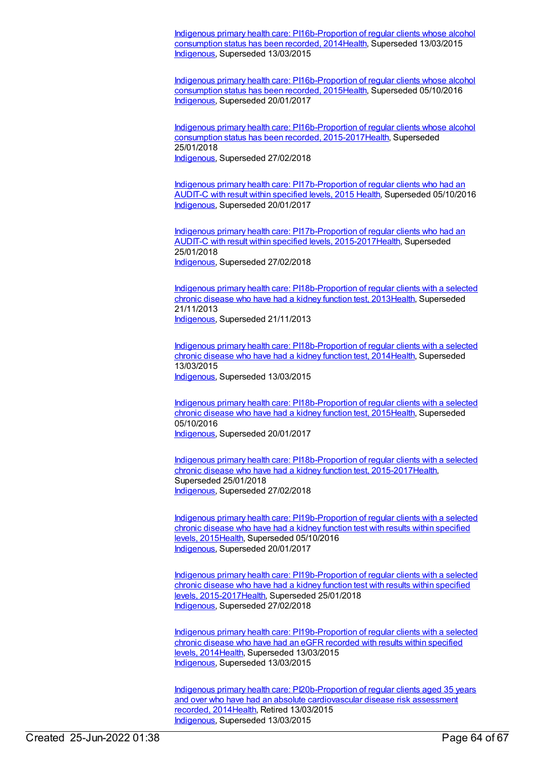Indigenous primary health care: [PI16b-Proportion](https://meteor.aihw.gov.au/content/504745) of regular clients whose alcohol consumption status has been recorded, 201[4Health](https://meteor.aihw.gov.au/RegistrationAuthority/12), Superseded 13/03/2015 [Indigenous](https://meteor.aihw.gov.au/RegistrationAuthority/6), Superseded 13/03/2015

Indigenous primary health care: [PI16b-Proportion](https://meteor.aihw.gov.au/content/589064) of regular clients whose alcohol consumption status has been recorded, 201[5Health](https://meteor.aihw.gov.au/RegistrationAuthority/12), Superseded 05/10/2016 [Indigenous](https://meteor.aihw.gov.au/RegistrationAuthority/6), Superseded 20/01/2017

Indigenous primary health care: [PI16b-Proportion](https://meteor.aihw.gov.au/content/663880) of regular clients whose alcohol consumption status has been recorded, 2015-2017[Health](https://meteor.aihw.gov.au/RegistrationAuthority/12), Superseded 25/01/2018 [Indigenous](https://meteor.aihw.gov.au/RegistrationAuthority/6), Superseded 27/02/2018

Indigenous primary health care: [PI17b-Proportion](https://meteor.aihw.gov.au/content/585006) of regular clients who had an AUDIT-C with result within specified levels, 2015 [Health](https://meteor.aihw.gov.au/RegistrationAuthority/12), Superseded 05/10/2016 [Indigenous](https://meteor.aihw.gov.au/RegistrationAuthority/6), Superseded 20/01/2017

Indigenous primary health care: [PI17b-Proportion](https://meteor.aihw.gov.au/content/663965) of regular clients who had an AUDIT-C with result within specified levels, 2015-201[7Health](https://meteor.aihw.gov.au/RegistrationAuthority/12), Superseded 25/01/2018 [Indigenous](https://meteor.aihw.gov.au/RegistrationAuthority/6), Superseded 27/02/2018

Indigenous primary health care: [PI18b-Proportion](https://meteor.aihw.gov.au/content/438145) of regular clients with a selected chronic disease who have had a kidney function test, 201[3Health](https://meteor.aihw.gov.au/RegistrationAuthority/12), Superseded 21/11/2013 [Indigenous](https://meteor.aihw.gov.au/RegistrationAuthority/6), Superseded 21/11/2013

Indigenous primary health care: [PI18b-Proportion](https://meteor.aihw.gov.au/content/504788) of regular clients with a selected chronic disease who have had a kidney function test, 201[4Health](https://meteor.aihw.gov.au/RegistrationAuthority/12), Superseded 13/03/2015 [Indigenous](https://meteor.aihw.gov.au/RegistrationAuthority/6), Superseded 13/03/2015

Indigenous primary health care: [PI18b-Proportion](https://meteor.aihw.gov.au/content/589069) of regular clients with a selected chronic disease who have had a kidney function test, 201[5Health](https://meteor.aihw.gov.au/RegistrationAuthority/12), Superseded 05/10/2016 [Indigenous](https://meteor.aihw.gov.au/RegistrationAuthority/6), Superseded 20/01/2017

Indigenous primary health care: [PI18b-Proportion](https://meteor.aihw.gov.au/content/663969) of regular clients with a selected chronic disease who have had a kidney function test, 2015-201[7Health](https://meteor.aihw.gov.au/RegistrationAuthority/12), Superseded 25/01/2018 [Indigenous](https://meteor.aihw.gov.au/RegistrationAuthority/6), Superseded 27/02/2018

Indigenous primary health care: [PI19b-Proportion](https://meteor.aihw.gov.au/content/594108) of regular clients with a selected chronic disease who have had a kidney function test with results within specified levels, 2015[Health](https://meteor.aihw.gov.au/RegistrationAuthority/12), Superseded 05/10/2016 [Indigenous](https://meteor.aihw.gov.au/RegistrationAuthority/6), Superseded 20/01/2017

Indigenous primary health care: [PI19b-Proportion](https://meteor.aihw.gov.au/content/663976) of regular clients with a selected chronic disease who have had a kidney function test with results within specified levels, 2015-201[7Health,](https://meteor.aihw.gov.au/RegistrationAuthority/12) Superseded 25/01/2018 [Indigenous](https://meteor.aihw.gov.au/RegistrationAuthority/6), Superseded 27/02/2018

Indigenous primary health care: [PI19b-Proportion](https://meteor.aihw.gov.au/content/481525) of regular clients with a selected chronic disease who have had an eGFR recorded with results within specified levels, 2014[Health](https://meteor.aihw.gov.au/RegistrationAuthority/12), Superseded 13/03/2015 [Indigenous](https://meteor.aihw.gov.au/RegistrationAuthority/6), Superseded 13/03/2015

Indigenous primary health care: [PI20b-Proportion](https://meteor.aihw.gov.au/content/481576) of regular clients aged 35 years and over who have had an absolute cardiovascular disease risk assessment recorded, 201[4Health](https://meteor.aihw.gov.au/RegistrationAuthority/12), Retired 13/03/2015 [Indigenous](https://meteor.aihw.gov.au/RegistrationAuthority/6), Superseded 13/03/2015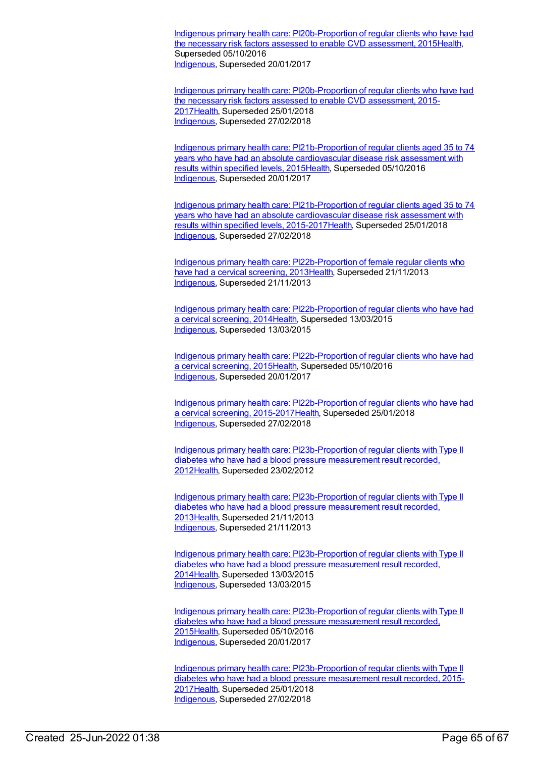Indigenous primary health care: [PI20b-Proportion](https://meteor.aihw.gov.au/content/588801) of regular clients who have had the necessary risk factors assessed to enable CVD assessment, 201[5Health](https://meteor.aihw.gov.au/RegistrationAuthority/12), Superseded 05/10/2016 [Indigenous](https://meteor.aihw.gov.au/RegistrationAuthority/6), Superseded 20/01/2017

Indigenous primary health care: [PI20b-Proportion](https://meteor.aihw.gov.au/content/663884) of regular clients who have had the necessary risk factors assessed to enable CVD assessment, 2015- 201[7Health](https://meteor.aihw.gov.au/RegistrationAuthority/12), Superseded 25/01/2018 [Indigenous](https://meteor.aihw.gov.au/RegistrationAuthority/6), Superseded 27/02/2018

Indigenous primary health care: [PI21b-Proportion](https://meteor.aihw.gov.au/content/585230) of regular clients aged 35 to 74 years who have had an absolute cardiovascular disease risk assessment with results within specified levels, 2015[Health](https://meteor.aihw.gov.au/RegistrationAuthority/12), Superseded 05/10/2016 [Indigenous](https://meteor.aihw.gov.au/RegistrationAuthority/6), Superseded 20/01/2017

Indigenous primary health care: [PI21b-Proportion](https://meteor.aihw.gov.au/content/663980) of regular clients aged 35 to 74 years who have had an absolute cardiovascular disease risk assessment with results within specified levels, 2015-201[7Health](https://meteor.aihw.gov.au/RegistrationAuthority/12), Superseded 25/01/2018 [Indigenous](https://meteor.aihw.gov.au/RegistrationAuthority/6), Superseded 27/02/2018

Indigenous primary health care: [PI22b-Proportion](https://meteor.aihw.gov.au/content/438215) of female regular clients who have had a cervical screening, 2013[Health,](https://meteor.aihw.gov.au/RegistrationAuthority/12) Superseded 21/11/2013 [Indigenous](https://meteor.aihw.gov.au/RegistrationAuthority/6), Superseded 21/11/2013

Indigenous primary health care: [PI22b-Proportion](https://meteor.aihw.gov.au/content/504793) of regular clients who have had a cervical screening, 201[4Health](https://meteor.aihw.gov.au/RegistrationAuthority/12), Superseded 13/03/2015 [Indigenous](https://meteor.aihw.gov.au/RegistrationAuthority/6), Superseded 13/03/2015

Indigenous primary health care: [PI22b-Proportion](https://meteor.aihw.gov.au/content/589077) of regular clients who have had a cervical screening, 201[5Health](https://meteor.aihw.gov.au/RegistrationAuthority/12), Superseded 05/10/2016 [Indigenous](https://meteor.aihw.gov.au/RegistrationAuthority/6), Superseded 20/01/2017

Indigenous primary health care: [PI22b-Proportion](https://meteor.aihw.gov.au/content/663984) of regular clients who have had a cervical screening, 2015-2017[Health](https://meteor.aihw.gov.au/RegistrationAuthority/12), Superseded 25/01/2018 [Indigenous](https://meteor.aihw.gov.au/RegistrationAuthority/6), Superseded 27/02/2018

Indigenous primary health care: [PI23b-Proportion](https://meteor.aihw.gov.au/content/441417) of regular clients with Type II diabetes who have had a blood pressure measurement result recorded, 201[2Health](https://meteor.aihw.gov.au/RegistrationAuthority/12), Superseded 23/02/2012

Indigenous primary health care: [PI23b-Proportion](https://meteor.aihw.gov.au/content/468128) of regular clients with Type II diabetes who have had a blood pressure measurement result recorded, 201[3Health](https://meteor.aihw.gov.au/RegistrationAuthority/12), Superseded 21/11/2013 [Indigenous](https://meteor.aihw.gov.au/RegistrationAuthority/6), Superseded 21/11/2013

Indigenous primary health care: [PI23b-Proportion](https://meteor.aihw.gov.au/content/504798) of regular clients with Type II diabetes who have had a blood pressure measurement result recorded, 201[4Health](https://meteor.aihw.gov.au/RegistrationAuthority/12), Superseded 13/03/2015 [Indigenous](https://meteor.aihw.gov.au/RegistrationAuthority/6), Superseded 13/03/2015

Indigenous primary health care: [PI23b-Proportion](https://meteor.aihw.gov.au/content/589081) of regular clients with Type II diabetes who have had a blood pressure measurement result recorded, 201[5Health](https://meteor.aihw.gov.au/RegistrationAuthority/12), Superseded 05/10/2016 [Indigenous](https://meteor.aihw.gov.au/RegistrationAuthority/6), Superseded 20/01/2017

Indigenous primary health care: [PI23b-Proportion](https://meteor.aihw.gov.au/content/663988) of regular clients with Type II diabetes who have had a blood pressure measurement result recorded, 2015- 201[7Health](https://meteor.aihw.gov.au/RegistrationAuthority/12), Superseded 25/01/2018 [Indigenous](https://meteor.aihw.gov.au/RegistrationAuthority/6), Superseded 27/02/2018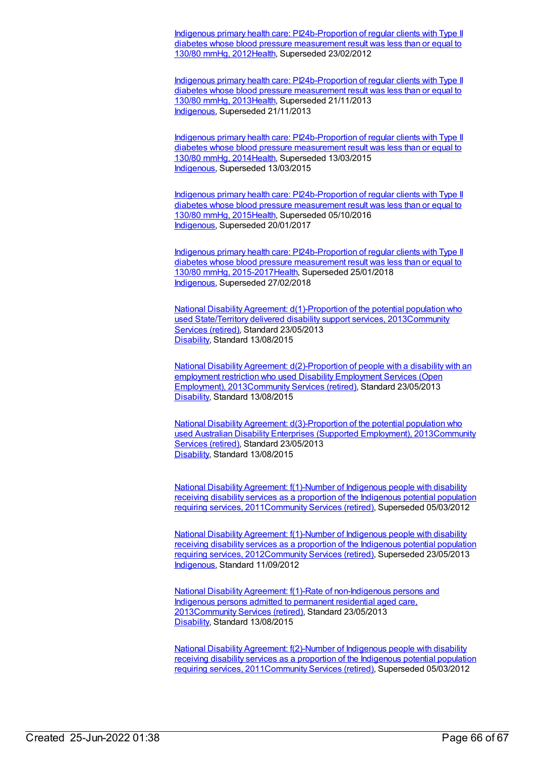Indigenous primary health care: [PI24b-Proportion](https://meteor.aihw.gov.au/content/441449) of regular clients with Type II diabetes whose blood pressure measurement result was less than or equal to 130/80 mmHg, 2012[Health](https://meteor.aihw.gov.au/RegistrationAuthority/12), Superseded 23/02/2012

Indigenous primary health care: [PI24b-Proportion](https://meteor.aihw.gov.au/content/468134) of regular clients with Type II diabetes whose blood pressure measurement result was less than or equal to 130/80 mmHg, 2013[Health](https://meteor.aihw.gov.au/RegistrationAuthority/12), Superseded 21/11/2013 [Indigenous](https://meteor.aihw.gov.au/RegistrationAuthority/6), Superseded 21/11/2013

Indigenous primary health care: [PI24b-Proportion](https://meteor.aihw.gov.au/content/504803) of regular clients with Type II diabetes whose blood pressure measurement result was less than or equal to 130/80 mmHg, 2014[Health](https://meteor.aihw.gov.au/RegistrationAuthority/12), Superseded 13/03/2015 [Indigenous](https://meteor.aihw.gov.au/RegistrationAuthority/6), Superseded 13/03/2015

Indigenous primary health care: [PI24b-Proportion](https://meteor.aihw.gov.au/content/589085) of regular clients with Type II diabetes whose blood pressure measurement result was less than or equal to 130/80 mmHg, 2015[Health](https://meteor.aihw.gov.au/RegistrationAuthority/12), Superseded 05/10/2016 [Indigenous](https://meteor.aihw.gov.au/RegistrationAuthority/6), Superseded 20/01/2017

Indigenous primary health care: [PI24b-Proportion](https://meteor.aihw.gov.au/content/663992) of regular clients with Type II diabetes whose blood pressure measurement result was less than or equal to 130/80 mmHg, 2015-201[7Health,](https://meteor.aihw.gov.au/RegistrationAuthority/12) Superseded 25/01/2018 [Indigenous](https://meteor.aihw.gov.au/RegistrationAuthority/6), Superseded 27/02/2018

National Disability Agreement:  $d(1)$ -Proportion of the potential population who used State/Territory delivered disability support services, [2013Community](https://meteor.aihw.gov.au/RegistrationAuthority/1) Services (retired), Standard 23/05/2013 [Disability](https://meteor.aihw.gov.au/RegistrationAuthority/16), Standard 13/08/2015

National Disability Agreement: [d\(2\)-Proportion](https://meteor.aihw.gov.au/content/515199) of people with a disability with an employment restriction who used Disability Employment Services (Open Employment), 201[3Community](https://meteor.aihw.gov.au/RegistrationAuthority/1) Services (retired), Standard 23/05/2013 [Disability](https://meteor.aihw.gov.au/RegistrationAuthority/16), Standard 13/08/2015

National Disability Agreement: [d\(3\)-Proportion](https://meteor.aihw.gov.au/content/517326) of the potential population who used Australian Disability Enterprises (Supported Employment), [2013Community](https://meteor.aihw.gov.au/RegistrationAuthority/1) Services (retired), Standard 23/05/2013 [Disability](https://meteor.aihw.gov.au/RegistrationAuthority/16), Standard 13/08/2015

National Disability Agreement: f(1)-Number of Indigenous people with disability receiving disability services as a proportion of the Indigenous potential population requiring services, [2011](https://meteor.aihw.gov.au/content/428753)[Community](https://meteor.aihw.gov.au/RegistrationAuthority/1) Services (retired), Superseded 05/03/2012

National Disability Agreement: f(1)-Number of Indigenous people with disability receiving disability services as a proportion of the Indigenous potential population requiring services, [2012](https://meteor.aihw.gov.au/content/467943)[Community](https://meteor.aihw.gov.au/RegistrationAuthority/1) Services (retired), Superseded 23/05/2013 [Indigenous](https://meteor.aihw.gov.au/RegistrationAuthority/6), Standard 11/09/2012

National Disability Agreement: f(1)-Rate of [non-Indigenous](https://meteor.aihw.gov.au/content/491949) persons and Indigenous persons admitted to permanent residential aged care, 201[3Community](https://meteor.aihw.gov.au/RegistrationAuthority/1) Services (retired), Standard 23/05/2013 [Disability](https://meteor.aihw.gov.au/RegistrationAuthority/16), Standard 13/08/2015

National Disability Agreement: f(2)-Number of Indigenous people with disability receiving disability services as a proportion of the Indigenous potential population requiring services, [2011Community](https://meteor.aihw.gov.au/content/447040) Services (retired), Superseded 05/03/2012